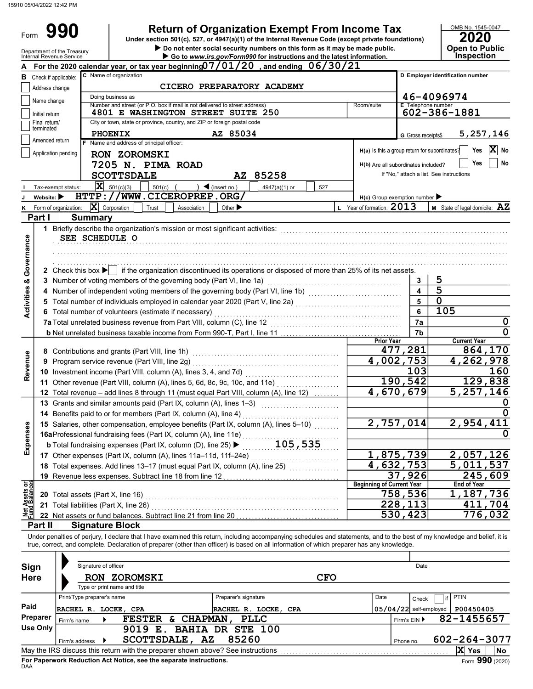Form

# 990 | Return of Organization Exempt From Income Tax

Do not enter social security numbers on this form as it may be made public. Open to Public Under section 501(c), 527, or 4947(a)(1) of the Internal Revenue Code (except private foundations)

OMB No. 1545-0047

|                                    |                                                                  | Department of the Treasury<br>Internal Revenue Service                  |                                                                                      |                                                            |            |                                                                                 |                             |                      | $\blacktriangleright$ Do not enter social security numbers on this form as it may be made public.<br>Go to www.irs.gov/Form990 for instructions and the latest information.                                                                                                                                              |  |                                     |                                                           |                                                 | <b>Open to Public</b><br><b>Inspection</b> |                  |  |  |
|------------------------------------|------------------------------------------------------------------|-------------------------------------------------------------------------|--------------------------------------------------------------------------------------|------------------------------------------------------------|------------|---------------------------------------------------------------------------------|-----------------------------|----------------------|--------------------------------------------------------------------------------------------------------------------------------------------------------------------------------------------------------------------------------------------------------------------------------------------------------------------------|--|-------------------------------------|-----------------------------------------------------------|-------------------------------------------------|--------------------------------------------|------------------|--|--|
|                                    |                                                                  |                                                                         |                                                                                      |                                                            |            |                                                                                 |                             |                      | For the 2020 calendar year, or tax year beginning $07/01/20$ , and ending $06/30/21$                                                                                                                                                                                                                                     |  |                                     |                                                           |                                                 |                                            |                  |  |  |
|                                    | <b>B</b> Check if applicable:                                    |                                                                         |                                                                                      | C Name of organization                                     |            |                                                                                 |                             |                      |                                                                                                                                                                                                                                                                                                                          |  |                                     |                                                           | D Employer identification number                |                                            |                  |  |  |
|                                    | Address change                                                   |                                                                         |                                                                                      |                                                            |            | CICERO PREPARATORY ACADEMY                                                      |                             |                      |                                                                                                                                                                                                                                                                                                                          |  |                                     |                                                           |                                                 |                                            |                  |  |  |
|                                    | Name change                                                      |                                                                         |                                                                                      | Doing business as                                          |            |                                                                                 |                             |                      |                                                                                                                                                                                                                                                                                                                          |  |                                     |                                                           | 46-4096974                                      |                                            |                  |  |  |
|                                    |                                                                  |                                                                         |                                                                                      |                                                            |            | Number and street (or P.O. box if mail is not delivered to street address)      |                             |                      |                                                                                                                                                                                                                                                                                                                          |  | Room/suite                          | <b>E</b> Telephone number                                 |                                                 |                                            |                  |  |  |
|                                    | Initial return                                                   |                                                                         |                                                                                      |                                                            |            | 4801 E WASHINGTON STREET SUITE 250                                              |                             |                      |                                                                                                                                                                                                                                                                                                                          |  |                                     |                                                           | 602-386-1881                                    |                                            |                  |  |  |
|                                    | Final return/<br>terminated                                      |                                                                         |                                                                                      |                                                            |            | City or town, state or province, country, and ZIP or foreign postal code        |                             |                      |                                                                                                                                                                                                                                                                                                                          |  |                                     |                                                           |                                                 |                                            |                  |  |  |
|                                    | Amended return                                                   |                                                                         |                                                                                      | <b>PHOENIX</b><br>F Name and address of principal officer: |            |                                                                                 | AZ 85034                    |                      |                                                                                                                                                                                                                                                                                                                          |  |                                     | G Gross receipts\$                                        |                                                 |                                            | 5,257,146        |  |  |
|                                    |                                                                  | Application pending                                                     |                                                                                      |                                                            |            |                                                                                 |                             |                      |                                                                                                                                                                                                                                                                                                                          |  |                                     | X<br>H(a) Is this a group return for subordinates?<br>Yes |                                                 |                                            |                  |  |  |
|                                    |                                                                  |                                                                         |                                                                                      | RON ZOROMSKI                                               |            |                                                                                 |                             |                      |                                                                                                                                                                                                                                                                                                                          |  |                                     |                                                           |                                                 | Yes                                        | No               |  |  |
|                                    |                                                                  |                                                                         |                                                                                      | 7205 N. PIMA ROAD                                          |            |                                                                                 |                             |                      |                                                                                                                                                                                                                                                                                                                          |  | H(b) Are all subordinates included? |                                                           | If "No," attach a list. See instructions        |                                            |                  |  |  |
|                                    |                                                                  |                                                                         |                                                                                      | <b>SCOTTSDALE</b>                                          |            |                                                                                 |                             | AZ 85258             |                                                                                                                                                                                                                                                                                                                          |  |                                     |                                                           |                                                 |                                            |                  |  |  |
|                                    |                                                                  | Tax-exempt status:                                                      |                                                                                      | $\mathbf{X}$ 501(c)(3)                                     | $501(c)$ ( |                                                                                 | $\big)$ (insert no.)        |                      | 4947(a)(1) or<br>527                                                                                                                                                                                                                                                                                                     |  |                                     |                                                           |                                                 |                                            |                  |  |  |
|                                    | Website: $\blacktriangleright$                                   |                                                                         |                                                                                      |                                                            |            | HTTP://WWW.CICEROPREP.ORG/                                                      |                             |                      |                                                                                                                                                                                                                                                                                                                          |  | $H(c)$ Group exemption number       |                                                           |                                                 |                                            |                  |  |  |
|                                    |                                                                  | Form of organization:                                                   |                                                                                      | X Corporation                                              | Trust      | Association                                                                     | Other $\blacktriangleright$ |                      |                                                                                                                                                                                                                                                                                                                          |  | L Year of formation: $2013$         |                                                           | <b>M</b> State of legal domicile: $\mathbf{AZ}$ |                                            |                  |  |  |
|                                    | Part I                                                           |                                                                         | <b>Summary</b>                                                                       |                                                            |            |                                                                                 |                             |                      |                                                                                                                                                                                                                                                                                                                          |  |                                     |                                                           |                                                 |                                            |                  |  |  |
|                                    |                                                                  |                                                                         |                                                                                      |                                                            |            | 1 Briefly describe the organization's mission or most significant activities:   |                             |                      |                                                                                                                                                                                                                                                                                                                          |  |                                     |                                                           |                                                 |                                            |                  |  |  |
|                                    |                                                                  |                                                                         |                                                                                      | SEE SCHEDULE O                                             |            |                                                                                 |                             |                      |                                                                                                                                                                                                                                                                                                                          |  |                                     |                                                           |                                                 |                                            |                  |  |  |
| <b>Activities &amp; Governance</b> |                                                                  |                                                                         |                                                                                      |                                                            |            |                                                                                 |                             |                      |                                                                                                                                                                                                                                                                                                                          |  |                                     |                                                           |                                                 |                                            |                  |  |  |
|                                    |                                                                  |                                                                         |                                                                                      |                                                            |            |                                                                                 |                             |                      |                                                                                                                                                                                                                                                                                                                          |  |                                     |                                                           |                                                 |                                            |                  |  |  |
|                                    |                                                                  |                                                                         |                                                                                      |                                                            |            |                                                                                 |                             |                      | 2 Check this box ▶   if the organization discontinued its operations or disposed of more than 25% of its net assets.                                                                                                                                                                                                     |  |                                     |                                                           |                                                 |                                            |                  |  |  |
|                                    |                                                                  |                                                                         |                                                                                      |                                                            |            | 3 Number of voting members of the governing body (Part VI, line 1a)             |                             |                      |                                                                                                                                                                                                                                                                                                                          |  |                                     | 3<br>$\overline{\mathbf{4}}$                              | 5<br>$\overline{\mathbf{5}}$                    |                                            |                  |  |  |
|                                    |                                                                  |                                                                         |                                                                                      |                                                            |            |                                                                                 |                             |                      | Number of independent voting members of the governing body (Part VI, line 1b) [10] [10] [10] [10] [10] [10] [1                                                                                                                                                                                                           |  |                                     | 5                                                         | $\mathbf 0$                                     |                                            |                  |  |  |
|                                    |                                                                  |                                                                         |                                                                                      |                                                            |            |                                                                                 |                             |                      | 5 Total number of individuals employed in calendar year 2020 (Part V, line 2a) [[[[[[[[[[[[[[[[[[[[[[[[[[[[[[[                                                                                                                                                                                                           |  |                                     | 6                                                         | 105                                             |                                            |                  |  |  |
|                                    |                                                                  |                                                                         |                                                                                      |                                                            |            | 6 Total number of volunteers (estimate if necessary)                            |                             |                      |                                                                                                                                                                                                                                                                                                                          |  |                                     | 7a                                                        |                                                 |                                            |                  |  |  |
|                                    |                                                                  | 7a Total unrelated business revenue from Part VIII, column (C), line 12 |                                                                                      |                                                            |            |                                                                                 |                             |                      |                                                                                                                                                                                                                                                                                                                          |  |                                     |                                                           |                                                 |                                            | $\mathbf 0$<br>0 |  |  |
|                                    |                                                                  |                                                                         |                                                                                      |                                                            |            |                                                                                 |                             |                      |                                                                                                                                                                                                                                                                                                                          |  | <b>Prior Year</b>                   | 7b                                                        |                                                 | <b>Current Year</b>                        |                  |  |  |
|                                    |                                                                  |                                                                         |                                                                                      | 8 Contributions and grants (Part VIII, line 1h)            |            |                                                                                 |                             |                      |                                                                                                                                                                                                                                                                                                                          |  |                                     | 477,281                                                   |                                                 |                                            | 864,170          |  |  |
| Revenue                            | 9                                                                |                                                                         |                                                                                      | Program service revenue (Part VIII, line 2g)               |            |                                                                                 |                             |                      |                                                                                                                                                                                                                                                                                                                          |  |                                     | 4,002,753                                                 |                                                 |                                            | 4,262,978        |  |  |
|                                    | 10 Investment income (Part VIII, column (A), lines 3, 4, and 7d) |                                                                         |                                                                                      |                                                            |            |                                                                                 |                             |                      |                                                                                                                                                                                                                                                                                                                          |  |                                     | 103                                                       |                                                 |                                            | 160              |  |  |
|                                    |                                                                  |                                                                         |                                                                                      |                                                            |            |                                                                                 |                             |                      | 11 Other revenue (Part VIII, column (A), lines 5, 6d, 8c, 9c, 10c, and 11e)                                                                                                                                                                                                                                              |  |                                     | 190,542                                                   |                                                 |                                            | 129,838          |  |  |
|                                    |                                                                  |                                                                         |                                                                                      |                                                            |            |                                                                                 |                             |                      | 12 Total revenue - add lines 8 through 11 (must equal Part VIII, column (A), line 12)                                                                                                                                                                                                                                    |  |                                     | 4,670,679                                                 |                                                 |                                            | 5,257,146        |  |  |
|                                    |                                                                  |                                                                         |                                                                                      |                                                            |            | 13 Grants and similar amounts paid (Part IX, column (A), lines 1-3)             |                             |                      |                                                                                                                                                                                                                                                                                                                          |  |                                     |                                                           |                                                 |                                            | 0                |  |  |
|                                    |                                                                  |                                                                         |                                                                                      |                                                            |            | 14 Benefits paid to or for members (Part IX, column (A), line 4)                |                             |                      |                                                                                                                                                                                                                                                                                                                          |  |                                     |                                                           |                                                 |                                            |                  |  |  |
|                                    |                                                                  |                                                                         | 15 Salaries, other compensation, employee benefits (Part IX, column (A), lines 5-10) |                                                            |            |                                                                                 |                             |                      |                                                                                                                                                                                                                                                                                                                          |  |                                     | 2,757,014                                                 |                                                 |                                            | 2,954,411        |  |  |
|                                    |                                                                  |                                                                         |                                                                                      |                                                            |            | 16aProfessional fundraising fees (Part IX, column (A), line 11e)                |                             |                      |                                                                                                                                                                                                                                                                                                                          |  |                                     |                                                           |                                                 |                                            | 0                |  |  |
| Expenses                           |                                                                  |                                                                         |                                                                                      |                                                            |            | <b>b</b> Total fundraising expenses (Part IX, column (D), line 25) ▶            |                             |                      | 105,535                                                                                                                                                                                                                                                                                                                  |  |                                     |                                                           |                                                 |                                            |                  |  |  |
|                                    |                                                                  |                                                                         |                                                                                      |                                                            |            |                                                                                 |                             |                      |                                                                                                                                                                                                                                                                                                                          |  |                                     | <u>1,875,739</u>                                          |                                                 |                                            | 2,057,126        |  |  |
|                                    |                                                                  |                                                                         |                                                                                      |                                                            |            |                                                                                 |                             |                      | 18 Total expenses. Add lines 13-17 (must equal Part IX, column (A), line 25) [1] [1] 1] 1] 1] 1] 1] 1] 1] 1] 1                                                                                                                                                                                                           |  |                                     | 4,632,753                                                 |                                                 |                                            | 5,011,537        |  |  |
|                                    | 19                                                               |                                                                         |                                                                                      |                                                            |            |                                                                                 |                             |                      |                                                                                                                                                                                                                                                                                                                          |  |                                     | 37,926                                                    |                                                 |                                            | 245,609          |  |  |
| Net Assets or<br>Fund Balances     |                                                                  |                                                                         |                                                                                      |                                                            |            |                                                                                 |                             |                      |                                                                                                                                                                                                                                                                                                                          |  | <b>Beginning of Current Year</b>    |                                                           |                                                 | <b>End of Year</b>                         |                  |  |  |
|                                    |                                                                  |                                                                         |                                                                                      |                                                            |            |                                                                                 |                             |                      |                                                                                                                                                                                                                                                                                                                          |  |                                     | 758,536                                                   |                                                 |                                            | 1,187,736        |  |  |
|                                    | 21                                                               |                                                                         |                                                                                      | Total liabilities (Part X, line 26)                        |            |                                                                                 |                             |                      |                                                                                                                                                                                                                                                                                                                          |  |                                     | $\overline{228}$ , 113                                    |                                                 |                                            | 411,704          |  |  |
|                                    |                                                                  |                                                                         |                                                                                      |                                                            |            | 22 Net assets or fund balances. Subtract line 21 from line 20                   |                             |                      |                                                                                                                                                                                                                                                                                                                          |  |                                     | $\overline{530}$ , 423                                    |                                                 |                                            | 776,032          |  |  |
|                                    | Part II                                                          |                                                                         |                                                                                      | <b>Signature Block</b>                                     |            |                                                                                 |                             |                      |                                                                                                                                                                                                                                                                                                                          |  |                                     |                                                           |                                                 |                                            |                  |  |  |
|                                    |                                                                  |                                                                         |                                                                                      |                                                            |            |                                                                                 |                             |                      | Under penalties of perjury, I declare that I have examined this return, including accompanying schedules and statements, and to the best of my knowledge and belief, it is<br>true, correct, and complete. Declaration of preparer (other than officer) is based on all information of which preparer has any knowledge. |  |                                     |                                                           |                                                 |                                            |                  |  |  |
|                                    |                                                                  |                                                                         |                                                                                      |                                                            |            |                                                                                 |                             |                      |                                                                                                                                                                                                                                                                                                                          |  |                                     |                                                           |                                                 |                                            |                  |  |  |
| Sign                               |                                                                  |                                                                         | Signature of officer                                                                 |                                                            |            |                                                                                 |                             |                      |                                                                                                                                                                                                                                                                                                                          |  |                                     | Date                                                      |                                                 |                                            |                  |  |  |
| <b>Here</b>                        |                                                                  |                                                                         |                                                                                      | RON ZOROMSKI                                               |            |                                                                                 |                             |                      | <b>CFO</b>                                                                                                                                                                                                                                                                                                               |  |                                     |                                                           |                                                 |                                            |                  |  |  |
|                                    |                                                                  |                                                                         |                                                                                      | Type or print name and title                               |            |                                                                                 |                             |                      |                                                                                                                                                                                                                                                                                                                          |  |                                     |                                                           |                                                 |                                            |                  |  |  |
|                                    |                                                                  |                                                                         | Print/Type preparer's name                                                           |                                                            |            |                                                                                 |                             | Preparer's signature |                                                                                                                                                                                                                                                                                                                          |  | Date                                | Check                                                     | PTIN<br>if                                      |                                            |                  |  |  |
| Paid                               |                                                                  |                                                                         |                                                                                      |                                                            |            |                                                                                 |                             |                      |                                                                                                                                                                                                                                                                                                                          |  |                                     | $05/04/22$ self-employed                                  |                                                 | P00450405                                  |                  |  |  |
|                                    | <b>Preparer</b>                                                  | Firm's name                                                             | RACHEL R. LOCKE, CPA<br>RACHEL R. LOCKE, CPA<br>FESTER & CHAPMAN, PLLC               |                                                            |            |                                                                                 |                             |                      |                                                                                                                                                                                                                                                                                                                          |  | Firm's EIN ▶                        | 82-1455657                                                |                                                 |                                            |                  |  |  |
|                                    | <b>Use Only</b>                                                  | 9019 E. BAHIA DR STE 100                                                |                                                                                      |                                                            |            |                                                                                 |                             |                      |                                                                                                                                                                                                                                                                                                                          |  |                                     |                                                           |                                                 |                                            |                  |  |  |
|                                    |                                                                  | Firm's address                                                          |                                                                                      |                                                            |            | SCOTTSDALE, AZ                                                                  |                             | 85260                |                                                                                                                                                                                                                                                                                                                          |  |                                     | Phone no.                                                 | 602-264-3077                                    |                                            |                  |  |  |
|                                    |                                                                  |                                                                         |                                                                                      |                                                            |            | May the IRS discuss this return with the preparer shown above? See instructions |                             |                      |                                                                                                                                                                                                                                                                                                                          |  |                                     |                                                           |                                                 | $ X $ Yes                                  | No               |  |  |

| Sign<br><b>Here</b> | Signature of officer<br><b>RON</b> | <b>ZOROMSKI</b><br>Type or print name and title                                 | <b>CFO</b>              |      |              | Date                     |                    |           |  |
|---------------------|------------------------------------|---------------------------------------------------------------------------------|-------------------------|------|--------------|--------------------------|--------------------|-----------|--|
|                     | Print/Type preparer's name         |                                                                                 | Preparer's signature    | Date |              |                          |                    |           |  |
| Paid                | RACHEL R. LOCKE, CPA               |                                                                                 | RACHEL R. LOCKE, CPA    |      |              | $05/04/22$ self-employed | P00450405          |           |  |
| Preparer            | Firm's name                        | <b>CHAPMAN</b><br><b>FESTER</b><br>&.                                           | <b>PLLC</b>             |      | Firm's $EIN$ |                          | 82-1455657         |           |  |
| Use Only            |                                    | 9019<br>E.                                                                      | <b>BAHIA DR STE 100</b> |      |              |                          |                    |           |  |
|                     | Firm's address                     | AZ<br><b>SCOTTSDALE,</b>                                                        | 85260                   |      | Phone no.    |                          | $602 - 264 - 3077$ |           |  |
|                     |                                    | May the IRS discuss this return with the preparer shown above? See instructions |                         |      |              |                          | X<br><b>Yes</b>    | <b>No</b> |  |
| <b>DA</b>           |                                    | For Paperwork Reduction Act Notice, see the separate instructions.              |                         |      |              |                          | Form 990 (2020)    |           |  |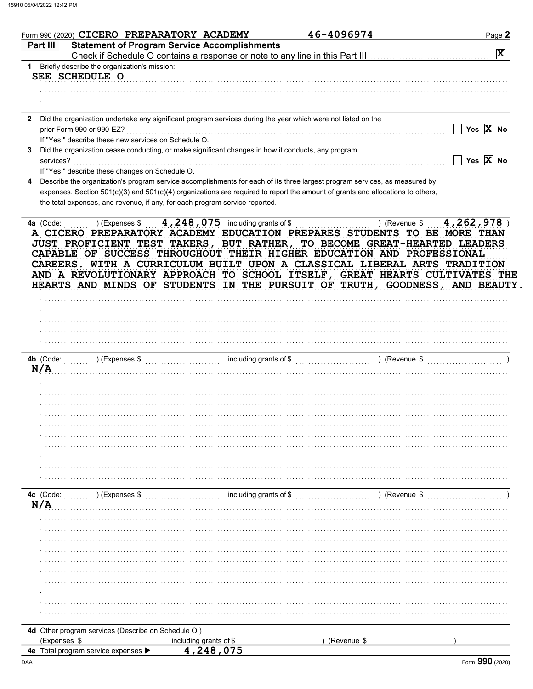| Part III                  | Form 990 (2020) CICERO PREPARATORY ACADEMY           |                                                                                                                                                                                                                                                                                                                                             | 46-4096974                                                                                                                                                                                                                    | Page 2                |
|---------------------------|------------------------------------------------------|---------------------------------------------------------------------------------------------------------------------------------------------------------------------------------------------------------------------------------------------------------------------------------------------------------------------------------------------|-------------------------------------------------------------------------------------------------------------------------------------------------------------------------------------------------------------------------------|-----------------------|
|                           |                                                      | <b>Statement of Program Service Accomplishments</b>                                                                                                                                                                                                                                                                                         | Check if Schedule O contains a response or note to any line in this Part III                                                                                                                                                  | X                     |
|                           | 1 Briefly describe the organization's mission:       |                                                                                                                                                                                                                                                                                                                                             |                                                                                                                                                                                                                               |                       |
| SEE SCHEDULE O            |                                                      |                                                                                                                                                                                                                                                                                                                                             |                                                                                                                                                                                                                               |                       |
|                           |                                                      |                                                                                                                                                                                                                                                                                                                                             |                                                                                                                                                                                                                               |                       |
|                           |                                                      |                                                                                                                                                                                                                                                                                                                                             |                                                                                                                                                                                                                               |                       |
| prior Form 990 or 990-EZ? |                                                      | 2 Did the organization undertake any significant program services during the year which were not listed on the                                                                                                                                                                                                                              |                                                                                                                                                                                                                               | Yes $X$ No            |
|                           | If "Yes," describe these new services on Schedule O. |                                                                                                                                                                                                                                                                                                                                             |                                                                                                                                                                                                                               |                       |
| services?                 |                                                      | Did the organization cease conducting, or make significant changes in how it conducts, any program                                                                                                                                                                                                                                          |                                                                                                                                                                                                                               | Yes $\overline{X}$ No |
|                           | If "Yes," describe these changes on Schedule O.      |                                                                                                                                                                                                                                                                                                                                             |                                                                                                                                                                                                                               |                       |
|                           |                                                      | Describe the organization's program service accomplishments for each of its three largest program services, as measured by<br>expenses. Section 501(c)(3) and 501(c)(4) organizations are required to report the amount of grants and allocations to others,<br>the total expenses, and revenue, if any, for each program service reported. |                                                                                                                                                                                                                               |                       |
| 4a (Code:                 |                                                      | $(1)$ (Expenses \$ 4, 248, 075 including grants of \$                                                                                                                                                                                                                                                                                       | ) (Revenue \$<br>A CICERO PREPARATORY ACADEMY EDUCATION PREPARES STUDENTS TO BE MORE THAN                                                                                                                                     | 4,262,978)            |
|                           |                                                      |                                                                                                                                                                                                                                                                                                                                             | JUST PROFICIENT TEST TAKERS, BUT RATHER, TO BECOME GREAT-HEARTED LEADERS<br>CAPABLE OF SUCCESS THROUGHOUT THEIR HIGHER EDUCATION AND PROFESSIONAL<br>CAREERS. WITH A CURRICULUM BUILT UPON A CLASSICAL LIBERAL ARTS TRADITION |                       |
|                           |                                                      |                                                                                                                                                                                                                                                                                                                                             | AND A REVOLUTIONARY APPROACH TO SCHOOL ITSELF, GREAT HEARTS CULTIVATES THE                                                                                                                                                    |                       |
|                           |                                                      |                                                                                                                                                                                                                                                                                                                                             | HEARTS AND MINDS OF STUDENTS IN THE PURSUIT OF TRUTH, GOODNESS, AND BEAUTY                                                                                                                                                    |                       |
|                           |                                                      |                                                                                                                                                                                                                                                                                                                                             |                                                                                                                                                                                                                               |                       |
|                           |                                                      |                                                                                                                                                                                                                                                                                                                                             |                                                                                                                                                                                                                               |                       |
|                           |                                                      |                                                                                                                                                                                                                                                                                                                                             |                                                                                                                                                                                                                               |                       |
|                           |                                                      |                                                                                                                                                                                                                                                                                                                                             |                                                                                                                                                                                                                               |                       |
|                           |                                                      |                                                                                                                                                                                                                                                                                                                                             |                                                                                                                                                                                                                               |                       |
|                           |                                                      |                                                                                                                                                                                                                                                                                                                                             |                                                                                                                                                                                                                               |                       |
| 4b (Code:<br>N/A          | ) (Expenses \$                                       | including grants of \$                                                                                                                                                                                                                                                                                                                      | ) (Revenue \$                                                                                                                                                                                                                 |                       |
|                           |                                                      |                                                                                                                                                                                                                                                                                                                                             |                                                                                                                                                                                                                               |                       |
|                           |                                                      |                                                                                                                                                                                                                                                                                                                                             |                                                                                                                                                                                                                               |                       |
|                           |                                                      |                                                                                                                                                                                                                                                                                                                                             |                                                                                                                                                                                                                               |                       |
|                           |                                                      |                                                                                                                                                                                                                                                                                                                                             |                                                                                                                                                                                                                               |                       |
|                           |                                                      |                                                                                                                                                                                                                                                                                                                                             |                                                                                                                                                                                                                               |                       |
|                           |                                                      |                                                                                                                                                                                                                                                                                                                                             |                                                                                                                                                                                                                               |                       |
|                           |                                                      |                                                                                                                                                                                                                                                                                                                                             |                                                                                                                                                                                                                               |                       |
|                           |                                                      |                                                                                                                                                                                                                                                                                                                                             |                                                                                                                                                                                                                               |                       |
|                           |                                                      |                                                                                                                                                                                                                                                                                                                                             |                                                                                                                                                                                                                               |                       |
|                           |                                                      |                                                                                                                                                                                                                                                                                                                                             |                                                                                                                                                                                                                               |                       |
|                           |                                                      |                                                                                                                                                                                                                                                                                                                                             |                                                                                                                                                                                                                               |                       |
|                           |                                                      |                                                                                                                                                                                                                                                                                                                                             |                                                                                                                                                                                                                               |                       |
|                           | ) (Expenses \$                                       | including grants of \$                                                                                                                                                                                                                                                                                                                      | ) (Revenue \$                                                                                                                                                                                                                 |                       |
|                           |                                                      |                                                                                                                                                                                                                                                                                                                                             |                                                                                                                                                                                                                               |                       |
|                           |                                                      |                                                                                                                                                                                                                                                                                                                                             |                                                                                                                                                                                                                               |                       |
|                           |                                                      |                                                                                                                                                                                                                                                                                                                                             |                                                                                                                                                                                                                               |                       |
|                           |                                                      |                                                                                                                                                                                                                                                                                                                                             |                                                                                                                                                                                                                               |                       |
|                           |                                                      |                                                                                                                                                                                                                                                                                                                                             |                                                                                                                                                                                                                               |                       |
|                           |                                                      |                                                                                                                                                                                                                                                                                                                                             |                                                                                                                                                                                                                               |                       |
|                           |                                                      |                                                                                                                                                                                                                                                                                                                                             |                                                                                                                                                                                                                               |                       |
|                           |                                                      |                                                                                                                                                                                                                                                                                                                                             |                                                                                                                                                                                                                               |                       |
| 4c (Code:<br>N/A          |                                                      |                                                                                                                                                                                                                                                                                                                                             |                                                                                                                                                                                                                               |                       |
|                           |                                                      |                                                                                                                                                                                                                                                                                                                                             |                                                                                                                                                                                                                               |                       |
|                           |                                                      |                                                                                                                                                                                                                                                                                                                                             |                                                                                                                                                                                                                               |                       |
|                           | 4d Other program services (Describe on Schedule O.)  |                                                                                                                                                                                                                                                                                                                                             |                                                                                                                                                                                                                               |                       |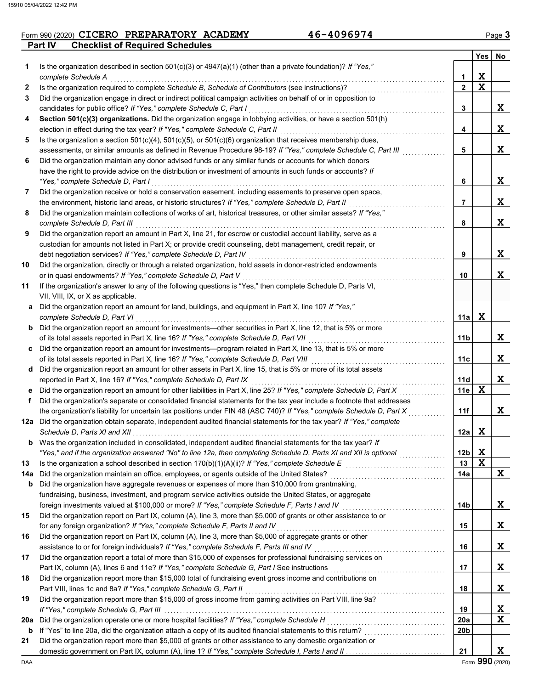### **Part IV** Checklist of Required Schedules Form 990 (2020) CICERO PREPARATORY ACADEMY  $46-4096974$  Page 3

| Is the organization described in section $501(c)(3)$ or $4947(a)(1)$ (other than a private foundation)? If "Yes,"<br>1<br>complete Schedule A<br>Is the organization required to complete Schedule B, Schedule of Contributors (see instructions)?<br>2<br>Did the organization engage in direct or indirect political campaign activities on behalf of or in opposition to<br>3<br>candidates for public office? If "Yes," complete Schedule C, Part I<br>Section 501(c)(3) organizations. Did the organization engage in lobbying activities, or have a section 501(h)<br>4<br>election in effect during the tax year? If "Yes," complete Schedule C, Part II<br>Is the organization a section $501(c)(4)$ , $501(c)(5)$ , or $501(c)(6)$ organization that receives membership dues,<br>5<br>assessments, or similar amounts as defined in Revenue Procedure 98-19? If "Yes," complete Schedule C, Part III<br>6<br>Did the organization maintain any donor advised funds or any similar funds or accounts for which donors<br>have the right to provide advice on the distribution or investment of amounts in such funds or accounts? If<br>"Yes," complete Schedule D, Part I<br>Did the organization receive or hold a conservation easement, including easements to preserve open space,<br>7<br>the environment, historic land areas, or historic structures? If "Yes," complete Schedule D, Part II<br>Did the organization maintain collections of works of art, historical treasures, or other similar assets? If "Yes,"<br>8<br>complete Schedule D, Part III<br>Did the organization report an amount in Part X, line 21, for escrow or custodial account liability, serve as a<br>9<br>custodian for amounts not listed in Part X; or provide credit counseling, debt management, credit repair, or<br>debt negotiation services? If "Yes," complete Schedule D, Part IV<br>10<br>Did the organization, directly or through a related organization, hold assets in donor-restricted endowments<br>or in quasi endowments? If "Yes," complete Schedule D, Part V<br>If the organization's answer to any of the following questions is "Yes," then complete Schedule D, Parts VI,<br>11<br>VII, VIII, IX, or X as applicable.<br>a Did the organization report an amount for land, buildings, and equipment in Part X, line 10? If "Yes,"<br>complete Schedule D, Part VI<br><b>b</b> Did the organization report an amount for investments—other securities in Part X, line 12, that is 5% or more<br>of its total assets reported in Part X, line 16? If "Yes," complete Schedule D, Part VII<br>c Did the organization report an amount for investments—program related in Part X, line 13, that is 5% or more<br>of its total assets reported in Part X, line 16? If "Yes," complete Schedule D, Part VIII [[[[[[[[[[[[[[[[[[[<br>d Did the organization report an amount for other assets in Part X, line 15, that is 5% or more of its total assets<br>reported in Part X, line 16? If "Yes," complete Schedule D, Part IX<br>e Did the organization report an amount for other liabilities in Part X, line 25? If "Yes," complete Schedule D, Part X<br>Did the organization's separate or consolidated financial statements for the tax year include a footnote that addresses<br>f.<br>the organization's liability for uncertain tax positions under FIN 48 (ASC 740)? If "Yes," complete Schedule D, Part X<br>12a Did the organization obtain separate, independent audited financial statements for the tax year? If "Yes," complete<br>Was the organization included in consolidated, independent audited financial statements for the tax year? If<br>"Yes," and if the organization answered "No" to line 12a, then completing Schedule D, Parts XI and XII is optional<br>13<br>Did the organization maintain an office, employees, or agents outside of the United States?<br>14a l<br>Did the organization have aggregate revenues or expenses of more than \$10,000 from grantmaking,<br>b<br>fundraising, business, investment, and program service activities outside the United States, or aggregate<br>foreign investments valued at \$100,000 or more? If "Yes," complete Schedule F, Parts I and IV<br>15<br>Did the organization report on Part IX, column (A), line 3, more than \$5,000 of grants or other assistance to or<br>for any foreign organization? If "Yes," complete Schedule F, Parts II and IV<br>16<br>Did the organization report on Part IX, column (A), line 3, more than \$5,000 of aggregate grants or other<br>assistance to or for foreign individuals? If "Yes," complete Schedule F, Parts III and IV<br>Did the organization report a total of more than \$15,000 of expenses for professional fundraising services on<br>17<br>Part IX, column (A), lines 6 and 11e? If "Yes," complete Schedule G, Part I See instructions [[[[[[[[[[[[[[[[<br>18<br>Did the organization report more than \$15,000 total of fundraising event gross income and contributions on<br>Part VIII, lines 1c and 8a? If "Yes," complete Schedule G, Part II<br>19<br>Did the organization report more than \$15,000 of gross income from gaming activities on Part VIII, line 9a?<br>20a Did the organization operate one or more hospital facilities? If "Yes," complete Schedule H <sub>……………………………………</sub><br>b<br>Did the organization report more than \$5,000 of grants or other assistance to any domestic organization or<br>21 |                 | Yes <sub>1</sub> | No |
|-----------------------------------------------------------------------------------------------------------------------------------------------------------------------------------------------------------------------------------------------------------------------------------------------------------------------------------------------------------------------------------------------------------------------------------------------------------------------------------------------------------------------------------------------------------------------------------------------------------------------------------------------------------------------------------------------------------------------------------------------------------------------------------------------------------------------------------------------------------------------------------------------------------------------------------------------------------------------------------------------------------------------------------------------------------------------------------------------------------------------------------------------------------------------------------------------------------------------------------------------------------------------------------------------------------------------------------------------------------------------------------------------------------------------------------------------------------------------------------------------------------------------------------------------------------------------------------------------------------------------------------------------------------------------------------------------------------------------------------------------------------------------------------------------------------------------------------------------------------------------------------------------------------------------------------------------------------------------------------------------------------------------------------------------------------------------------------------------------------------------------------------------------------------------------------------------------------------------------------------------------------------------------------------------------------------------------------------------------------------------------------------------------------------------------------------------------------------------------------------------------------------------------------------------------------------------------------------------------------------------------------------------------------------------------------------------------------------------------------------------------------------------------------------------------------------------------------------------------------------------------------------------------------------------------------------------------------------------------------------------------------------------------------------------------------------------------------------------------------------------------------------------------------------------------------------------------------------------------------------------------------------------------------------------------------------------------------------------------------------------------------------------------------------------------------------------------------------------------------------------------------------------------------------------------------------------------------------------------------------------------------------------------------------------------------------------------------------------------------------------------------------------------------------------------------------------------------------------------------------------------------------------------------------------------------------------------------------------------------------------------------------------------------------------------------------------------------------------------------------------------------------------------------------------------------------------------------------------------------------------------------------------------------------------------------------------------------------------------------------------------------------------------------------------------------------------------------------------------------------------------------------------------------------------------------------------------------------------------------------------------------------------------------------------------------------------------------------------------------------------------------------------------------------------------------------------------------------------------------------------------------------------------------------------------------------------------------------------------------------------------------------------------------------------------------------------------------------------------------------------------------------------------------------------------------------------------------------------------------------------------------------------------------------------------------------------------------------------------------------------------------------------------------------------------------------------------------------------------------------|-----------------|------------------|----|
|                                                                                                                                                                                                                                                                                                                                                                                                                                                                                                                                                                                                                                                                                                                                                                                                                                                                                                                                                                                                                                                                                                                                                                                                                                                                                                                                                                                                                                                                                                                                                                                                                                                                                                                                                                                                                                                                                                                                                                                                                                                                                                                                                                                                                                                                                                                                                                                                                                                                                                                                                                                                                                                                                                                                                                                                                                                                                                                                                                                                                                                                                                                                                                                                                                                                                                                                                                                                                                                                                                                                                                                                                                                                                                                                                                                                                                                                                                                                                                                                                                                                                                                                                                                                                                                                                                                                                                                                                                                                                                                                                                                                                                                                                                                                                                                                                                                                                                                                                                                                                                                                                                                                                                                                                                                                                                                                                                                                                                                                                         |                 |                  |    |
|                                                                                                                                                                                                                                                                                                                                                                                                                                                                                                                                                                                                                                                                                                                                                                                                                                                                                                                                                                                                                                                                                                                                                                                                                                                                                                                                                                                                                                                                                                                                                                                                                                                                                                                                                                                                                                                                                                                                                                                                                                                                                                                                                                                                                                                                                                                                                                                                                                                                                                                                                                                                                                                                                                                                                                                                                                                                                                                                                                                                                                                                                                                                                                                                                                                                                                                                                                                                                                                                                                                                                                                                                                                                                                                                                                                                                                                                                                                                                                                                                                                                                                                                                                                                                                                                                                                                                                                                                                                                                                                                                                                                                                                                                                                                                                                                                                                                                                                                                                                                                                                                                                                                                                                                                                                                                                                                                                                                                                                                                         | 1               | X                |    |
|                                                                                                                                                                                                                                                                                                                                                                                                                                                                                                                                                                                                                                                                                                                                                                                                                                                                                                                                                                                                                                                                                                                                                                                                                                                                                                                                                                                                                                                                                                                                                                                                                                                                                                                                                                                                                                                                                                                                                                                                                                                                                                                                                                                                                                                                                                                                                                                                                                                                                                                                                                                                                                                                                                                                                                                                                                                                                                                                                                                                                                                                                                                                                                                                                                                                                                                                                                                                                                                                                                                                                                                                                                                                                                                                                                                                                                                                                                                                                                                                                                                                                                                                                                                                                                                                                                                                                                                                                                                                                                                                                                                                                                                                                                                                                                                                                                                                                                                                                                                                                                                                                                                                                                                                                                                                                                                                                                                                                                                                                         | $\mathbf{2}$    | $\mathbf x$      |    |
|                                                                                                                                                                                                                                                                                                                                                                                                                                                                                                                                                                                                                                                                                                                                                                                                                                                                                                                                                                                                                                                                                                                                                                                                                                                                                                                                                                                                                                                                                                                                                                                                                                                                                                                                                                                                                                                                                                                                                                                                                                                                                                                                                                                                                                                                                                                                                                                                                                                                                                                                                                                                                                                                                                                                                                                                                                                                                                                                                                                                                                                                                                                                                                                                                                                                                                                                                                                                                                                                                                                                                                                                                                                                                                                                                                                                                                                                                                                                                                                                                                                                                                                                                                                                                                                                                                                                                                                                                                                                                                                                                                                                                                                                                                                                                                                                                                                                                                                                                                                                                                                                                                                                                                                                                                                                                                                                                                                                                                                                                         |                 |                  |    |
|                                                                                                                                                                                                                                                                                                                                                                                                                                                                                                                                                                                                                                                                                                                                                                                                                                                                                                                                                                                                                                                                                                                                                                                                                                                                                                                                                                                                                                                                                                                                                                                                                                                                                                                                                                                                                                                                                                                                                                                                                                                                                                                                                                                                                                                                                                                                                                                                                                                                                                                                                                                                                                                                                                                                                                                                                                                                                                                                                                                                                                                                                                                                                                                                                                                                                                                                                                                                                                                                                                                                                                                                                                                                                                                                                                                                                                                                                                                                                                                                                                                                                                                                                                                                                                                                                                                                                                                                                                                                                                                                                                                                                                                                                                                                                                                                                                                                                                                                                                                                                                                                                                                                                                                                                                                                                                                                                                                                                                                                                         | 3               |                  | X  |
|                                                                                                                                                                                                                                                                                                                                                                                                                                                                                                                                                                                                                                                                                                                                                                                                                                                                                                                                                                                                                                                                                                                                                                                                                                                                                                                                                                                                                                                                                                                                                                                                                                                                                                                                                                                                                                                                                                                                                                                                                                                                                                                                                                                                                                                                                                                                                                                                                                                                                                                                                                                                                                                                                                                                                                                                                                                                                                                                                                                                                                                                                                                                                                                                                                                                                                                                                                                                                                                                                                                                                                                                                                                                                                                                                                                                                                                                                                                                                                                                                                                                                                                                                                                                                                                                                                                                                                                                                                                                                                                                                                                                                                                                                                                                                                                                                                                                                                                                                                                                                                                                                                                                                                                                                                                                                                                                                                                                                                                                                         |                 |                  |    |
|                                                                                                                                                                                                                                                                                                                                                                                                                                                                                                                                                                                                                                                                                                                                                                                                                                                                                                                                                                                                                                                                                                                                                                                                                                                                                                                                                                                                                                                                                                                                                                                                                                                                                                                                                                                                                                                                                                                                                                                                                                                                                                                                                                                                                                                                                                                                                                                                                                                                                                                                                                                                                                                                                                                                                                                                                                                                                                                                                                                                                                                                                                                                                                                                                                                                                                                                                                                                                                                                                                                                                                                                                                                                                                                                                                                                                                                                                                                                                                                                                                                                                                                                                                                                                                                                                                                                                                                                                                                                                                                                                                                                                                                                                                                                                                                                                                                                                                                                                                                                                                                                                                                                                                                                                                                                                                                                                                                                                                                                                         | 4               |                  | X  |
|                                                                                                                                                                                                                                                                                                                                                                                                                                                                                                                                                                                                                                                                                                                                                                                                                                                                                                                                                                                                                                                                                                                                                                                                                                                                                                                                                                                                                                                                                                                                                                                                                                                                                                                                                                                                                                                                                                                                                                                                                                                                                                                                                                                                                                                                                                                                                                                                                                                                                                                                                                                                                                                                                                                                                                                                                                                                                                                                                                                                                                                                                                                                                                                                                                                                                                                                                                                                                                                                                                                                                                                                                                                                                                                                                                                                                                                                                                                                                                                                                                                                                                                                                                                                                                                                                                                                                                                                                                                                                                                                                                                                                                                                                                                                                                                                                                                                                                                                                                                                                                                                                                                                                                                                                                                                                                                                                                                                                                                                                         |                 |                  |    |
|                                                                                                                                                                                                                                                                                                                                                                                                                                                                                                                                                                                                                                                                                                                                                                                                                                                                                                                                                                                                                                                                                                                                                                                                                                                                                                                                                                                                                                                                                                                                                                                                                                                                                                                                                                                                                                                                                                                                                                                                                                                                                                                                                                                                                                                                                                                                                                                                                                                                                                                                                                                                                                                                                                                                                                                                                                                                                                                                                                                                                                                                                                                                                                                                                                                                                                                                                                                                                                                                                                                                                                                                                                                                                                                                                                                                                                                                                                                                                                                                                                                                                                                                                                                                                                                                                                                                                                                                                                                                                                                                                                                                                                                                                                                                                                                                                                                                                                                                                                                                                                                                                                                                                                                                                                                                                                                                                                                                                                                                                         | 5               |                  | X  |
|                                                                                                                                                                                                                                                                                                                                                                                                                                                                                                                                                                                                                                                                                                                                                                                                                                                                                                                                                                                                                                                                                                                                                                                                                                                                                                                                                                                                                                                                                                                                                                                                                                                                                                                                                                                                                                                                                                                                                                                                                                                                                                                                                                                                                                                                                                                                                                                                                                                                                                                                                                                                                                                                                                                                                                                                                                                                                                                                                                                                                                                                                                                                                                                                                                                                                                                                                                                                                                                                                                                                                                                                                                                                                                                                                                                                                                                                                                                                                                                                                                                                                                                                                                                                                                                                                                                                                                                                                                                                                                                                                                                                                                                                                                                                                                                                                                                                                                                                                                                                                                                                                                                                                                                                                                                                                                                                                                                                                                                                                         |                 |                  |    |
|                                                                                                                                                                                                                                                                                                                                                                                                                                                                                                                                                                                                                                                                                                                                                                                                                                                                                                                                                                                                                                                                                                                                                                                                                                                                                                                                                                                                                                                                                                                                                                                                                                                                                                                                                                                                                                                                                                                                                                                                                                                                                                                                                                                                                                                                                                                                                                                                                                                                                                                                                                                                                                                                                                                                                                                                                                                                                                                                                                                                                                                                                                                                                                                                                                                                                                                                                                                                                                                                                                                                                                                                                                                                                                                                                                                                                                                                                                                                                                                                                                                                                                                                                                                                                                                                                                                                                                                                                                                                                                                                                                                                                                                                                                                                                                                                                                                                                                                                                                                                                                                                                                                                                                                                                                                                                                                                                                                                                                                                                         |                 |                  |    |
|                                                                                                                                                                                                                                                                                                                                                                                                                                                                                                                                                                                                                                                                                                                                                                                                                                                                                                                                                                                                                                                                                                                                                                                                                                                                                                                                                                                                                                                                                                                                                                                                                                                                                                                                                                                                                                                                                                                                                                                                                                                                                                                                                                                                                                                                                                                                                                                                                                                                                                                                                                                                                                                                                                                                                                                                                                                                                                                                                                                                                                                                                                                                                                                                                                                                                                                                                                                                                                                                                                                                                                                                                                                                                                                                                                                                                                                                                                                                                                                                                                                                                                                                                                                                                                                                                                                                                                                                                                                                                                                                                                                                                                                                                                                                                                                                                                                                                                                                                                                                                                                                                                                                                                                                                                                                                                                                                                                                                                                                                         | 6               |                  | X  |
|                                                                                                                                                                                                                                                                                                                                                                                                                                                                                                                                                                                                                                                                                                                                                                                                                                                                                                                                                                                                                                                                                                                                                                                                                                                                                                                                                                                                                                                                                                                                                                                                                                                                                                                                                                                                                                                                                                                                                                                                                                                                                                                                                                                                                                                                                                                                                                                                                                                                                                                                                                                                                                                                                                                                                                                                                                                                                                                                                                                                                                                                                                                                                                                                                                                                                                                                                                                                                                                                                                                                                                                                                                                                                                                                                                                                                                                                                                                                                                                                                                                                                                                                                                                                                                                                                                                                                                                                                                                                                                                                                                                                                                                                                                                                                                                                                                                                                                                                                                                                                                                                                                                                                                                                                                                                                                                                                                                                                                                                                         | 7               |                  | X  |
|                                                                                                                                                                                                                                                                                                                                                                                                                                                                                                                                                                                                                                                                                                                                                                                                                                                                                                                                                                                                                                                                                                                                                                                                                                                                                                                                                                                                                                                                                                                                                                                                                                                                                                                                                                                                                                                                                                                                                                                                                                                                                                                                                                                                                                                                                                                                                                                                                                                                                                                                                                                                                                                                                                                                                                                                                                                                                                                                                                                                                                                                                                                                                                                                                                                                                                                                                                                                                                                                                                                                                                                                                                                                                                                                                                                                                                                                                                                                                                                                                                                                                                                                                                                                                                                                                                                                                                                                                                                                                                                                                                                                                                                                                                                                                                                                                                                                                                                                                                                                                                                                                                                                                                                                                                                                                                                                                                                                                                                                                         |                 |                  |    |
|                                                                                                                                                                                                                                                                                                                                                                                                                                                                                                                                                                                                                                                                                                                                                                                                                                                                                                                                                                                                                                                                                                                                                                                                                                                                                                                                                                                                                                                                                                                                                                                                                                                                                                                                                                                                                                                                                                                                                                                                                                                                                                                                                                                                                                                                                                                                                                                                                                                                                                                                                                                                                                                                                                                                                                                                                                                                                                                                                                                                                                                                                                                                                                                                                                                                                                                                                                                                                                                                                                                                                                                                                                                                                                                                                                                                                                                                                                                                                                                                                                                                                                                                                                                                                                                                                                                                                                                                                                                                                                                                                                                                                                                                                                                                                                                                                                                                                                                                                                                                                                                                                                                                                                                                                                                                                                                                                                                                                                                                                         | 8               |                  | X  |
|                                                                                                                                                                                                                                                                                                                                                                                                                                                                                                                                                                                                                                                                                                                                                                                                                                                                                                                                                                                                                                                                                                                                                                                                                                                                                                                                                                                                                                                                                                                                                                                                                                                                                                                                                                                                                                                                                                                                                                                                                                                                                                                                                                                                                                                                                                                                                                                                                                                                                                                                                                                                                                                                                                                                                                                                                                                                                                                                                                                                                                                                                                                                                                                                                                                                                                                                                                                                                                                                                                                                                                                                                                                                                                                                                                                                                                                                                                                                                                                                                                                                                                                                                                                                                                                                                                                                                                                                                                                                                                                                                                                                                                                                                                                                                                                                                                                                                                                                                                                                                                                                                                                                                                                                                                                                                                                                                                                                                                                                                         |                 |                  |    |
|                                                                                                                                                                                                                                                                                                                                                                                                                                                                                                                                                                                                                                                                                                                                                                                                                                                                                                                                                                                                                                                                                                                                                                                                                                                                                                                                                                                                                                                                                                                                                                                                                                                                                                                                                                                                                                                                                                                                                                                                                                                                                                                                                                                                                                                                                                                                                                                                                                                                                                                                                                                                                                                                                                                                                                                                                                                                                                                                                                                                                                                                                                                                                                                                                                                                                                                                                                                                                                                                                                                                                                                                                                                                                                                                                                                                                                                                                                                                                                                                                                                                                                                                                                                                                                                                                                                                                                                                                                                                                                                                                                                                                                                                                                                                                                                                                                                                                                                                                                                                                                                                                                                                                                                                                                                                                                                                                                                                                                                                                         |                 |                  |    |
|                                                                                                                                                                                                                                                                                                                                                                                                                                                                                                                                                                                                                                                                                                                                                                                                                                                                                                                                                                                                                                                                                                                                                                                                                                                                                                                                                                                                                                                                                                                                                                                                                                                                                                                                                                                                                                                                                                                                                                                                                                                                                                                                                                                                                                                                                                                                                                                                                                                                                                                                                                                                                                                                                                                                                                                                                                                                                                                                                                                                                                                                                                                                                                                                                                                                                                                                                                                                                                                                                                                                                                                                                                                                                                                                                                                                                                                                                                                                                                                                                                                                                                                                                                                                                                                                                                                                                                                                                                                                                                                                                                                                                                                                                                                                                                                                                                                                                                                                                                                                                                                                                                                                                                                                                                                                                                                                                                                                                                                                                         | 9               |                  | X  |
|                                                                                                                                                                                                                                                                                                                                                                                                                                                                                                                                                                                                                                                                                                                                                                                                                                                                                                                                                                                                                                                                                                                                                                                                                                                                                                                                                                                                                                                                                                                                                                                                                                                                                                                                                                                                                                                                                                                                                                                                                                                                                                                                                                                                                                                                                                                                                                                                                                                                                                                                                                                                                                                                                                                                                                                                                                                                                                                                                                                                                                                                                                                                                                                                                                                                                                                                                                                                                                                                                                                                                                                                                                                                                                                                                                                                                                                                                                                                                                                                                                                                                                                                                                                                                                                                                                                                                                                                                                                                                                                                                                                                                                                                                                                                                                                                                                                                                                                                                                                                                                                                                                                                                                                                                                                                                                                                                                                                                                                                                         |                 |                  |    |
|                                                                                                                                                                                                                                                                                                                                                                                                                                                                                                                                                                                                                                                                                                                                                                                                                                                                                                                                                                                                                                                                                                                                                                                                                                                                                                                                                                                                                                                                                                                                                                                                                                                                                                                                                                                                                                                                                                                                                                                                                                                                                                                                                                                                                                                                                                                                                                                                                                                                                                                                                                                                                                                                                                                                                                                                                                                                                                                                                                                                                                                                                                                                                                                                                                                                                                                                                                                                                                                                                                                                                                                                                                                                                                                                                                                                                                                                                                                                                                                                                                                                                                                                                                                                                                                                                                                                                                                                                                                                                                                                                                                                                                                                                                                                                                                                                                                                                                                                                                                                                                                                                                                                                                                                                                                                                                                                                                                                                                                                                         | 10              |                  | X  |
|                                                                                                                                                                                                                                                                                                                                                                                                                                                                                                                                                                                                                                                                                                                                                                                                                                                                                                                                                                                                                                                                                                                                                                                                                                                                                                                                                                                                                                                                                                                                                                                                                                                                                                                                                                                                                                                                                                                                                                                                                                                                                                                                                                                                                                                                                                                                                                                                                                                                                                                                                                                                                                                                                                                                                                                                                                                                                                                                                                                                                                                                                                                                                                                                                                                                                                                                                                                                                                                                                                                                                                                                                                                                                                                                                                                                                                                                                                                                                                                                                                                                                                                                                                                                                                                                                                                                                                                                                                                                                                                                                                                                                                                                                                                                                                                                                                                                                                                                                                                                                                                                                                                                                                                                                                                                                                                                                                                                                                                                                         |                 |                  |    |
|                                                                                                                                                                                                                                                                                                                                                                                                                                                                                                                                                                                                                                                                                                                                                                                                                                                                                                                                                                                                                                                                                                                                                                                                                                                                                                                                                                                                                                                                                                                                                                                                                                                                                                                                                                                                                                                                                                                                                                                                                                                                                                                                                                                                                                                                                                                                                                                                                                                                                                                                                                                                                                                                                                                                                                                                                                                                                                                                                                                                                                                                                                                                                                                                                                                                                                                                                                                                                                                                                                                                                                                                                                                                                                                                                                                                                                                                                                                                                                                                                                                                                                                                                                                                                                                                                                                                                                                                                                                                                                                                                                                                                                                                                                                                                                                                                                                                                                                                                                                                                                                                                                                                                                                                                                                                                                                                                                                                                                                                                         |                 |                  |    |
|                                                                                                                                                                                                                                                                                                                                                                                                                                                                                                                                                                                                                                                                                                                                                                                                                                                                                                                                                                                                                                                                                                                                                                                                                                                                                                                                                                                                                                                                                                                                                                                                                                                                                                                                                                                                                                                                                                                                                                                                                                                                                                                                                                                                                                                                                                                                                                                                                                                                                                                                                                                                                                                                                                                                                                                                                                                                                                                                                                                                                                                                                                                                                                                                                                                                                                                                                                                                                                                                                                                                                                                                                                                                                                                                                                                                                                                                                                                                                                                                                                                                                                                                                                                                                                                                                                                                                                                                                                                                                                                                                                                                                                                                                                                                                                                                                                                                                                                                                                                                                                                                                                                                                                                                                                                                                                                                                                                                                                                                                         |                 |                  |    |
|                                                                                                                                                                                                                                                                                                                                                                                                                                                                                                                                                                                                                                                                                                                                                                                                                                                                                                                                                                                                                                                                                                                                                                                                                                                                                                                                                                                                                                                                                                                                                                                                                                                                                                                                                                                                                                                                                                                                                                                                                                                                                                                                                                                                                                                                                                                                                                                                                                                                                                                                                                                                                                                                                                                                                                                                                                                                                                                                                                                                                                                                                                                                                                                                                                                                                                                                                                                                                                                                                                                                                                                                                                                                                                                                                                                                                                                                                                                                                                                                                                                                                                                                                                                                                                                                                                                                                                                                                                                                                                                                                                                                                                                                                                                                                                                                                                                                                                                                                                                                                                                                                                                                                                                                                                                                                                                                                                                                                                                                                         | 11a             | X                |    |
|                                                                                                                                                                                                                                                                                                                                                                                                                                                                                                                                                                                                                                                                                                                                                                                                                                                                                                                                                                                                                                                                                                                                                                                                                                                                                                                                                                                                                                                                                                                                                                                                                                                                                                                                                                                                                                                                                                                                                                                                                                                                                                                                                                                                                                                                                                                                                                                                                                                                                                                                                                                                                                                                                                                                                                                                                                                                                                                                                                                                                                                                                                                                                                                                                                                                                                                                                                                                                                                                                                                                                                                                                                                                                                                                                                                                                                                                                                                                                                                                                                                                                                                                                                                                                                                                                                                                                                                                                                                                                                                                                                                                                                                                                                                                                                                                                                                                                                                                                                                                                                                                                                                                                                                                                                                                                                                                                                                                                                                                                         |                 |                  |    |
|                                                                                                                                                                                                                                                                                                                                                                                                                                                                                                                                                                                                                                                                                                                                                                                                                                                                                                                                                                                                                                                                                                                                                                                                                                                                                                                                                                                                                                                                                                                                                                                                                                                                                                                                                                                                                                                                                                                                                                                                                                                                                                                                                                                                                                                                                                                                                                                                                                                                                                                                                                                                                                                                                                                                                                                                                                                                                                                                                                                                                                                                                                                                                                                                                                                                                                                                                                                                                                                                                                                                                                                                                                                                                                                                                                                                                                                                                                                                                                                                                                                                                                                                                                                                                                                                                                                                                                                                                                                                                                                                                                                                                                                                                                                                                                                                                                                                                                                                                                                                                                                                                                                                                                                                                                                                                                                                                                                                                                                                                         | 11b             |                  | X  |
|                                                                                                                                                                                                                                                                                                                                                                                                                                                                                                                                                                                                                                                                                                                                                                                                                                                                                                                                                                                                                                                                                                                                                                                                                                                                                                                                                                                                                                                                                                                                                                                                                                                                                                                                                                                                                                                                                                                                                                                                                                                                                                                                                                                                                                                                                                                                                                                                                                                                                                                                                                                                                                                                                                                                                                                                                                                                                                                                                                                                                                                                                                                                                                                                                                                                                                                                                                                                                                                                                                                                                                                                                                                                                                                                                                                                                                                                                                                                                                                                                                                                                                                                                                                                                                                                                                                                                                                                                                                                                                                                                                                                                                                                                                                                                                                                                                                                                                                                                                                                                                                                                                                                                                                                                                                                                                                                                                                                                                                                                         |                 |                  |    |
|                                                                                                                                                                                                                                                                                                                                                                                                                                                                                                                                                                                                                                                                                                                                                                                                                                                                                                                                                                                                                                                                                                                                                                                                                                                                                                                                                                                                                                                                                                                                                                                                                                                                                                                                                                                                                                                                                                                                                                                                                                                                                                                                                                                                                                                                                                                                                                                                                                                                                                                                                                                                                                                                                                                                                                                                                                                                                                                                                                                                                                                                                                                                                                                                                                                                                                                                                                                                                                                                                                                                                                                                                                                                                                                                                                                                                                                                                                                                                                                                                                                                                                                                                                                                                                                                                                                                                                                                                                                                                                                                                                                                                                                                                                                                                                                                                                                                                                                                                                                                                                                                                                                                                                                                                                                                                                                                                                                                                                                                                         | 11c             |                  | X  |
|                                                                                                                                                                                                                                                                                                                                                                                                                                                                                                                                                                                                                                                                                                                                                                                                                                                                                                                                                                                                                                                                                                                                                                                                                                                                                                                                                                                                                                                                                                                                                                                                                                                                                                                                                                                                                                                                                                                                                                                                                                                                                                                                                                                                                                                                                                                                                                                                                                                                                                                                                                                                                                                                                                                                                                                                                                                                                                                                                                                                                                                                                                                                                                                                                                                                                                                                                                                                                                                                                                                                                                                                                                                                                                                                                                                                                                                                                                                                                                                                                                                                                                                                                                                                                                                                                                                                                                                                                                                                                                                                                                                                                                                                                                                                                                                                                                                                                                                                                                                                                                                                                                                                                                                                                                                                                                                                                                                                                                                                                         |                 |                  |    |
|                                                                                                                                                                                                                                                                                                                                                                                                                                                                                                                                                                                                                                                                                                                                                                                                                                                                                                                                                                                                                                                                                                                                                                                                                                                                                                                                                                                                                                                                                                                                                                                                                                                                                                                                                                                                                                                                                                                                                                                                                                                                                                                                                                                                                                                                                                                                                                                                                                                                                                                                                                                                                                                                                                                                                                                                                                                                                                                                                                                                                                                                                                                                                                                                                                                                                                                                                                                                                                                                                                                                                                                                                                                                                                                                                                                                                                                                                                                                                                                                                                                                                                                                                                                                                                                                                                                                                                                                                                                                                                                                                                                                                                                                                                                                                                                                                                                                                                                                                                                                                                                                                                                                                                                                                                                                                                                                                                                                                                                                                         | 11d             |                  | X  |
|                                                                                                                                                                                                                                                                                                                                                                                                                                                                                                                                                                                                                                                                                                                                                                                                                                                                                                                                                                                                                                                                                                                                                                                                                                                                                                                                                                                                                                                                                                                                                                                                                                                                                                                                                                                                                                                                                                                                                                                                                                                                                                                                                                                                                                                                                                                                                                                                                                                                                                                                                                                                                                                                                                                                                                                                                                                                                                                                                                                                                                                                                                                                                                                                                                                                                                                                                                                                                                                                                                                                                                                                                                                                                                                                                                                                                                                                                                                                                                                                                                                                                                                                                                                                                                                                                                                                                                                                                                                                                                                                                                                                                                                                                                                                                                                                                                                                                                                                                                                                                                                                                                                                                                                                                                                                                                                                                                                                                                                                                         | 11e             | X                |    |
|                                                                                                                                                                                                                                                                                                                                                                                                                                                                                                                                                                                                                                                                                                                                                                                                                                                                                                                                                                                                                                                                                                                                                                                                                                                                                                                                                                                                                                                                                                                                                                                                                                                                                                                                                                                                                                                                                                                                                                                                                                                                                                                                                                                                                                                                                                                                                                                                                                                                                                                                                                                                                                                                                                                                                                                                                                                                                                                                                                                                                                                                                                                                                                                                                                                                                                                                                                                                                                                                                                                                                                                                                                                                                                                                                                                                                                                                                                                                                                                                                                                                                                                                                                                                                                                                                                                                                                                                                                                                                                                                                                                                                                                                                                                                                                                                                                                                                                                                                                                                                                                                                                                                                                                                                                                                                                                                                                                                                                                                                         |                 |                  |    |
|                                                                                                                                                                                                                                                                                                                                                                                                                                                                                                                                                                                                                                                                                                                                                                                                                                                                                                                                                                                                                                                                                                                                                                                                                                                                                                                                                                                                                                                                                                                                                                                                                                                                                                                                                                                                                                                                                                                                                                                                                                                                                                                                                                                                                                                                                                                                                                                                                                                                                                                                                                                                                                                                                                                                                                                                                                                                                                                                                                                                                                                                                                                                                                                                                                                                                                                                                                                                                                                                                                                                                                                                                                                                                                                                                                                                                                                                                                                                                                                                                                                                                                                                                                                                                                                                                                                                                                                                                                                                                                                                                                                                                                                                                                                                                                                                                                                                                                                                                                                                                                                                                                                                                                                                                                                                                                                                                                                                                                                                                         | 11f             |                  | X  |
|                                                                                                                                                                                                                                                                                                                                                                                                                                                                                                                                                                                                                                                                                                                                                                                                                                                                                                                                                                                                                                                                                                                                                                                                                                                                                                                                                                                                                                                                                                                                                                                                                                                                                                                                                                                                                                                                                                                                                                                                                                                                                                                                                                                                                                                                                                                                                                                                                                                                                                                                                                                                                                                                                                                                                                                                                                                                                                                                                                                                                                                                                                                                                                                                                                                                                                                                                                                                                                                                                                                                                                                                                                                                                                                                                                                                                                                                                                                                                                                                                                                                                                                                                                                                                                                                                                                                                                                                                                                                                                                                                                                                                                                                                                                                                                                                                                                                                                                                                                                                                                                                                                                                                                                                                                                                                                                                                                                                                                                                                         |                 |                  |    |
|                                                                                                                                                                                                                                                                                                                                                                                                                                                                                                                                                                                                                                                                                                                                                                                                                                                                                                                                                                                                                                                                                                                                                                                                                                                                                                                                                                                                                                                                                                                                                                                                                                                                                                                                                                                                                                                                                                                                                                                                                                                                                                                                                                                                                                                                                                                                                                                                                                                                                                                                                                                                                                                                                                                                                                                                                                                                                                                                                                                                                                                                                                                                                                                                                                                                                                                                                                                                                                                                                                                                                                                                                                                                                                                                                                                                                                                                                                                                                                                                                                                                                                                                                                                                                                                                                                                                                                                                                                                                                                                                                                                                                                                                                                                                                                                                                                                                                                                                                                                                                                                                                                                                                                                                                                                                                                                                                                                                                                                                                         | 12a             | X                |    |
|                                                                                                                                                                                                                                                                                                                                                                                                                                                                                                                                                                                                                                                                                                                                                                                                                                                                                                                                                                                                                                                                                                                                                                                                                                                                                                                                                                                                                                                                                                                                                                                                                                                                                                                                                                                                                                                                                                                                                                                                                                                                                                                                                                                                                                                                                                                                                                                                                                                                                                                                                                                                                                                                                                                                                                                                                                                                                                                                                                                                                                                                                                                                                                                                                                                                                                                                                                                                                                                                                                                                                                                                                                                                                                                                                                                                                                                                                                                                                                                                                                                                                                                                                                                                                                                                                                                                                                                                                                                                                                                                                                                                                                                                                                                                                                                                                                                                                                                                                                                                                                                                                                                                                                                                                                                                                                                                                                                                                                                                                         |                 |                  |    |
|                                                                                                                                                                                                                                                                                                                                                                                                                                                                                                                                                                                                                                                                                                                                                                                                                                                                                                                                                                                                                                                                                                                                                                                                                                                                                                                                                                                                                                                                                                                                                                                                                                                                                                                                                                                                                                                                                                                                                                                                                                                                                                                                                                                                                                                                                                                                                                                                                                                                                                                                                                                                                                                                                                                                                                                                                                                                                                                                                                                                                                                                                                                                                                                                                                                                                                                                                                                                                                                                                                                                                                                                                                                                                                                                                                                                                                                                                                                                                                                                                                                                                                                                                                                                                                                                                                                                                                                                                                                                                                                                                                                                                                                                                                                                                                                                                                                                                                                                                                                                                                                                                                                                                                                                                                                                                                                                                                                                                                                                                         | 12 <sub>b</sub> | X                |    |
|                                                                                                                                                                                                                                                                                                                                                                                                                                                                                                                                                                                                                                                                                                                                                                                                                                                                                                                                                                                                                                                                                                                                                                                                                                                                                                                                                                                                                                                                                                                                                                                                                                                                                                                                                                                                                                                                                                                                                                                                                                                                                                                                                                                                                                                                                                                                                                                                                                                                                                                                                                                                                                                                                                                                                                                                                                                                                                                                                                                                                                                                                                                                                                                                                                                                                                                                                                                                                                                                                                                                                                                                                                                                                                                                                                                                                                                                                                                                                                                                                                                                                                                                                                                                                                                                                                                                                                                                                                                                                                                                                                                                                                                                                                                                                                                                                                                                                                                                                                                                                                                                                                                                                                                                                                                                                                                                                                                                                                                                                         | 13              | X                |    |
|                                                                                                                                                                                                                                                                                                                                                                                                                                                                                                                                                                                                                                                                                                                                                                                                                                                                                                                                                                                                                                                                                                                                                                                                                                                                                                                                                                                                                                                                                                                                                                                                                                                                                                                                                                                                                                                                                                                                                                                                                                                                                                                                                                                                                                                                                                                                                                                                                                                                                                                                                                                                                                                                                                                                                                                                                                                                                                                                                                                                                                                                                                                                                                                                                                                                                                                                                                                                                                                                                                                                                                                                                                                                                                                                                                                                                                                                                                                                                                                                                                                                                                                                                                                                                                                                                                                                                                                                                                                                                                                                                                                                                                                                                                                                                                                                                                                                                                                                                                                                                                                                                                                                                                                                                                                                                                                                                                                                                                                                                         | 14a             |                  | X  |
|                                                                                                                                                                                                                                                                                                                                                                                                                                                                                                                                                                                                                                                                                                                                                                                                                                                                                                                                                                                                                                                                                                                                                                                                                                                                                                                                                                                                                                                                                                                                                                                                                                                                                                                                                                                                                                                                                                                                                                                                                                                                                                                                                                                                                                                                                                                                                                                                                                                                                                                                                                                                                                                                                                                                                                                                                                                                                                                                                                                                                                                                                                                                                                                                                                                                                                                                                                                                                                                                                                                                                                                                                                                                                                                                                                                                                                                                                                                                                                                                                                                                                                                                                                                                                                                                                                                                                                                                                                                                                                                                                                                                                                                                                                                                                                                                                                                                                                                                                                                                                                                                                                                                                                                                                                                                                                                                                                                                                                                                                         |                 |                  |    |
|                                                                                                                                                                                                                                                                                                                                                                                                                                                                                                                                                                                                                                                                                                                                                                                                                                                                                                                                                                                                                                                                                                                                                                                                                                                                                                                                                                                                                                                                                                                                                                                                                                                                                                                                                                                                                                                                                                                                                                                                                                                                                                                                                                                                                                                                                                                                                                                                                                                                                                                                                                                                                                                                                                                                                                                                                                                                                                                                                                                                                                                                                                                                                                                                                                                                                                                                                                                                                                                                                                                                                                                                                                                                                                                                                                                                                                                                                                                                                                                                                                                                                                                                                                                                                                                                                                                                                                                                                                                                                                                                                                                                                                                                                                                                                                                                                                                                                                                                                                                                                                                                                                                                                                                                                                                                                                                                                                                                                                                                                         |                 |                  |    |
|                                                                                                                                                                                                                                                                                                                                                                                                                                                                                                                                                                                                                                                                                                                                                                                                                                                                                                                                                                                                                                                                                                                                                                                                                                                                                                                                                                                                                                                                                                                                                                                                                                                                                                                                                                                                                                                                                                                                                                                                                                                                                                                                                                                                                                                                                                                                                                                                                                                                                                                                                                                                                                                                                                                                                                                                                                                                                                                                                                                                                                                                                                                                                                                                                                                                                                                                                                                                                                                                                                                                                                                                                                                                                                                                                                                                                                                                                                                                                                                                                                                                                                                                                                                                                                                                                                                                                                                                                                                                                                                                                                                                                                                                                                                                                                                                                                                                                                                                                                                                                                                                                                                                                                                                                                                                                                                                                                                                                                                                                         | 14b             |                  | X  |
|                                                                                                                                                                                                                                                                                                                                                                                                                                                                                                                                                                                                                                                                                                                                                                                                                                                                                                                                                                                                                                                                                                                                                                                                                                                                                                                                                                                                                                                                                                                                                                                                                                                                                                                                                                                                                                                                                                                                                                                                                                                                                                                                                                                                                                                                                                                                                                                                                                                                                                                                                                                                                                                                                                                                                                                                                                                                                                                                                                                                                                                                                                                                                                                                                                                                                                                                                                                                                                                                                                                                                                                                                                                                                                                                                                                                                                                                                                                                                                                                                                                                                                                                                                                                                                                                                                                                                                                                                                                                                                                                                                                                                                                                                                                                                                                                                                                                                                                                                                                                                                                                                                                                                                                                                                                                                                                                                                                                                                                                                         |                 |                  |    |
|                                                                                                                                                                                                                                                                                                                                                                                                                                                                                                                                                                                                                                                                                                                                                                                                                                                                                                                                                                                                                                                                                                                                                                                                                                                                                                                                                                                                                                                                                                                                                                                                                                                                                                                                                                                                                                                                                                                                                                                                                                                                                                                                                                                                                                                                                                                                                                                                                                                                                                                                                                                                                                                                                                                                                                                                                                                                                                                                                                                                                                                                                                                                                                                                                                                                                                                                                                                                                                                                                                                                                                                                                                                                                                                                                                                                                                                                                                                                                                                                                                                                                                                                                                                                                                                                                                                                                                                                                                                                                                                                                                                                                                                                                                                                                                                                                                                                                                                                                                                                                                                                                                                                                                                                                                                                                                                                                                                                                                                                                         | 15              |                  | X  |
|                                                                                                                                                                                                                                                                                                                                                                                                                                                                                                                                                                                                                                                                                                                                                                                                                                                                                                                                                                                                                                                                                                                                                                                                                                                                                                                                                                                                                                                                                                                                                                                                                                                                                                                                                                                                                                                                                                                                                                                                                                                                                                                                                                                                                                                                                                                                                                                                                                                                                                                                                                                                                                                                                                                                                                                                                                                                                                                                                                                                                                                                                                                                                                                                                                                                                                                                                                                                                                                                                                                                                                                                                                                                                                                                                                                                                                                                                                                                                                                                                                                                                                                                                                                                                                                                                                                                                                                                                                                                                                                                                                                                                                                                                                                                                                                                                                                                                                                                                                                                                                                                                                                                                                                                                                                                                                                                                                                                                                                                                         |                 |                  | X  |
|                                                                                                                                                                                                                                                                                                                                                                                                                                                                                                                                                                                                                                                                                                                                                                                                                                                                                                                                                                                                                                                                                                                                                                                                                                                                                                                                                                                                                                                                                                                                                                                                                                                                                                                                                                                                                                                                                                                                                                                                                                                                                                                                                                                                                                                                                                                                                                                                                                                                                                                                                                                                                                                                                                                                                                                                                                                                                                                                                                                                                                                                                                                                                                                                                                                                                                                                                                                                                                                                                                                                                                                                                                                                                                                                                                                                                                                                                                                                                                                                                                                                                                                                                                                                                                                                                                                                                                                                                                                                                                                                                                                                                                                                                                                                                                                                                                                                                                                                                                                                                                                                                                                                                                                                                                                                                                                                                                                                                                                                                         | 16              |                  |    |
|                                                                                                                                                                                                                                                                                                                                                                                                                                                                                                                                                                                                                                                                                                                                                                                                                                                                                                                                                                                                                                                                                                                                                                                                                                                                                                                                                                                                                                                                                                                                                                                                                                                                                                                                                                                                                                                                                                                                                                                                                                                                                                                                                                                                                                                                                                                                                                                                                                                                                                                                                                                                                                                                                                                                                                                                                                                                                                                                                                                                                                                                                                                                                                                                                                                                                                                                                                                                                                                                                                                                                                                                                                                                                                                                                                                                                                                                                                                                                                                                                                                                                                                                                                                                                                                                                                                                                                                                                                                                                                                                                                                                                                                                                                                                                                                                                                                                                                                                                                                                                                                                                                                                                                                                                                                                                                                                                                                                                                                                                         |                 |                  | X  |
|                                                                                                                                                                                                                                                                                                                                                                                                                                                                                                                                                                                                                                                                                                                                                                                                                                                                                                                                                                                                                                                                                                                                                                                                                                                                                                                                                                                                                                                                                                                                                                                                                                                                                                                                                                                                                                                                                                                                                                                                                                                                                                                                                                                                                                                                                                                                                                                                                                                                                                                                                                                                                                                                                                                                                                                                                                                                                                                                                                                                                                                                                                                                                                                                                                                                                                                                                                                                                                                                                                                                                                                                                                                                                                                                                                                                                                                                                                                                                                                                                                                                                                                                                                                                                                                                                                                                                                                                                                                                                                                                                                                                                                                                                                                                                                                                                                                                                                                                                                                                                                                                                                                                                                                                                                                                                                                                                                                                                                                                                         | 17              |                  |    |
|                                                                                                                                                                                                                                                                                                                                                                                                                                                                                                                                                                                                                                                                                                                                                                                                                                                                                                                                                                                                                                                                                                                                                                                                                                                                                                                                                                                                                                                                                                                                                                                                                                                                                                                                                                                                                                                                                                                                                                                                                                                                                                                                                                                                                                                                                                                                                                                                                                                                                                                                                                                                                                                                                                                                                                                                                                                                                                                                                                                                                                                                                                                                                                                                                                                                                                                                                                                                                                                                                                                                                                                                                                                                                                                                                                                                                                                                                                                                                                                                                                                                                                                                                                                                                                                                                                                                                                                                                                                                                                                                                                                                                                                                                                                                                                                                                                                                                                                                                                                                                                                                                                                                                                                                                                                                                                                                                                                                                                                                                         | 18              |                  | X  |
|                                                                                                                                                                                                                                                                                                                                                                                                                                                                                                                                                                                                                                                                                                                                                                                                                                                                                                                                                                                                                                                                                                                                                                                                                                                                                                                                                                                                                                                                                                                                                                                                                                                                                                                                                                                                                                                                                                                                                                                                                                                                                                                                                                                                                                                                                                                                                                                                                                                                                                                                                                                                                                                                                                                                                                                                                                                                                                                                                                                                                                                                                                                                                                                                                                                                                                                                                                                                                                                                                                                                                                                                                                                                                                                                                                                                                                                                                                                                                                                                                                                                                                                                                                                                                                                                                                                                                                                                                                                                                                                                                                                                                                                                                                                                                                                                                                                                                                                                                                                                                                                                                                                                                                                                                                                                                                                                                                                                                                                                                         |                 |                  |    |
|                                                                                                                                                                                                                                                                                                                                                                                                                                                                                                                                                                                                                                                                                                                                                                                                                                                                                                                                                                                                                                                                                                                                                                                                                                                                                                                                                                                                                                                                                                                                                                                                                                                                                                                                                                                                                                                                                                                                                                                                                                                                                                                                                                                                                                                                                                                                                                                                                                                                                                                                                                                                                                                                                                                                                                                                                                                                                                                                                                                                                                                                                                                                                                                                                                                                                                                                                                                                                                                                                                                                                                                                                                                                                                                                                                                                                                                                                                                                                                                                                                                                                                                                                                                                                                                                                                                                                                                                                                                                                                                                                                                                                                                                                                                                                                                                                                                                                                                                                                                                                                                                                                                                                                                                                                                                                                                                                                                                                                                                                         | 19              |                  | X  |
|                                                                                                                                                                                                                                                                                                                                                                                                                                                                                                                                                                                                                                                                                                                                                                                                                                                                                                                                                                                                                                                                                                                                                                                                                                                                                                                                                                                                                                                                                                                                                                                                                                                                                                                                                                                                                                                                                                                                                                                                                                                                                                                                                                                                                                                                                                                                                                                                                                                                                                                                                                                                                                                                                                                                                                                                                                                                                                                                                                                                                                                                                                                                                                                                                                                                                                                                                                                                                                                                                                                                                                                                                                                                                                                                                                                                                                                                                                                                                                                                                                                                                                                                                                                                                                                                                                                                                                                                                                                                                                                                                                                                                                                                                                                                                                                                                                                                                                                                                                                                                                                                                                                                                                                                                                                                                                                                                                                                                                                                                         | <b>20a</b>      |                  | X  |
|                                                                                                                                                                                                                                                                                                                                                                                                                                                                                                                                                                                                                                                                                                                                                                                                                                                                                                                                                                                                                                                                                                                                                                                                                                                                                                                                                                                                                                                                                                                                                                                                                                                                                                                                                                                                                                                                                                                                                                                                                                                                                                                                                                                                                                                                                                                                                                                                                                                                                                                                                                                                                                                                                                                                                                                                                                                                                                                                                                                                                                                                                                                                                                                                                                                                                                                                                                                                                                                                                                                                                                                                                                                                                                                                                                                                                                                                                                                                                                                                                                                                                                                                                                                                                                                                                                                                                                                                                                                                                                                                                                                                                                                                                                                                                                                                                                                                                                                                                                                                                                                                                                                                                                                                                                                                                                                                                                                                                                                                                         | 20 <sub>b</sub> |                  |    |
|                                                                                                                                                                                                                                                                                                                                                                                                                                                                                                                                                                                                                                                                                                                                                                                                                                                                                                                                                                                                                                                                                                                                                                                                                                                                                                                                                                                                                                                                                                                                                                                                                                                                                                                                                                                                                                                                                                                                                                                                                                                                                                                                                                                                                                                                                                                                                                                                                                                                                                                                                                                                                                                                                                                                                                                                                                                                                                                                                                                                                                                                                                                                                                                                                                                                                                                                                                                                                                                                                                                                                                                                                                                                                                                                                                                                                                                                                                                                                                                                                                                                                                                                                                                                                                                                                                                                                                                                                                                                                                                                                                                                                                                                                                                                                                                                                                                                                                                                                                                                                                                                                                                                                                                                                                                                                                                                                                                                                                                                                         |                 |                  |    |
|                                                                                                                                                                                                                                                                                                                                                                                                                                                                                                                                                                                                                                                                                                                                                                                                                                                                                                                                                                                                                                                                                                                                                                                                                                                                                                                                                                                                                                                                                                                                                                                                                                                                                                                                                                                                                                                                                                                                                                                                                                                                                                                                                                                                                                                                                                                                                                                                                                                                                                                                                                                                                                                                                                                                                                                                                                                                                                                                                                                                                                                                                                                                                                                                                                                                                                                                                                                                                                                                                                                                                                                                                                                                                                                                                                                                                                                                                                                                                                                                                                                                                                                                                                                                                                                                                                                                                                                                                                                                                                                                                                                                                                                                                                                                                                                                                                                                                                                                                                                                                                                                                                                                                                                                                                                                                                                                                                                                                                                                                         | 21              |                  | X  |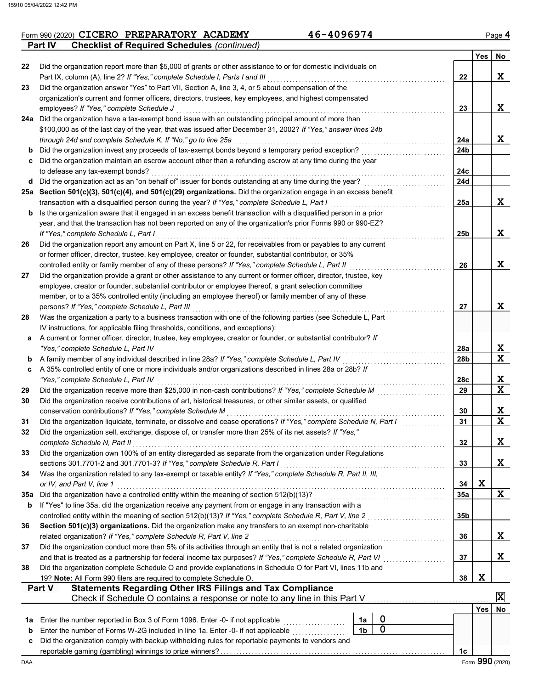**Part IV** Checklist of Required Schedules (continued)

|  | Form 990 (2020) CICERO PREPARATORY ACADEMY | 46-4096974 | Page 4 |
|--|--------------------------------------------|------------|--------|
|  |                                            |            |        |

|        |                                                                                                                                                                             |                |                                                                                                                      |                        | Yes        | No                      |
|--------|-----------------------------------------------------------------------------------------------------------------------------------------------------------------------------|----------------|----------------------------------------------------------------------------------------------------------------------|------------------------|------------|-------------------------|
| 22     | Did the organization report more than \$5,000 of grants or other assistance to or for domestic individuals on                                                               |                |                                                                                                                      |                        |            |                         |
|        | Part IX, column (A), line 2? If "Yes," complete Schedule I, Parts I and III                                                                                                 |                |                                                                                                                      | 22                     |            | X                       |
| 23     | Did the organization answer "Yes" to Part VII, Section A, line 3, 4, or 5 about compensation of the                                                                         |                |                                                                                                                      |                        |            |                         |
|        | organization's current and former officers, directors, trustees, key employees, and highest compensated                                                                     |                |                                                                                                                      |                        |            |                         |
|        | employees? If "Yes," complete Schedule J                                                                                                                                    |                |                                                                                                                      | 23                     |            | X                       |
|        | 24a Did the organization have a tax-exempt bond issue with an outstanding principal amount of more than                                                                     |                |                                                                                                                      |                        |            |                         |
|        | \$100,000 as of the last day of the year, that was issued after December 31, 2002? If "Yes," answer lines 24b                                                               |                |                                                                                                                      |                        |            |                         |
|        | through 24d and complete Schedule K. If "No," go to line 25a<br>Did the organization invest any proceeds of tax-exempt bonds beyond a temporary period exception?           |                |                                                                                                                      | 24a<br>24 <sub>b</sub> |            | X                       |
| b<br>c | Did the organization maintain an escrow account other than a refunding escrow at any time during the year                                                                   |                |                                                                                                                      |                        |            |                         |
|        | to defease any tax-exempt bonds?                                                                                                                                            |                |                                                                                                                      | 24c                    |            |                         |
| d      | Did the organization act as an "on behalf of" issuer for bonds outstanding at any time during the year?                                                                     |                |                                                                                                                      | 24d                    |            |                         |
|        | 25a Section 501(c)(3), 501(c)(4), and 501(c)(29) organizations. Did the organization engage in an excess benefit                                                            |                |                                                                                                                      |                        |            |                         |
|        | transaction with a disqualified person during the year? If "Yes," complete Schedule L, Part I                                                                               |                |                                                                                                                      | 25a                    |            | X                       |
| b      | Is the organization aware that it engaged in an excess benefit transaction with a disqualified person in a prior                                                            |                |                                                                                                                      |                        |            |                         |
|        | year, and that the transaction has not been reported on any of the organization's prior Forms 990 or 990-EZ?                                                                |                |                                                                                                                      |                        |            |                         |
|        | If "Yes," complete Schedule L, Part I                                                                                                                                       |                |                                                                                                                      | 25b                    |            | X                       |
| 26     | Did the organization report any amount on Part X, line 5 or 22, for receivables from or payables to any current                                                             |                |                                                                                                                      |                        |            |                         |
|        | or former officer, director, trustee, key employee, creator or founder, substantial contributor, or 35%                                                                     |                |                                                                                                                      |                        |            |                         |
|        | controlled entity or family member of any of these persons? If "Yes," complete Schedule L, Part II                                                                          |                |                                                                                                                      | 26                     |            | X                       |
| 27     | Did the organization provide a grant or other assistance to any current or former officer, director, trustee, key                                                           |                |                                                                                                                      |                        |            |                         |
|        | employee, creator or founder, substantial contributor or employee thereof, a grant selection committee                                                                      |                |                                                                                                                      |                        |            |                         |
|        | member, or to a 35% controlled entity (including an employee thereof) or family member of any of these                                                                      |                |                                                                                                                      |                        |            |                         |
|        | persons? If "Yes," complete Schedule L, Part III                                                                                                                            |                |                                                                                                                      | 27                     |            | X                       |
| 28     | Was the organization a party to a business transaction with one of the following parties (see Schedule L, Part                                                              |                |                                                                                                                      |                        |            |                         |
|        | IV instructions, for applicable filing thresholds, conditions, and exceptions):                                                                                             |                |                                                                                                                      |                        |            |                         |
| а      | A current or former officer, director, trustee, key employee, creator or founder, or substantial contributor? If                                                            |                |                                                                                                                      |                        |            |                         |
|        | "Yes," complete Schedule L, Part IV                                                                                                                                         |                |                                                                                                                      | 28a                    |            | X                       |
| b      | A family member of any individual described in line 28a? If "Yes," complete Schedule L, Part IV                                                                             |                |                                                                                                                      | 28b                    |            | $\mathbf X$             |
| c      | A 35% controlled entity of one or more individuals and/or organizations described in lines 28a or 28b? If                                                                   |                |                                                                                                                      |                        |            |                         |
|        | "Yes," complete Schedule L, Part IV                                                                                                                                         |                |                                                                                                                      | 28c                    |            | X                       |
| 29     | Did the organization receive more than \$25,000 in non-cash contributions? If "Yes," complete Schedule M                                                                    |                |                                                                                                                      | 29                     |            | X                       |
| 30     | Did the organization receive contributions of art, historical treasures, or other similar assets, or qualified<br>conservation contributions? If "Yes," complete Schedule M |                |                                                                                                                      | 30                     |            | X                       |
| 31     | Did the organization liquidate, terminate, or dissolve and cease operations? If "Yes," complete Schedule N, Part I                                                          |                |                                                                                                                      | 31                     |            | $\mathbf x$             |
| 32     | Did the organization sell, exchange, dispose of, or transfer more than 25% of its net assets? If "Yes,"                                                                     |                |                                                                                                                      |                        |            |                         |
|        | complete Schedule N, Part II                                                                                                                                                |                |                                                                                                                      | 32                     |            | X                       |
| 33     | Did the organization own 100% of an entity disregarded as separate from the organization under Regulations                                                                  |                |                                                                                                                      |                        |            |                         |
|        | sections 301.7701-2 and 301.7701-3? If "Yes," complete Schedule R, Part I                                                                                                   |                |                                                                                                                      | 33                     |            | X                       |
| 34     | Was the organization related to any tax-exempt or taxable entity? If "Yes," complete Schedule R, Part II, III,                                                              |                |                                                                                                                      |                        |            |                         |
|        | or IV, and Part V, line 1                                                                                                                                                   |                |                                                                                                                      | 34                     | X          |                         |
| 35а    | Did the organization have a controlled entity within the meaning of section 512(b)(13)?                                                                                     |                | <u> 1986 - Johann Stoff, deur de Frankryk (de Frankryk (de Frankryk (de Frankryk (de Frankryk (de Frankryk (de F</u> | 35a                    |            | X                       |
| b      | If "Yes" to line 35a, did the organization receive any payment from or engage in any transaction with a                                                                     |                |                                                                                                                      |                        |            |                         |
|        | controlled entity within the meaning of section 512(b)(13)? If "Yes," complete Schedule R, Part V, line 2                                                                   |                |                                                                                                                      | 35b                    |            |                         |
| 36     | Section 501(c)(3) organizations. Did the organization make any transfers to an exempt non-charitable                                                                        |                |                                                                                                                      |                        |            |                         |
|        | related organization? If "Yes," complete Schedule R, Part V, line 2                                                                                                         |                |                                                                                                                      | 36                     |            | X                       |
| 37     | Did the organization conduct more than 5% of its activities through an entity that is not a related organization                                                            |                |                                                                                                                      |                        |            |                         |
|        | and that is treated as a partnership for federal income tax purposes? If "Yes," complete Schedule R, Part VI                                                                |                |                                                                                                                      | 37                     |            | X                       |
| 38     | Did the organization complete Schedule O and provide explanations in Schedule O for Part VI, lines 11b and                                                                  |                |                                                                                                                      |                        |            |                         |
|        | 19? Note: All Form 990 filers are required to complete Schedule O.                                                                                                          |                |                                                                                                                      | 38                     | X          |                         |
|        | <b>Statements Regarding Other IRS Filings and Tax Compliance</b><br><b>Part V</b>                                                                                           |                |                                                                                                                      |                        |            | $\overline{\mathbf{x}}$ |
|        | Check if Schedule O contains a response or note to any line in this Part V                                                                                                  |                |                                                                                                                      |                        |            |                         |
|        |                                                                                                                                                                             |                |                                                                                                                      |                        | <b>Yes</b> | <b>No</b>               |
| 1a     | Enter the number reported in Box 3 of Form 1096. Enter -0- if not applicable                                                                                                | 1a             | $\boldsymbol{0}$<br>$\mathbf 0$                                                                                      |                        |            |                         |
| b      | Enter the number of Forms W-2G included in line 1a. Enter -0- if not applicable                                                                                             | 1 <sub>b</sub> |                                                                                                                      |                        |            |                         |
| c      | Did the organization comply with backup withholding rules for reportable payments to vendors and                                                                            |                |                                                                                                                      |                        |            |                         |
| DAA    |                                                                                                                                                                             |                |                                                                                                                      | 1c                     |            | Form 990 (2020)         |
|        |                                                                                                                                                                             |                |                                                                                                                      |                        |            |                         |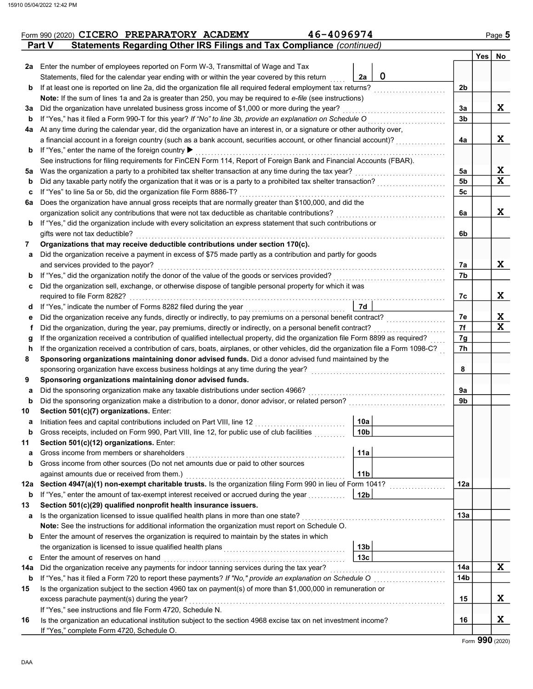|        | 46-4096974<br>Form 990 (2020) CICERO PREPARATORY ACADEMY                                                                           |                                                                                                                           |                |     | Page 5 |
|--------|------------------------------------------------------------------------------------------------------------------------------------|---------------------------------------------------------------------------------------------------------------------------|----------------|-----|--------|
|        | Statements Regarding Other IRS Filings and Tax Compliance (continued)<br><b>Part V</b>                                             |                                                                                                                           |                |     |        |
|        |                                                                                                                                    |                                                                                                                           |                | Yes | No     |
| 2a     | Enter the number of employees reported on Form W-3, Transmittal of Wage and Tax                                                    |                                                                                                                           |                |     |        |
|        | Statements, filed for the calendar year ending with or within the year covered by this return                                      | $\mathbf 0$<br>2a                                                                                                         |                |     |        |
| b      | If at least one is reported on line 2a, did the organization file all required federal employment tax returns?                     |                                                                                                                           | 2 <sub>b</sub> |     |        |
|        | Note: If the sum of lines 1a and 2a is greater than 250, you may be required to e-file (see instructions)                          |                                                                                                                           |                |     |        |
| За     | Did the organization have unrelated business gross income of \$1,000 or more during the year?                                      |                                                                                                                           | 3a             |     | X      |
| b      | If "Yes," has it filed a Form 990-T for this year? If "No" to line 3b, provide an explanation on Schedule O                        |                                                                                                                           | 3 <sub>b</sub> |     |        |
| 4a     | At any time during the calendar year, did the organization have an interest in, or a signature or other authority over,            |                                                                                                                           |                |     |        |
|        | a financial account in a foreign country (such as a bank account, securities account, or other financial account)?                 |                                                                                                                           | 4a             |     | X      |
| b      | If "Yes," enter the name of the foreign country ▶                                                                                  |                                                                                                                           |                |     |        |
|        | See instructions for filing requirements for FinCEN Form 114, Report of Foreign Bank and Financial Accounts (FBAR).                |                                                                                                                           |                |     |        |
| 5a     |                                                                                                                                    |                                                                                                                           | 5a             |     | X      |
| b      | Did any taxable party notify the organization that it was or is a party to a prohibited tax shelter transaction?                   |                                                                                                                           | 5 <sub>b</sub> |     | X      |
| c      | If "Yes" to line 5a or 5b, did the organization file Form 8886-T?                                                                  |                                                                                                                           | 5c             |     |        |
| 6а     | Does the organization have annual gross receipts that are normally greater than \$100,000, and did the                             |                                                                                                                           |                |     |        |
|        | organization solicit any contributions that were not tax deductible as charitable contributions?                                   |                                                                                                                           | 6a             |     | X      |
| b      | If "Yes," did the organization include with every solicitation an express statement that such contributions or                     |                                                                                                                           |                |     |        |
|        | gifts were not tax deductible?                                                                                                     |                                                                                                                           | 6b             |     |        |
| 7      | Organizations that may receive deductible contributions under section 170(c).                                                      |                                                                                                                           |                |     |        |
| а      | Did the organization receive a payment in excess of \$75 made partly as a contribution and partly for goods                        |                                                                                                                           |                |     |        |
|        | and services provided to the payor?                                                                                                |                                                                                                                           | 7a             |     | X      |
| b      | If "Yes," did the organization notify the donor of the value of the goods or services provided?                                    |                                                                                                                           | 7b             |     |        |
| c      | Did the organization sell, exchange, or otherwise dispose of tangible personal property for which it was                           |                                                                                                                           |                |     |        |
|        | required to file Form 8282?                                                                                                        |                                                                                                                           | 7с             |     | X      |
| d      |                                                                                                                                    | <b>7d</b>                                                                                                                 |                |     |        |
| е      | Did the organization receive any funds, directly or indirectly, to pay premiums on a personal benefit contract?                    |                                                                                                                           | 7e             |     | X      |
| Ť      | Did the organization, during the year, pay premiums, directly or indirectly, on a personal benefit contract?                       |                                                                                                                           | 7f             |     | X      |
| g      | If the organization received a contribution of qualified intellectual property, did the organization file Form 8899 as required?   |                                                                                                                           | 7g             |     |        |
| h      | If the organization received a contribution of cars, boats, airplanes, or other vehicles, did the organization file a Form 1098-C? |                                                                                                                           | 7h             |     |        |
| 8      | Sponsoring organizations maintaining donor advised funds. Did a donor advised fund maintained by the                               |                                                                                                                           |                |     |        |
|        | sponsoring organization have excess business holdings at any time during the year?                                                 | <u> 1986 - Johann Stoff, Amerikaansk politiker (</u>                                                                      | 8              |     |        |
| 9      | Sponsoring organizations maintaining donor advised funds.                                                                          |                                                                                                                           |                |     |        |
| а      | Did the sponsoring organization make any taxable distributions under section 4966?                                                 |                                                                                                                           | 9a             |     |        |
| b      |                                                                                                                                    |                                                                                                                           | 9b             |     |        |
| 10     | Section 501(c)(7) organizations. Enter:                                                                                            |                                                                                                                           |                |     |        |
|        | Initiation fees and capital contributions included on Part VIII, line 12                                                           | 10a                                                                                                                       |                |     |        |
| а<br>b | Gross receipts, included on Form 990, Part VIII, line 12, for public use of club facilities                                        | 10 <sub>b</sub>                                                                                                           |                |     |        |
|        | Section 501(c)(12) organizations. Enter:                                                                                           |                                                                                                                           |                |     |        |
| 11     |                                                                                                                                    | 11a                                                                                                                       |                |     |        |
| а      | Gross income from members or shareholders                                                                                          |                                                                                                                           |                |     |        |
| b      | Gross income from other sources (Do not net amounts due or paid to other sources                                                   |                                                                                                                           |                |     |        |
|        | against amounts due or received from them.)                                                                                        | 11 <sub>b</sub>                                                                                                           |                |     |        |
| 12a    | Section 4947(a)(1) non-exempt charitable trusts. Is the organization filing Form 990 in lieu of Form 1041?                         | <u> 1999 - Johann Stoff, martin Stoff, martin Stoff, martin Stoff, martin Stoff, martin Stoff, martin Stoff, martin S</u> | 12a            |     |        |
| b      | If "Yes," enter the amount of tax-exempt interest received or accrued during the year                                              | 12 <sub>b</sub>                                                                                                           |                |     |        |
| 13     | Section 501(c)(29) qualified nonprofit health insurance issuers.                                                                   |                                                                                                                           |                |     |        |
| а      | Is the organization licensed to issue qualified health plans in more than one state?                                               |                                                                                                                           | 13а            |     |        |
|        | Note: See the instructions for additional information the organization must report on Schedule O.                                  |                                                                                                                           |                |     |        |
| b      | Enter the amount of reserves the organization is required to maintain by the states in which                                       |                                                                                                                           |                |     |        |
|        |                                                                                                                                    | 13 <sub>b</sub>                                                                                                           |                |     |        |
| c      | Enter the amount of reserves on hand                                                                                               | 13 <sub>c</sub>                                                                                                           |                |     |        |
| 14a    | Did the organization receive any payments for indoor tanning services during the tax year?                                         |                                                                                                                           | 14a            |     | X      |
| b      | If "Yes," has it filed a Form 720 to report these payments? If "No," provide an explanation on Schedule O                          |                                                                                                                           | 14b            |     |        |
| 15     | Is the organization subject to the section 4960 tax on payment(s) of more than \$1,000,000 in remuneration or                      |                                                                                                                           |                |     |        |
|        | excess parachute payment(s) during the year?                                                                                       |                                                                                                                           | 15             |     | X      |
|        | If "Yes," see instructions and file Form 4720, Schedule N.                                                                         |                                                                                                                           |                |     |        |
| 16     | Is the organization an educational institution subject to the section 4968 excise tax on net investment income?                    |                                                                                                                           | 16             |     | X      |
|        | If "Yes," complete Form 4720, Schedule O.                                                                                          |                                                                                                                           |                |     |        |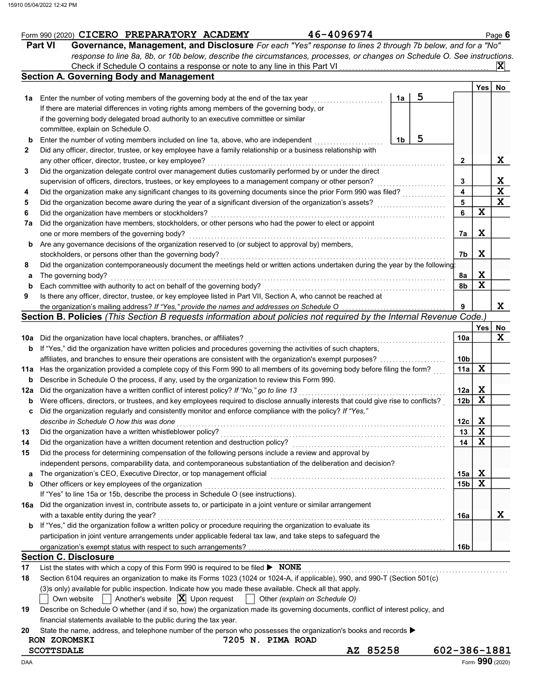|     | response to line 8a, 8b, or 10b below, describe the circumstances, processes, or changes on Schedule O. See instructions.<br>Check if Schedule O contains a response or note to any line in this Part VI. |                 |            | $ {\bf X} $             |
|-----|-----------------------------------------------------------------------------------------------------------------------------------------------------------------------------------------------------------|-----------------|------------|-------------------------|
|     | <b>Section A. Governing Body and Management</b>                                                                                                                                                           |                 |            |                         |
|     |                                                                                                                                                                                                           |                 | Yes        | No                      |
| 1a  | 5<br>Enter the number of voting members of the governing body at the end of the tax year<br>1a                                                                                                            |                 |            |                         |
|     | If there are material differences in voting rights among members of the governing body, or                                                                                                                |                 |            |                         |
|     | if the governing body delegated broad authority to an executive committee or similar                                                                                                                      |                 |            |                         |
|     | committee, explain on Schedule O.                                                                                                                                                                         |                 |            |                         |
| b   | 5<br>Enter the number of voting members included on line 1a, above, who are independent<br>1b                                                                                                             |                 |            |                         |
| 2   | Did any officer, director, trustee, or key employee have a family relationship or a business relationship with                                                                                            |                 |            |                         |
|     | any other officer, director, trustee, or key employee?                                                                                                                                                    | 2               |            | X                       |
| 3   | Did the organization delegate control over management duties customarily performed by or under the direct                                                                                                 |                 |            |                         |
|     | supervision of officers, directors, trustees, or key employees to a management company or other person?                                                                                                   | 3               |            | X                       |
| 4   | Did the organization make any significant changes to its governing documents since the prior Form 990 was filed?                                                                                          | 4               |            | $\overline{\mathbf{x}}$ |
| 5   | Did the organization become aware during the year of a significant diversion of the organization's assets?                                                                                                | 5               |            | $\overline{\mathbf{x}}$ |
| 6   | Did the organization have members or stockholders?                                                                                                                                                        | 6               | X          |                         |
| 7a  | Did the organization have members, stockholders, or other persons who had the power to elect or appoint                                                                                                   |                 |            |                         |
|     | one or more members of the governing body?                                                                                                                                                                | 7a              | X          |                         |
| b   | Are any governance decisions of the organization reserved to (or subject to approval by) members,                                                                                                         |                 |            |                         |
|     | stockholders, or persons other than the governing body?                                                                                                                                                   | 7b              | X          |                         |
| 8   | Did the organization contemporaneously document the meetings held or written actions undertaken during the year by the following:                                                                         |                 |            |                         |
| a   | The governing body?                                                                                                                                                                                       | 8a              | X          |                         |
| b   | Each committee with authority to act on behalf of the governing body?                                                                                                                                     | 8b              | X          |                         |
| 9   | Is there any officer, director, trustee, or key employee listed in Part VII, Section A, who cannot be reached at                                                                                          |                 |            |                         |
|     | the organization's mailing address? If "Yes," provide the names and addresses on Schedule O                                                                                                               | 9               |            | X                       |
|     | Section B. Policies (This Section B requests information about policies not required by the Internal Revenue Code.)                                                                                       |                 |            |                         |
|     |                                                                                                                                                                                                           |                 | <b>Yes</b> | No                      |
| 10a | Did the organization have local chapters, branches, or affiliates?                                                                                                                                        | 10a             |            | X                       |
| b   | If "Yes," did the organization have written policies and procedures governing the activities of such chapters,                                                                                            |                 |            |                         |
|     | affiliates, and branches to ensure their operations are consistent with the organization's exempt purposes?                                                                                               | 10 <sub>b</sub> |            |                         |
|     | 11a Has the organization provided a complete copy of this Form 990 to all members of its governing body before filing the form?                                                                           | 11a             | X          |                         |
| b   | Describe in Schedule O the process, if any, used by the organization to review this Form 990.                                                                                                             |                 |            |                         |
| 12a | Did the organization have a written conflict of interest policy? If "No," go to line 13                                                                                                                   | 12a             | X          |                         |
| b   | Were officers, directors, or trustees, and key employees required to disclose annually interests that could give rise to conflicts?                                                                       | 12 <sub>b</sub> | X          |                         |
| c   | Did the organization regularly and consistently monitor and enforce compliance with the policy? If "Yes,"                                                                                                 |                 |            |                         |
|     | describe in Schedule O how this was done                                                                                                                                                                  | 12c             | X          |                         |
| 13  | Did the organization have a written whistleblower policy?                                                                                                                                                 | 13              | X          |                         |
| 14  | Did the organization have a written document retention and destruction policy?                                                                                                                            | 14              | X          |                         |
| 15  | Did the process for determining compensation of the following persons include a review and approval by                                                                                                    |                 |            |                         |
|     | independent persons, comparability data, and contemporaneous substantiation of the deliberation and decision?                                                                                             |                 |            |                         |
| a   |                                                                                                                                                                                                           | 15a             | X          |                         |
| b   | Other officers or key employees of the organization                                                                                                                                                       | 15 <sub>b</sub> | X          |                         |
|     | If "Yes" to line 15a or 15b, describe the process in Schedule O (see instructions).                                                                                                                       |                 |            |                         |
| 16a | Did the organization invest in, contribute assets to, or participate in a joint venture or similar arrangement                                                                                            |                 |            |                         |
|     | with a taxable entity during the year?                                                                                                                                                                    | 16a             |            | X                       |
| b   | If "Yes," did the organization follow a written policy or procedure requiring the organization to evaluate its                                                                                            |                 |            |                         |
|     | participation in joint venture arrangements under applicable federal tax law, and take steps to safeguard the                                                                                             |                 |            |                         |
|     |                                                                                                                                                                                                           | 16 <sub>b</sub> |            |                         |
|     | <b>Section C. Disclosure</b>                                                                                                                                                                              |                 |            |                         |
| 17  | List the states with which a copy of this Form 990 is required to be filed $\triangleright$ NONE                                                                                                          |                 |            |                         |
| 18  | Section 6104 requires an organization to make its Forms 1023 (1024 or 1024-A, if applicable), 990, and 990-T (Section 501(c)                                                                              |                 |            |                         |
|     | (3) sonly) available for public inspection. Indicate how you made these available. Check all that apply.                                                                                                  |                 |            |                         |
|     | Another's website $ \mathbf{X} $ Upon request<br>Own website<br>Other (explain on Schedule O)                                                                                                             |                 |            |                         |
| 19  | Describe on Schedule O whether (and if so, how) the organization made its governing documents, conflict of interest policy, and                                                                           |                 |            |                         |
|     | financial statements available to the public during the tax year.                                                                                                                                         |                 |            |                         |
| 20  | State the name, address, and telephone number of the person who possesses the organization's books and records ▶                                                                                          |                 |            |                         |
|     | RON ZOROMSKI<br>7205 N. PIMA ROAD                                                                                                                                                                         |                 |            |                         |
|     | AZ 85258<br><b>SCOTTSDALE</b><br>602-386-1881                                                                                                                                                             |                 |            |                         |

Form 990 (2020) CICERO PREPARATORY ACADEMY  $46-4096974$  Page 6 Form 990 (2020) CICERO PREPARATORY ACADEMY 46-4096974<br>Part VI Governance, Management, and Disclosure For each "Yes" response to lines 2 through 7b below, and for a "No"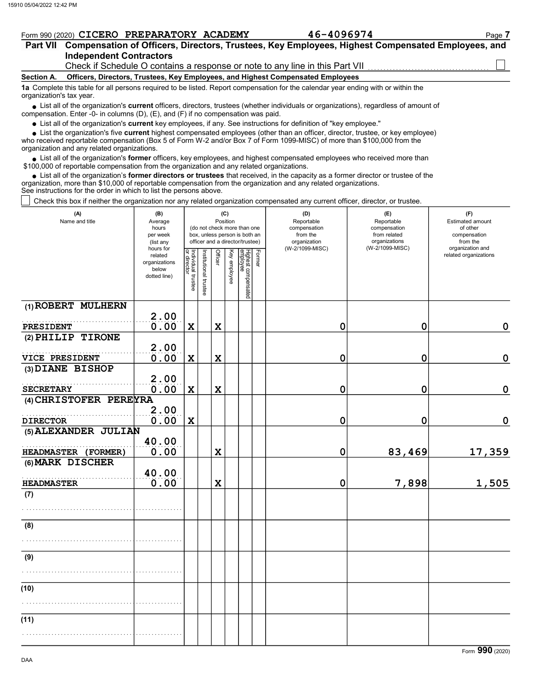|                   | Form 990 (2020) CICERO PREPARATORY ACADEMY                                                       | 46-4096974 | Page 7 |
|-------------------|--------------------------------------------------------------------------------------------------|------------|--------|
| <b>Part VII</b>   | Compensation of Officers, Directors, Trustees, Key Employees, Highest Compensated Employees, and |            |        |
|                   | <b>Independent Contractors</b>                                                                   |            |        |
|                   | Check if Schedule O contains a response or note to any line in this Part VII                     |            |        |
| <b>Section A.</b> | Officers, Directors, Trustees, Key Employees, and Highest Compensated Employees                  |            |        |

1a Complete this table for all persons required to be listed. Report compensation for the calendar year ending with or within the organization's tax year.

• List all of the organization's **current** officers, directors, trustees (whether individuals or organizations), regardless of amount of proposation. Enter  $\Omega$  in columns  $(D)$ ,  $(E)$  and  $(E)$  if no componention was paid compensation. Enter -0- in columns (D), (E), and (F) if no compensation was paid.

• List all of the organization's **current** key employees, if any. See instructions for definition of "key employee."

• List the organization's five **current** highest compensated employees (other than an officer, director, trustee, or key employee)<br>• received reportable compensation (Box 5 of Form W 2 and/or Box 7 of Form 1000 MISC) of m

who received reportable compensation (Box 5 of Form W-2 and/or Box 7 of Form 1099-MISC) of more than \$100,000 from the organization and any related organizations.

 $\bullet$  List all of the organization's **former** officers, key employees, and highest compensated employees who received more than  $\Omega$  0.00 of reportable compensation from the erganization and any related erganizations. \$100,000 of reportable compensation from the organization and any related organizations.

 $\bullet$  List all of the organization's **former directors or trustees** that received, in the capacity as a former director or trustee of the entrance in the organization and any related organizations organization, more than \$10,000 of reportable compensation from the organization and any related organizations. See instructions for the order in which to list the persons above.

Check this box if neither the organization nor any related organization compensated any current officer, director, or trustee.

| (A)<br>Name and title              | (B)<br>Average<br>hours<br>per week<br>(list any<br>hours for |                                   |                       |             | (C)<br>Position | (do not check more than one<br>box, unless person is both an<br>officer and a director/trustee) |                           | (D)<br>Reportable<br>compensation<br>from the<br>organization | (E)<br>Reportable<br>compensation<br>from related<br>organizations<br>(W-2/1099-MISC) | (F)<br>Estimated amount<br>of other<br>compensation<br>from the<br>organization and |
|------------------------------------|---------------------------------------------------------------|-----------------------------------|-----------------------|-------------|-----------------|-------------------------------------------------------------------------------------------------|---------------------------|---------------------------------------------------------------|---------------------------------------------------------------------------------------|-------------------------------------------------------------------------------------|
|                                    | related<br>organizations<br>below<br>dotted line)             | Individual trustee<br>or director | Institutional trustee | Officer     | Key employee    | Highest compensated<br>employee                                                                 | (W-2/1099-MISC)<br>Former |                                                               |                                                                                       | related organizations                                                               |
| (1) ROBERT MULHERN                 |                                                               |                                   |                       |             |                 |                                                                                                 |                           |                                                               |                                                                                       |                                                                                     |
| PRESIDENT                          | 2.00<br>0.00                                                  | $\mathbf x$                       |                       | $\mathbf x$ |                 |                                                                                                 |                           | 0                                                             | 0                                                                                     | $\mathbf 0$                                                                         |
| (2) PHILIP TIRONE                  |                                                               |                                   |                       |             |                 |                                                                                                 |                           |                                                               |                                                                                       |                                                                                     |
|                                    | 2.00<br>0.00                                                  |                                   |                       |             |                 |                                                                                                 |                           |                                                               | $\mathbf 0$                                                                           |                                                                                     |
| VICE PRESIDENT<br>(3) DIANE BISHOP |                                                               | $\mathbf x$                       |                       | $\mathbf x$ |                 |                                                                                                 |                           | $\mathbf 0$                                                   |                                                                                       | 0                                                                                   |
| <b>SECRETARY</b>                   | 2.00<br>0.00                                                  | $\mathbf x$                       |                       | $\mathbf x$ |                 |                                                                                                 |                           | 0                                                             | 0                                                                                     | 0                                                                                   |
| (4) CHRISTOFER PEREYRA             |                                                               |                                   |                       |             |                 |                                                                                                 |                           |                                                               |                                                                                       |                                                                                     |
|                                    | 2.00                                                          |                                   |                       |             |                 |                                                                                                 |                           |                                                               |                                                                                       |                                                                                     |
| <b>DIRECTOR</b>                    | 0.00                                                          | $\mathbf x$                       |                       |             |                 |                                                                                                 |                           | $\mathbf 0$                                                   | $\mathbf 0$                                                                           | $\mathbf 0$                                                                         |
| (5) ALEXANDER JULIAN               | 40.00                                                         |                                   |                       |             |                 |                                                                                                 |                           |                                                               |                                                                                       |                                                                                     |
| HEADMASTER (FORMER)                | 0.00                                                          |                                   |                       | $\mathbf x$ |                 |                                                                                                 |                           | $\mathbf 0$                                                   | 83,469                                                                                | 17,359                                                                              |
| (6) MARK DISCHER                   |                                                               |                                   |                       |             |                 |                                                                                                 |                           |                                                               |                                                                                       |                                                                                     |
|                                    | 40.00                                                         |                                   |                       |             |                 |                                                                                                 |                           |                                                               |                                                                                       |                                                                                     |
| <b>HEADMASTER</b><br>(7)           | 0.00                                                          |                                   |                       | $\mathbf x$ |                 |                                                                                                 |                           | 0                                                             | 7,898                                                                                 | 1,505                                                                               |
|                                    |                                                               |                                   |                       |             |                 |                                                                                                 |                           |                                                               |                                                                                       |                                                                                     |
|                                    |                                                               |                                   |                       |             |                 |                                                                                                 |                           |                                                               |                                                                                       |                                                                                     |
| (8)                                |                                                               |                                   |                       |             |                 |                                                                                                 |                           |                                                               |                                                                                       |                                                                                     |
|                                    |                                                               |                                   |                       |             |                 |                                                                                                 |                           |                                                               |                                                                                       |                                                                                     |
| (9)                                |                                                               |                                   |                       |             |                 |                                                                                                 |                           |                                                               |                                                                                       |                                                                                     |
|                                    |                                                               |                                   |                       |             |                 |                                                                                                 |                           |                                                               |                                                                                       |                                                                                     |
| (10)                               |                                                               |                                   |                       |             |                 |                                                                                                 |                           |                                                               |                                                                                       |                                                                                     |
|                                    |                                                               |                                   |                       |             |                 |                                                                                                 |                           |                                                               |                                                                                       |                                                                                     |
| (11)                               |                                                               |                                   |                       |             |                 |                                                                                                 |                           |                                                               |                                                                                       |                                                                                     |
|                                    |                                                               |                                   |                       |             |                 |                                                                                                 |                           |                                                               |                                                                                       |                                                                                     |
|                                    |                                                               |                                   |                       |             |                 |                                                                                                 |                           |                                                               |                                                                                       |                                                                                     |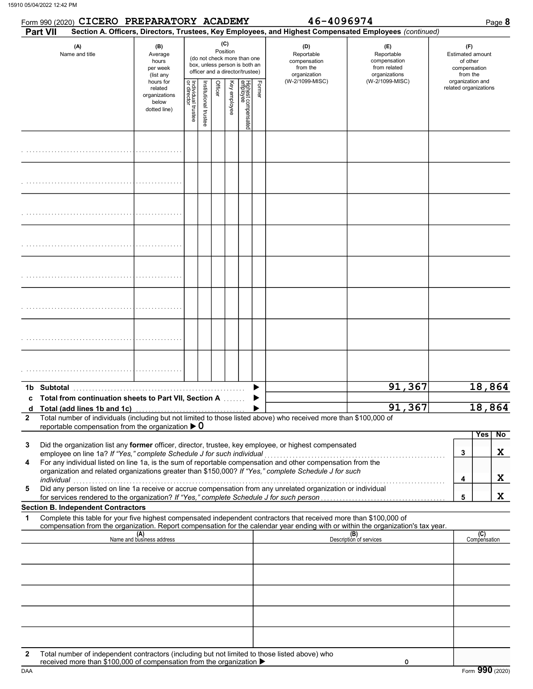| (A)<br>Name and title |                                                                                                                                                                                                                                                                         | (B)<br>Average<br>hours<br>per week<br>(list any<br>hours for |                                   |                       |         | (C)<br>Position | (do not check more than one<br>box, unless person is both an<br>officer and a director/trustee) |        | (D)<br>Reportable<br>compensation<br>from the<br>organization<br>(W-2/1099-MISC) | (E)<br>Reportable<br>compensation<br>from related<br>organizations<br>(W-2/1099-MISC) | (F)<br><b>Estimated amount</b><br>of other<br>compensation<br>from the<br>organization and |                     |  |
|-----------------------|-------------------------------------------------------------------------------------------------------------------------------------------------------------------------------------------------------------------------------------------------------------------------|---------------------------------------------------------------|-----------------------------------|-----------------------|---------|-----------------|-------------------------------------------------------------------------------------------------|--------|----------------------------------------------------------------------------------|---------------------------------------------------------------------------------------|--------------------------------------------------------------------------------------------|---------------------|--|
|                       |                                                                                                                                                                                                                                                                         | related<br>organizations<br>below<br>dotted line)             | Individual trustee<br>or director | Institutional trustee | Officer | Key employee    | Highest compensated<br>employee                                                                 | Former |                                                                                  |                                                                                       | related organizations                                                                      |                     |  |
|                       |                                                                                                                                                                                                                                                                         |                                                               |                                   |                       |         |                 |                                                                                                 |        |                                                                                  |                                                                                       |                                                                                            |                     |  |
|                       |                                                                                                                                                                                                                                                                         |                                                               |                                   |                       |         |                 |                                                                                                 |        |                                                                                  |                                                                                       |                                                                                            |                     |  |
|                       |                                                                                                                                                                                                                                                                         |                                                               |                                   |                       |         |                 |                                                                                                 |        |                                                                                  |                                                                                       |                                                                                            |                     |  |
|                       |                                                                                                                                                                                                                                                                         |                                                               |                                   |                       |         |                 |                                                                                                 |        |                                                                                  |                                                                                       |                                                                                            |                     |  |
|                       |                                                                                                                                                                                                                                                                         |                                                               |                                   |                       |         |                 |                                                                                                 |        |                                                                                  |                                                                                       |                                                                                            |                     |  |
|                       |                                                                                                                                                                                                                                                                         |                                                               |                                   |                       |         |                 |                                                                                                 |        |                                                                                  |                                                                                       |                                                                                            |                     |  |
|                       |                                                                                                                                                                                                                                                                         |                                                               |                                   |                       |         |                 |                                                                                                 |        |                                                                                  |                                                                                       |                                                                                            |                     |  |
|                       |                                                                                                                                                                                                                                                                         |                                                               |                                   |                       |         |                 |                                                                                                 |        |                                                                                  |                                                                                       |                                                                                            |                     |  |
| c                     | <b>Total from continuation sheets to Part VII, Section A</b> <i>Communi</i>                                                                                                                                                                                             |                                                               |                                   |                       |         |                 |                                                                                                 |        |                                                                                  | 91,367                                                                                |                                                                                            | 18,864              |  |
|                       |                                                                                                                                                                                                                                                                         |                                                               |                                   |                       |         |                 |                                                                                                 |        |                                                                                  | 91,367                                                                                |                                                                                            | 18,864              |  |
|                       | Total number of individuals (including but not limited to those listed above) who received more than \$100,000 of<br>reportable compensation from the organization $\blacktriangleright$ 0                                                                              |                                                               |                                   |                       |         |                 |                                                                                                 |        |                                                                                  |                                                                                       |                                                                                            |                     |  |
| 3                     | Did the organization list any former officer, director, trustee, key employee, or highest compensated                                                                                                                                                                   |                                                               |                                   |                       |         |                 |                                                                                                 |        |                                                                                  |                                                                                       |                                                                                            | No<br>Yes           |  |
| 4                     | employee on line 1a? If "Yes," complete Schedule J for such individual<br>employee on line 1a? If "Yes," co <i>mplete Schedule J for such individual</i><br>For any individual listed on line 1a, is the sum of reportable compensation and other compensation from the |                                                               |                                   |                       |         |                 |                                                                                                 |        |                                                                                  |                                                                                       | 3                                                                                          | X                   |  |
|                       | organization and related organizations greater than \$150,000? If "Yes," complete Schedule J for such                                                                                                                                                                   |                                                               |                                   |                       |         |                 |                                                                                                 |        |                                                                                  |                                                                                       |                                                                                            | X                   |  |
| 5                     | individual<br>Did any person listed on line 1a receive or accrue compensation from any unrelated organization or individual                                                                                                                                             |                                                               |                                   |                       |         |                 |                                                                                                 |        |                                                                                  |                                                                                       | 4                                                                                          |                     |  |
|                       | <b>Section B. Independent Contractors</b>                                                                                                                                                                                                                               |                                                               |                                   |                       |         |                 |                                                                                                 |        |                                                                                  |                                                                                       | 5                                                                                          | X                   |  |
| 1                     | Complete this table for your five highest compensated independent contractors that received more than \$100,000 of                                                                                                                                                      |                                                               |                                   |                       |         |                 |                                                                                                 |        |                                                                                  |                                                                                       |                                                                                            |                     |  |
|                       | compensation from the organization. Report compensation for the calendar year ending with or within the organization's tax year.                                                                                                                                        | (A)<br>Name and business address                              |                                   |                       |         |                 |                                                                                                 |        |                                                                                  | (B)<br>Description of services                                                        |                                                                                            | (C)<br>Compensation |  |
|                       |                                                                                                                                                                                                                                                                         |                                                               |                                   |                       |         |                 |                                                                                                 |        |                                                                                  |                                                                                       |                                                                                            |                     |  |
|                       |                                                                                                                                                                                                                                                                         |                                                               |                                   |                       |         |                 |                                                                                                 |        |                                                                                  |                                                                                       |                                                                                            |                     |  |
|                       |                                                                                                                                                                                                                                                                         |                                                               |                                   |                       |         |                 |                                                                                                 |        |                                                                                  |                                                                                       |                                                                                            |                     |  |
|                       |                                                                                                                                                                                                                                                                         |                                                               |                                   |                       |         |                 |                                                                                                 |        |                                                                                  |                                                                                       |                                                                                            |                     |  |
|                       |                                                                                                                                                                                                                                                                         |                                                               |                                   |                       |         |                 |                                                                                                 |        |                                                                                  |                                                                                       |                                                                                            |                     |  |
|                       |                                                                                                                                                                                                                                                                         |                                                               |                                   |                       |         |                 |                                                                                                 |        |                                                                                  |                                                                                       |                                                                                            |                     |  |
|                       |                                                                                                                                                                                                                                                                         |                                                               |                                   |                       |         |                 |                                                                                                 |        |                                                                                  |                                                                                       |                                                                                            |                     |  |
|                       | Total number of independent contractors (including but not limited to those listed above) who                                                                                                                                                                           |                                                               |                                   |                       |         |                 |                                                                                                 |        |                                                                                  |                                                                                       |                                                                                            |                     |  |

 $From 990 (2020) CICERO PREPARATORY ACADEMY 46-4096974 \nPage 8$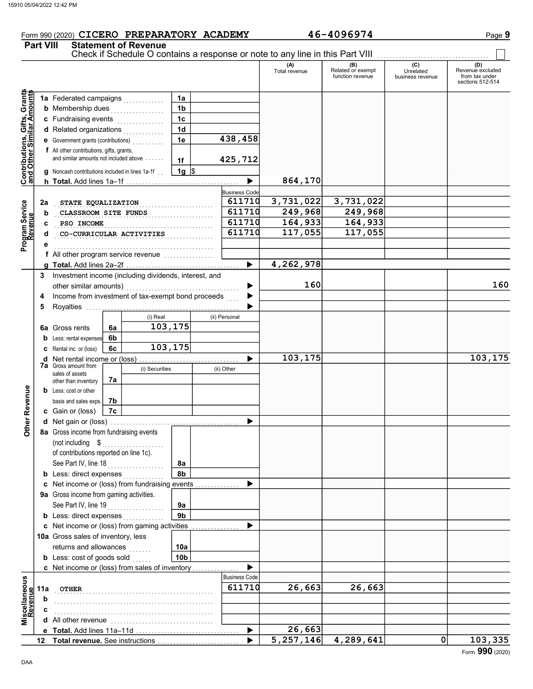# Form 990 (2020) CICERO PREPARATORY ACADEMY  $46-4096974$  Page 9

## Part VIII Statement of Revenue

|                                                                  |        |                                                                  |          |                                    |                 |            |                       | Check if Schedule O contains a response or note to any line in this Part VIII |                                              |                                      |                                                        |
|------------------------------------------------------------------|--------|------------------------------------------------------------------|----------|------------------------------------|-----------------|------------|-----------------------|-------------------------------------------------------------------------------|----------------------------------------------|--------------------------------------|--------------------------------------------------------|
|                                                                  |        |                                                                  |          |                                    |                 |            |                       | (A)<br>Total revenue                                                          | (B)<br>Related or exempt<br>function revenue | (C)<br>Unrelated<br>business revenue | Revenue excluded<br>from tax under<br>sections 512-514 |
|                                                                  |        | 1a Federated campaigns                                           |          |                                    | 1a              |            |                       |                                                                               |                                              |                                      |                                                        |
| <b>Contributions, Gifts, Grants</b><br>and Other Similar Amounts |        | <b>b</b> Membership dues                                         |          | .                                  | 1 <sub>b</sub>  |            |                       |                                                                               |                                              |                                      |                                                        |
|                                                                  |        | c Fundraising events                                             |          | .                                  | 1 <sub>c</sub>  |            |                       |                                                                               |                                              |                                      |                                                        |
|                                                                  |        | d Related organizations                                          |          |                                    | 1 <sub>d</sub>  |            |                       |                                                                               |                                              |                                      |                                                        |
|                                                                  |        | e Government grants (contributions)                              |          |                                    | 1e              |            | 438,458               |                                                                               |                                              |                                      |                                                        |
|                                                                  |        | f All other contributions, gifts, grants,                        |          |                                    |                 |            |                       |                                                                               |                                              |                                      |                                                        |
|                                                                  |        | and similar amounts not included above                           |          |                                    | 1f              |            | 425,712               |                                                                               |                                              |                                      |                                                        |
|                                                                  |        | g Noncash contributions included in lines 1a-1f.                 |          |                                    | $1g \,$ \$      |            |                       |                                                                               |                                              |                                      |                                                        |
|                                                                  |        |                                                                  |          |                                    |                 |            | $\blacktriangleright$ | 864,170                                                                       |                                              |                                      |                                                        |
|                                                                  |        |                                                                  |          |                                    |                 |            | <b>Business Code</b>  |                                                                               |                                              |                                      |                                                        |
|                                                                  | 2a     | STATE EQUALIZATION                                               |          |                                    |                 |            | 611710                | 3,731,022                                                                     | 3,731,022                                    |                                      |                                                        |
|                                                                  | b      | CLASSROOM SITE FUNDS                                             |          |                                    |                 |            | 611710                | 249,968                                                                       | 249,968                                      |                                      |                                                        |
|                                                                  | c      | PSO INCOME                                                       |          |                                    |                 |            | 611710<br>611710      | 164,933                                                                       | 164,933<br>117,055                           |                                      |                                                        |
| Program Service<br>Revenue                                       | d      |                                                                  |          | CO-CURRICULAR ACTIVITIES           | .               |            |                       | 117,055                                                                       |                                              |                                      |                                                        |
|                                                                  |        | f All other program service revenue                              |          |                                    |                 |            |                       |                                                                               |                                              |                                      |                                                        |
|                                                                  |        |                                                                  |          |                                    |                 |            | $\blacktriangleright$ | 4,262,978                                                                     |                                              |                                      |                                                        |
|                                                                  | 3      | Investment income (including dividends, interest, and            |          |                                    |                 |            |                       |                                                                               |                                              |                                      |                                                        |
|                                                                  |        | other similar amounts)                                           |          |                                    |                 |            | ▶                     | 160                                                                           |                                              |                                      | 160                                                    |
|                                                                  | 4      | Income from investment of tax-exempt bond proceeds               |          |                                    |                 |            |                       |                                                                               |                                              |                                      |                                                        |
|                                                                  | 5      |                                                                  |          |                                    |                 |            |                       |                                                                               |                                              |                                      |                                                        |
|                                                                  |        |                                                                  | (i) Real |                                    |                 |            | (ii) Personal         |                                                                               |                                              |                                      |                                                        |
|                                                                  |        | 6a Gross rents                                                   | 6a       | 103, 175                           |                 |            |                       |                                                                               |                                              |                                      |                                                        |
|                                                                  |        | <b>b</b> Less: rental expenses                                   | 6b       |                                    |                 |            |                       |                                                                               |                                              |                                      |                                                        |
|                                                                  |        | <b>C</b> Rental inc. or (loss)                                   | 6c       |                                    | 103, 175        |            |                       |                                                                               |                                              |                                      |                                                        |
|                                                                  |        | <b>d</b> Net rental income or (loss)                             |          |                                    |                 |            | ▶                     | 103,175                                                                       |                                              |                                      | 103,175                                                |
|                                                                  |        | <b>7a</b> Gross amount from<br>(i) Securities<br>sales of assets |          |                                    |                 | (ii) Other |                       |                                                                               |                                              |                                      |                                                        |
|                                                                  |        | other than inventory                                             | 7а       |                                    |                 |            |                       |                                                                               |                                              |                                      |                                                        |
| Other Revenue                                                    |        | <b>b</b> Less: cost or other                                     |          |                                    |                 |            |                       |                                                                               |                                              |                                      |                                                        |
|                                                                  |        | basis and sales exps.                                            | 7b       |                                    |                 |            |                       |                                                                               |                                              |                                      |                                                        |
|                                                                  |        | c Gain or (loss)                                                 | 7c       |                                    |                 |            |                       |                                                                               |                                              |                                      |                                                        |
|                                                                  |        |                                                                  |          |                                    |                 |            | ▶                     |                                                                               |                                              |                                      |                                                        |
|                                                                  |        | 8a Gross income from fundraising events                          |          |                                    |                 |            |                       |                                                                               |                                              |                                      |                                                        |
|                                                                  |        | (not including \$<br>of contributions reported on line 1c).      |          |                                    |                 |            |                       |                                                                               |                                              |                                      |                                                        |
|                                                                  |        | See Part IV, line 18                                             |          |                                    | 8а              |            |                       |                                                                               |                                              |                                      |                                                        |
|                                                                  |        | <b>b</b> Less: direct expenses                                   |          | <u> 1986 - Andrea Steinberg, A</u> | 8b              |            |                       |                                                                               |                                              |                                      |                                                        |
|                                                                  |        | c Net income or (loss) from fundraising events                   |          |                                    |                 |            |                       |                                                                               |                                              |                                      |                                                        |
|                                                                  |        | 9a Gross income from gaming activities.                          |          |                                    |                 |            |                       |                                                                               |                                              |                                      |                                                        |
|                                                                  |        | See Part IV, line 19                                             |          | .                                  | 9а              |            |                       |                                                                               |                                              |                                      |                                                        |
|                                                                  |        | <b>b</b> Less: direct expenses                                   |          |                                    | 9 <sub>b</sub>  |            |                       |                                                                               |                                              |                                      |                                                        |
|                                                                  |        | c Net income or (loss) from gaming activities                    |          |                                    |                 | .          |                       |                                                                               |                                              |                                      |                                                        |
|                                                                  |        | 10a Gross sales of inventory, less                               |          |                                    |                 |            |                       |                                                                               |                                              |                                      |                                                        |
|                                                                  |        | returns and allowances                                           |          | .                                  | 10a             |            |                       |                                                                               |                                              |                                      |                                                        |
|                                                                  |        | <b>b</b> Less: cost of goods sold                                |          |                                    | 10 <sub>b</sub> |            |                       |                                                                               |                                              |                                      |                                                        |
|                                                                  |        | c Net income or (loss) from sales of inventory                   |          |                                    |                 |            |                       |                                                                               |                                              |                                      |                                                        |
| Miscellaneous<br>Revenue                                         |        |                                                                  |          |                                    |                 |            | <b>Business Code</b>  |                                                                               |                                              |                                      |                                                        |
|                                                                  | 11a    | OTHER                                                            |          |                                    |                 |            | 611710                | 26,663                                                                        | 26,663                                       |                                      |                                                        |
|                                                                  | b      |                                                                  |          |                                    |                 |            |                       |                                                                               |                                              |                                      |                                                        |
|                                                                  | c<br>d |                                                                  |          |                                    |                 |            |                       |                                                                               |                                              |                                      |                                                        |
|                                                                  |        |                                                                  |          |                                    |                 |            | ▶                     | 26,663                                                                        |                                              |                                      |                                                        |
|                                                                  | 12     |                                                                  |          |                                    |                 |            |                       | 5, 257, 146                                                                   | 4,289,641                                    | $\Omega$                             | 103,335                                                |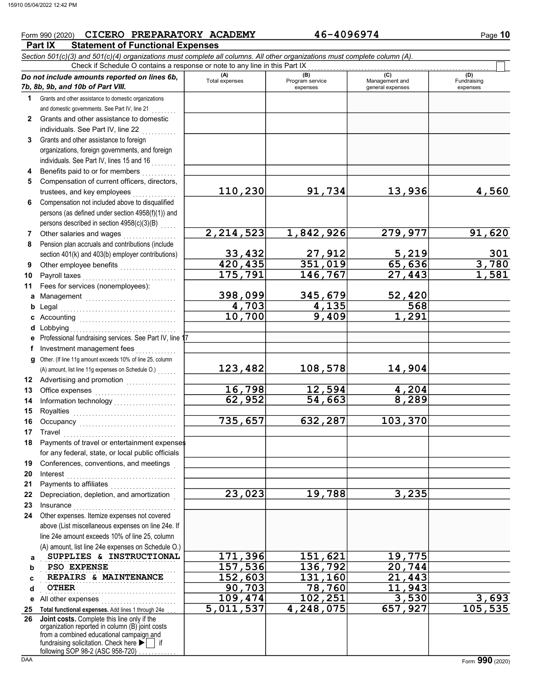### **Part IX Statement of Functional Expenses**  $From 990 (2020) **CICERO PREPARATORY** ACADEMY 46-4096974$

|          | Section 501(c)(3) and 501(c)(4) organizations must complete all columns. All other organizations must complete column (A).                                                                                                       |                |                                   |                                    |                         |
|----------|----------------------------------------------------------------------------------------------------------------------------------------------------------------------------------------------------------------------------------|----------------|-----------------------------------|------------------------------------|-------------------------|
|          | Check if Schedule O contains a response or note to any line in this Part IX                                                                                                                                                      | (A)            | (B)                               | (C)                                | (D)                     |
|          | Do not include amounts reported on lines 6b,<br>7b, 8b, 9b, and 10b of Part VIII.                                                                                                                                                | Total expenses | Program service<br>expenses       | Management and<br>general expenses | Fundraising<br>expenses |
| 1        | Grants and other assistance to domestic organizations                                                                                                                                                                            |                |                                   |                                    |                         |
|          | and domestic governments. See Part IV, line 21                                                                                                                                                                                   |                |                                   |                                    |                         |
|          | 2 Grants and other assistance to domestic                                                                                                                                                                                        |                |                                   |                                    |                         |
|          | individuals. See Part IV, line 22                                                                                                                                                                                                |                |                                   |                                    |                         |
| 3        | Grants and other assistance to foreign                                                                                                                                                                                           |                |                                   |                                    |                         |
|          | organizations, foreign governments, and foreign                                                                                                                                                                                  |                |                                   |                                    |                         |
|          | individuals. See Part IV, lines 15 and 16                                                                                                                                                                                        |                |                                   |                                    |                         |
| 4        | Benefits paid to or for members                                                                                                                                                                                                  |                |                                   |                                    |                         |
| 5        | Compensation of current officers, directors,                                                                                                                                                                                     |                |                                   |                                    |                         |
|          | trustees, and key employees                                                                                                                                                                                                      | 110,230        | 91,734                            | 13,936                             | 4,560                   |
| 6        | Compensation not included above to disqualified                                                                                                                                                                                  |                |                                   |                                    |                         |
|          | persons (as defined under section 4958(f)(1)) and                                                                                                                                                                                |                |                                   |                                    |                         |
|          | persons described in section 4958(c)(3)(B)                                                                                                                                                                                       | 2,214,523      |                                   | 279,977                            |                         |
| 7        | Other salaries and wages<br>Pension plan accruals and contributions (include                                                                                                                                                     |                | 1,842,926                         |                                    | 91,620                  |
| 8        | section 401(k) and 403(b) employer contributions)                                                                                                                                                                                | 33,432         | 27,912                            | 5,219                              | 301                     |
| 9        | Other employee benefits                                                                                                                                                                                                          | 420,435        | 351,019                           | 65,636                             | 3,780                   |
| 10       | Payroll taxes                                                                                                                                                                                                                    | 175,791        | 146,767                           | 27,443                             | 1,581                   |
| 11       | Fees for services (nonemployees):                                                                                                                                                                                                |                |                                   |                                    |                         |
| a        |                                                                                                                                                                                                                                  | 398,099        | 345,679                           | 52,420                             |                         |
| b        | Legal                                                                                                                                                                                                                            | 4,703          | 4,135                             | 568                                |                         |
| c        |                                                                                                                                                                                                                                  | 10,700         | 9,409                             | 1,291                              |                         |
| d        | Lobbying                                                                                                                                                                                                                         |                |                                   |                                    |                         |
| e        | Professional fundraising services. See Part IV, line 1                                                                                                                                                                           |                |                                   |                                    |                         |
| f        | Investment management fees                                                                                                                                                                                                       |                |                                   |                                    |                         |
| a        | Other. (If line 11g amount exceeds 10% of line 25, column                                                                                                                                                                        |                |                                   |                                    |                         |
|          | (A) amount, list line 11g expenses on Schedule O.)                                                                                                                                                                               | 123,482        | 108,578                           | 14,904                             |                         |
| 12       |                                                                                                                                                                                                                                  |                |                                   |                                    |                         |
| 13       |                                                                                                                                                                                                                                  | 16,798         | 12,594                            | 4,204                              |                         |
| 14       |                                                                                                                                                                                                                                  | 62,952         | 54,663                            | 8,289                              |                         |
| 15       |                                                                                                                                                                                                                                  |                |                                   |                                    |                         |
| 16       | Occupancy                                                                                                                                                                                                                        | 735,657        | 632,287                           | 103, 370                           |                         |
| 17       | Travel<br>Payments of travel or entertainment expenses                                                                                                                                                                           |                |                                   |                                    |                         |
|          | for any federal, state, or local public officials                                                                                                                                                                                |                |                                   |                                    |                         |
| 19       | Conferences, conventions, and meetings                                                                                                                                                                                           |                |                                   |                                    |                         |
| 20       | Interest                                                                                                                                                                                                                         |                |                                   |                                    |                         |
| 21       | Payments to affiliates<br>interactions contains and the contract of the contract of the contract of the contract of the contract of the contract of the contract of the contract of the contract of the contract of the contract |                |                                   |                                    |                         |
| 22       | Depreciation, depletion, and amortization                                                                                                                                                                                        | 23,023         | 19,788                            | 3,235                              |                         |
| 23       |                                                                                                                                                                                                                                  |                |                                   |                                    |                         |
| 24       | Other expenses. Itemize expenses not covered                                                                                                                                                                                     |                |                                   |                                    |                         |
|          | above (List miscellaneous expenses on line 24e. If                                                                                                                                                                               |                |                                   |                                    |                         |
|          | line 24e amount exceeds 10% of line 25, column                                                                                                                                                                                   |                |                                   |                                    |                         |
|          | (A) amount, list line 24e expenses on Schedule O.)                                                                                                                                                                               |                |                                   |                                    |                         |
| a        | SUPPLIES & INSTRUCTIONAL                                                                                                                                                                                                         | 171,396        | 151,621                           | 19,775                             |                         |
| b        | PSO EXPENSE                                                                                                                                                                                                                      | 157,536        | 136,792                           | 20,744                             |                         |
| c        | REPAIRS & MAINTENANCE                                                                                                                                                                                                            | 152,603        | 131,160                           | 21,443                             |                         |
| d        | <b>OTHER</b>                                                                                                                                                                                                                     | 90,703         | 78,760                            | 11,943                             |                         |
| е        | All other expenses                                                                                                                                                                                                               | 109,474        | 102,251<br>$\overline{4,248,075}$ | 3,530                              | <u>3,693</u>            |
| 25<br>26 | Total functional expenses. Add lines 1 through 24e<br><b>Joint costs.</b> Complete this line only if the                                                                                                                         | 5,011,537      |                                   | 657,927                            | 105, 535                |
|          | organization reported in column (B) joint costs                                                                                                                                                                                  |                |                                   |                                    |                         |
|          | from a combined educational campaign and                                                                                                                                                                                         |                |                                   |                                    |                         |
|          | fundraising solicitation. Check here $\blacktriangleright$<br>following SOP 98-2 (ASC 958-720) $\ldots$                                                                                                                          |                |                                   |                                    |                         |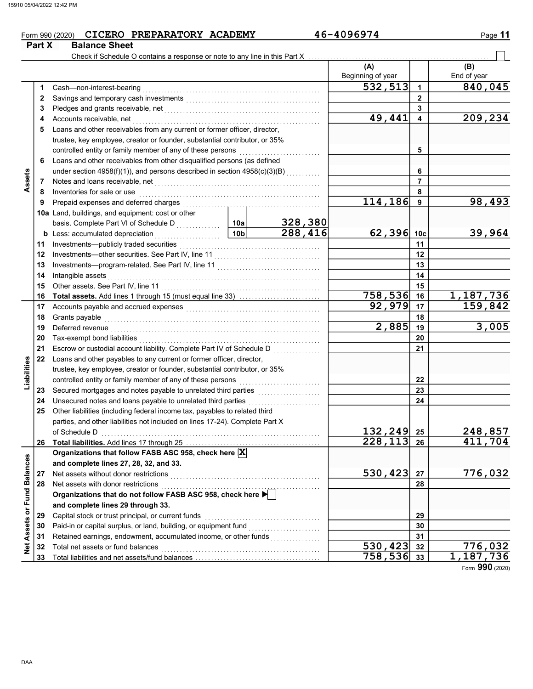**Part X** Balance Sheet

# $From 990 (2020) **CICERO PREPARATORY ACADEMY** 46-4096974$  Page 11

|                   |    | Check if Schedule O contains a response or note to any line in this Part X                                               |                 |          |                          |                         |                    |
|-------------------|----|--------------------------------------------------------------------------------------------------------------------------|-----------------|----------|--------------------------|-------------------------|--------------------|
|                   |    |                                                                                                                          |                 |          | (A)<br>Beginning of year |                         | (B)<br>End of year |
|                   | 1  | Cash-non-interest-bearing                                                                                                |                 |          | 532,513                  | $\mathbf{1}$            | 840,045            |
|                   | 2  |                                                                                                                          |                 |          |                          | $\mathbf{2}$            |                    |
|                   | 3  |                                                                                                                          |                 |          | 3                        |                         |                    |
|                   | 4  | Accounts receivable, net                                                                                                 |                 |          | 49,441                   | $\overline{\mathbf{4}}$ | 209,234            |
|                   | 5  | Loans and other receivables from any current or former officer, director,                                                |                 |          |                          |                         |                    |
|                   |    | trustee, key employee, creator or founder, substantial contributor, or 35%                                               |                 |          |                          |                         |                    |
|                   |    | controlled entity or family member of any of these persons                                                               |                 |          | 5                        |                         |                    |
|                   | 6  | Loans and other receivables from other disqualified persons (as defined                                                  |                 |          |                          |                         |                    |
|                   |    | under section 4958(f)(1)), and persons described in section 4958(c)(3)(B)                                                |                 |          |                          | 6                       |                    |
| Assets            | 7  | Notes and loans receivable, net                                                                                          |                 |          |                          | $\overline{7}$          |                    |
|                   | 8  | Inventories for sale or use                                                                                              |                 |          |                          | 8                       |                    |
|                   | 9  | Prepaid expenses and deferred charges                                                                                    |                 |          | 114,186                  | 9                       | 98,493             |
|                   |    | 10a Land, buildings, and equipment: cost or other                                                                        |                 |          |                          |                         |                    |
|                   |    | basis. Complete Part VI of Schedule D<br>                                                                                | 10a             | 328,380  |                          |                         |                    |
|                   |    | <b>b</b> Less: accumulated depreciation<br>.                                                                             | 10 <sub>b</sub> | 288,416  | 62, 396                  | 10 <sub>c</sub>         | 39,964             |
|                   | 11 |                                                                                                                          |                 |          |                          | 11                      |                    |
|                   | 12 | Investments-other securities. See Part IV, line 11                                                                       |                 |          |                          | 12                      |                    |
|                   | 13 |                                                                                                                          |                 |          |                          | 13                      |                    |
|                   | 14 | Intangible assets                                                                                                        |                 | 14       |                          |                         |                    |
|                   | 15 | Other assets. See Part IV, line 11                                                                                       |                 |          |                          | 15                      |                    |
|                   | 16 |                                                                                                                          |                 |          | 758,536                  | 16                      | 1,187,736          |
|                   | 17 |                                                                                                                          |                 |          | 92,979                   | 17                      | 159,842            |
|                   | 18 | Grants payable                                                                                                           |                 | 18       |                          |                         |                    |
|                   | 19 | Deferred revenue <b>construction and the construction of the construction</b> of the construction of the construction of |                 | 2,885    | 19                       | 3,005                   |                    |
|                   | 20 | Tax-exempt bond liabilities                                                                                              |                 |          |                          | 20                      |                    |
|                   | 21 | Escrow or custodial account liability. Complete Part IV of Schedule D                                                    |                 |          |                          | 21                      |                    |
|                   | 22 | Loans and other payables to any current or former officer, director,                                                     |                 |          |                          |                         |                    |
|                   |    | trustee, key employee, creator or founder, substantial contributor, or 35%                                               |                 |          |                          |                         |                    |
| Liabilities       |    | controlled entity or family member of any of these persons                                                               |                 |          |                          | 22                      |                    |
|                   | 23 | Secured mortgages and notes payable to unrelated third parties                                                           |                 |          |                          | 23                      |                    |
|                   | 24 | Unsecured notes and loans payable to unrelated third parties                                                             |                 | .        |                          | 24                      |                    |
|                   | 25 | Other liabilities (including federal income tax, payables to related third                                               |                 |          |                          |                         |                    |
|                   |    | parties, and other liabilities not included on lines 17-24). Complete Part X                                             |                 |          |                          |                         |                    |
|                   |    | of Schedule D                                                                                                            |                 |          | 132, 249                 | 25                      | 248,857            |
|                   |    | 26 Total liabilities. Add lines 17 through 25                                                                            |                 |          | 228, 113                 | 26                      | 411,704            |
|                   |    | Organizations that follow FASB ASC 958, check here X                                                                     |                 |          |                          |                         |                    |
|                   |    | and complete lines 27, 28, 32, and 33.                                                                                   |                 |          |                          |                         |                    |
|                   | 27 | Net assets without donor restrictions                                                                                    |                 | 530, 423 | 27                       | 776,032                 |                    |
| or Fund Balances  | 28 | Net assets with donor restrictions                                                                                       |                 |          | 28                       |                         |                    |
|                   |    | Organizations that do not follow FASB ASC 958, check here >                                                              |                 |          |                          |                         |                    |
|                   |    | and complete lines 29 through 33.                                                                                        |                 |          |                          |                         |                    |
|                   | 29 | Capital stock or trust principal, or current funds                                                                       |                 |          |                          | 29                      |                    |
|                   | 30 | Paid-in or capital surplus, or land, building, or equipment fund                                                         |                 |          |                          | 30                      |                    |
| <b>Net Assets</b> | 31 | Retained earnings, endowment, accumulated income, or other funds                                                         |                 |          |                          | 31                      |                    |
|                   | 32 | Total net assets or fund balances                                                                                        |                 |          | $\overline{530}$ , 423   | 32                      | 776,032            |
|                   | 33 |                                                                                                                          |                 |          | $758,536$ 33             |                         | 1,187,736          |

Form 990 (2020)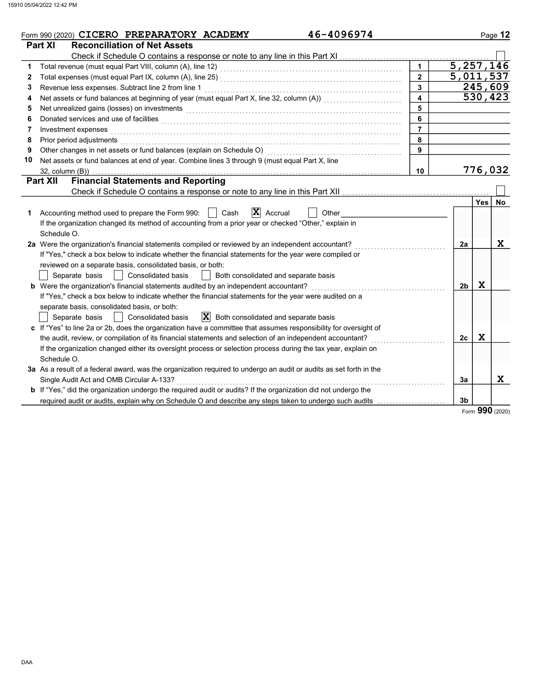|              | 46-4096974<br>Form 990 (2020) CICERO PREPARATORY ACADEMY                                                                                                                                                                            |                         |                        |             | Page 12     |
|--------------|-------------------------------------------------------------------------------------------------------------------------------------------------------------------------------------------------------------------------------------|-------------------------|------------------------|-------------|-------------|
|              | <b>Reconciliation of Net Assets</b><br>Part XI                                                                                                                                                                                      |                         |                        |             |             |
|              |                                                                                                                                                                                                                                     |                         |                        |             |             |
| 1            |                                                                                                                                                                                                                                     |                         | 5,257,146              |             |             |
| $\mathbf{2}$ |                                                                                                                                                                                                                                     | $\overline{2}$          | $\overline{5,011,537}$ |             |             |
| 3            | Revenue less expenses. Subtract line 2 from line 1                                                                                                                                                                                  | $\mathbf{3}$            |                        | 245,609     |             |
| 4            |                                                                                                                                                                                                                                     | $\overline{\mathbf{4}}$ |                        | 530,423     |             |
| 5            | Net unrealized gains (losses) on investments                                                                                                                                                                                        | 5                       |                        |             |             |
| 6            | Donated services and use of facilities <b>constructs</b> and the service of the service of the service of the service of the service of the service of the service of the service of the service of the service of the service of t | 6                       |                        |             |             |
| 7            | Investment expenses                                                                                                                                                                                                                 | $\overline{7}$          |                        |             |             |
| 8            | Prior period adjustments                                                                                                                                                                                                            | 8                       |                        |             |             |
| 9            | Other changes in net assets or fund balances (explain on Schedule O)                                                                                                                                                                | 9                       |                        |             |             |
| 10           | Net assets or fund balances at end of year. Combine lines 3 through 9 (must equal Part X, line                                                                                                                                      |                         |                        |             |             |
|              | 32, column (B))                                                                                                                                                                                                                     | 10                      |                        | 776,032     |             |
|              | <b>Financial Statements and Reporting</b><br><b>Part XII</b>                                                                                                                                                                        |                         |                        |             |             |
|              |                                                                                                                                                                                                                                     |                         |                        |             |             |
|              |                                                                                                                                                                                                                                     |                         |                        | Yes         | <b>No</b>   |
| 1            | X Accrual<br>Accounting method used to prepare the Form 990:<br>Cash<br>Other                                                                                                                                                       |                         |                        |             |             |
|              | If the organization changed its method of accounting from a prior year or checked "Other," explain in                                                                                                                               |                         |                        |             |             |
|              | Schedule O.                                                                                                                                                                                                                         |                         |                        |             |             |
|              | 2a Were the organization's financial statements compiled or reviewed by an independent accountant?                                                                                                                                  |                         | 2a                     |             | $\mathbf x$ |
|              | If "Yes," check a box below to indicate whether the financial statements for the year were compiled or                                                                                                                              |                         |                        |             |             |
|              | reviewed on a separate basis, consolidated basis, or both:                                                                                                                                                                          |                         |                        |             |             |
|              | Separate basis<br><b>Consolidated basis</b><br>Both consolidated and separate basis                                                                                                                                                 |                         |                        |             |             |
|              | b Were the organization's financial statements audited by an independent accountant?                                                                                                                                                |                         | 2 <sub>b</sub>         | X           |             |
|              | If "Yes," check a box below to indicate whether the financial statements for the year were audited on a                                                                                                                             |                         |                        |             |             |
|              | separate basis, consolidated basis, or both:                                                                                                                                                                                        |                         |                        |             |             |
|              | $ \mathbf{X} $ Both consolidated and separate basis<br><b>Consolidated basis</b><br>Separate basis                                                                                                                                  |                         |                        |             |             |
|              | c If "Yes" to line 2a or 2b, does the organization have a committee that assumes responsibility for oversight of                                                                                                                    |                         |                        |             |             |
|              | the audit, review, or compilation of its financial statements and selection of an independent accountant?                                                                                                                           |                         | 2c                     | $\mathbf x$ |             |
|              | If the organization changed either its oversight process or selection process during the tax year, explain on                                                                                                                       |                         |                        |             |             |
|              | Schedule O.                                                                                                                                                                                                                         |                         |                        |             |             |
|              | 3a As a result of a federal award, was the organization required to undergo an audit or audits as set forth in the                                                                                                                  |                         |                        |             |             |
|              | Single Audit Act and OMB Circular A-133?                                                                                                                                                                                            |                         | 3a                     |             | X           |
|              | <b>b</b> If "Yes," did the organization undergo the required audit or audits? If the organization did not undergo the                                                                                                               |                         |                        |             |             |
|              | required audit or audits, explain why on Schedule O and describe any steps taken to undergo such audits                                                                                                                             |                         | 3b                     | nnn         |             |

Form 990 (2020)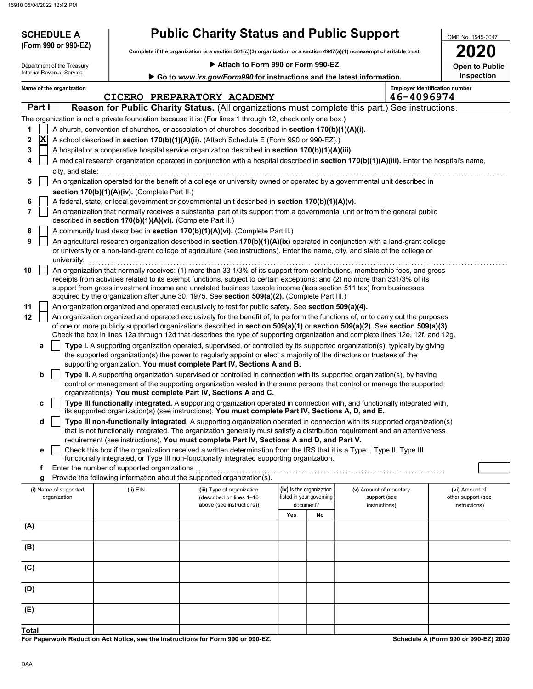15910 05/04/2022 12:42 PM

| <b>Public Charity Status and Public Support</b><br><b>SCHEDULE A</b><br>(Form 990 or 990-EZ)<br>Complete if the organization is a section $501(c)(3)$ organization or a section $4947(a)(1)$ nonexempt charitable trust.<br>Attach to Form 990 or Form 990-EZ.<br>Department of the Treasury<br>Internal Revenue Service<br>Go to www.irs.gov/Form990 for instructions and the latest information.                                                                                                                                                                                                                                                                                                                                                                                                                                                                                                                                                                                                                                                                                                                                                                                                                                                                                                                                                                                                                                                                                                                                                                                                                                                                                                                                                                                                                                                                                                                                                                                                                                                                                                                                                                                                                                                                                                                                                                                                                                                                                                                                                                                                                                                                                                                                                                                                                                                                                                                                                                                                                                                                                                                                                                                                                                                            |                                                                                                             |                                                                                                                                                                                                                                                                                                                                                                                                                                                                                                                       |  |                                                                                                                                                                                                                                                                                                                                                                                                         | OMB No. 1545-0047<br>ZUZ0<br><b>Open to Public</b><br>Inspection |  |
|---------------------------------------------------------------------------------------------------------------------------------------------------------------------------------------------------------------------------------------------------------------------------------------------------------------------------------------------------------------------------------------------------------------------------------------------------------------------------------------------------------------------------------------------------------------------------------------------------------------------------------------------------------------------------------------------------------------------------------------------------------------------------------------------------------------------------------------------------------------------------------------------------------------------------------------------------------------------------------------------------------------------------------------------------------------------------------------------------------------------------------------------------------------------------------------------------------------------------------------------------------------------------------------------------------------------------------------------------------------------------------------------------------------------------------------------------------------------------------------------------------------------------------------------------------------------------------------------------------------------------------------------------------------------------------------------------------------------------------------------------------------------------------------------------------------------------------------------------------------------------------------------------------------------------------------------------------------------------------------------------------------------------------------------------------------------------------------------------------------------------------------------------------------------------------------------------------------------------------------------------------------------------------------------------------------------------------------------------------------------------------------------------------------------------------------------------------------------------------------------------------------------------------------------------------------------------------------------------------------------------------------------------------------------------------------------------------------------------------------------------------------------------------------------------------------------------------------------------------------------------------------------------------------------------------------------------------------------------------------------------------------------------------------------------------------------------------------------------------------------------------------------------------------------------------------------------------------------------------------------------------------|-------------------------------------------------------------------------------------------------------------|-----------------------------------------------------------------------------------------------------------------------------------------------------------------------------------------------------------------------------------------------------------------------------------------------------------------------------------------------------------------------------------------------------------------------------------------------------------------------------------------------------------------------|--|---------------------------------------------------------------------------------------------------------------------------------------------------------------------------------------------------------------------------------------------------------------------------------------------------------------------------------------------------------------------------------------------------------|------------------------------------------------------------------|--|
| Name of the organization                                                                                                                                                                                                                                                                                                                                                                                                                                                                                                                                                                                                                                                                                                                                                                                                                                                                                                                                                                                                                                                                                                                                                                                                                                                                                                                                                                                                                                                                                                                                                                                                                                                                                                                                                                                                                                                                                                                                                                                                                                                                                                                                                                                                                                                                                                                                                                                                                                                                                                                                                                                                                                                                                                                                                                                                                                                                                                                                                                                                                                                                                                                                                                                                                                      |                                                                                                             |                                                                                                                                                                                                                                                                                                                                                                                                                                                                                                                       |  |                                                                                                                                                                                                                                                                                                                                                                                                         | <b>Employer identification number</b>                            |  |
| Part I                                                                                                                                                                                                                                                                                                                                                                                                                                                                                                                                                                                                                                                                                                                                                                                                                                                                                                                                                                                                                                                                                                                                                                                                                                                                                                                                                                                                                                                                                                                                                                                                                                                                                                                                                                                                                                                                                                                                                                                                                                                                                                                                                                                                                                                                                                                                                                                                                                                                                                                                                                                                                                                                                                                                                                                                                                                                                                                                                                                                                                                                                                                                                                                                                                                        |                                                                                                             | CICERO PREPARATORY ACADEMY<br>Reason for Public Charity Status. (All organizations must complete this part.)                                                                                                                                                                                                                                                                                                                                                                                                          |  | 46-4096974<br>See instructions.                                                                                                                                                                                                                                                                                                                                                                         |                                                                  |  |
| 1<br>$ \mathbf{x} $<br>2<br>3<br>4<br>city, and state:<br>5<br>6<br>7                                                                                                                                                                                                                                                                                                                                                                                                                                                                                                                                                                                                                                                                                                                                                                                                                                                                                                                                                                                                                                                                                                                                                                                                                                                                                                                                                                                                                                                                                                                                                                                                                                                                                                                                                                                                                                                                                                                                                                                                                                                                                                                                                                                                                                                                                                                                                                                                                                                                                                                                                                                                                                                                                                                                                                                                                                                                                                                                                                                                                                                                                                                                                                                         | section 170(b)(1)(A)(iv). (Complete Part II.)<br>described in section 170(b)(1)(A)(vi). (Complete Part II.) | The organization is not a private foundation because it is: (For lines 1 through 12, check only one box.)<br>A church, convention of churches, or association of churches described in section 170(b)(1)(A)(i).<br>A school described in section 170(b)(1)(A)(ii). (Attach Schedule E (Form 990 or 990-EZ).)<br>A hospital or a cooperative hospital service organization described in section 170(b)(1)(A)(iii).<br>A federal, state, or local government or governmental unit described in section 170(b)(1)(A)(v). |  | A medical research organization operated in conjunction with a hospital described in section 170(b)(1)(A)(iii). Enter the hospital's name,<br>An organization operated for the benefit of a college or university owned or operated by a governmental unit described in<br>An organization that normally receives a substantial part of its support from a governmental unit or from the general public |                                                                  |  |
| 8<br>9<br>university:                                                                                                                                                                                                                                                                                                                                                                                                                                                                                                                                                                                                                                                                                                                                                                                                                                                                                                                                                                                                                                                                                                                                                                                                                                                                                                                                                                                                                                                                                                                                                                                                                                                                                                                                                                                                                                                                                                                                                                                                                                                                                                                                                                                                                                                                                                                                                                                                                                                                                                                                                                                                                                                                                                                                                                                                                                                                                                                                                                                                                                                                                                                                                                                                                                         |                                                                                                             | A community trust described in section 170(b)(1)(A)(vi). (Complete Part II.)                                                                                                                                                                                                                                                                                                                                                                                                                                          |  |                                                                                                                                                                                                                                                                                                                                                                                                         |                                                                  |  |
| An agricultural research organization described in section 170(b)(1)(A)(ix) operated in conjunction with a land-grant college<br>or university or a non-land-grant college of agriculture (see instructions). Enter the name, city, and state of the college or<br>An organization that normally receives: (1) more than 33 1/3% of its support from contributions, membership fees, and gross<br>10<br>receipts from activities related to its exempt functions, subject to certain exceptions; and (2) no more than 331/3% of its<br>support from gross investment income and unrelated business taxable income (less section 511 tax) from businesses<br>acquired by the organization after June 30, 1975. See section 509(a)(2). (Complete Part III.)<br>11<br>An organization organized and operated exclusively to test for public safety. See section 509(a)(4).<br>12<br>An organization organized and operated exclusively for the benefit of, to perform the functions of, or to carry out the purposes<br>of one or more publicly supported organizations described in section 509(a)(1) or section 509(a)(2). See section 509(a)(3).<br>Check the box in lines 12a through 12d that describes the type of supporting organization and complete lines 12e, 12f, and 12g.<br>Type I. A supporting organization operated, supervised, or controlled by its supported organization(s), typically by giving<br>a<br>the supported organization(s) the power to regularly appoint or elect a majority of the directors or trustees of the<br>supporting organization. You must complete Part IV, Sections A and B.<br>b<br>Type II. A supporting organization supervised or controlled in connection with its supported organization(s), by having<br>control or management of the supporting organization vested in the same persons that control or manage the supported<br>organization(s). You must complete Part IV, Sections A and C.<br>Type III functionally integrated. A supporting organization operated in connection with, and functionally integrated with,<br>C<br>its supported organization(s) (see instructions). You must complete Part IV, Sections A, D, and E.<br>Type III non-functionally integrated. A supporting organization operated in connection with its supported organization(s)<br>d<br>that is not functionally integrated. The organization generally must satisfy a distribution requirement and an attentiveness<br>requirement (see instructions). You must complete Part IV, Sections A and D, and Part V.<br>Check this box if the organization received a written determination from the IRS that it is a Type I, Type II, Type III<br>е<br>functionally integrated, or Type III non-functionally integrated supporting organization.<br>Enter the number of supported organizations<br>f<br>Provide the following information about the supported organization(s).<br>g<br>(iv) Is the organization<br>(ii) EIN<br>(i) Name of supported<br>(iii) Type of organization<br>(v) Amount of monetary<br>(vi) Amount of<br>listed in your governing<br>organization<br>other support (see<br>(described on lines 1-10<br>support (see<br>above (see instructions))<br>document?<br>instructions)<br>instructions) |                                                                                                             |                                                                                                                                                                                                                                                                                                                                                                                                                                                                                                                       |  |                                                                                                                                                                                                                                                                                                                                                                                                         |                                                                  |  |
| (A)                                                                                                                                                                                                                                                                                                                                                                                                                                                                                                                                                                                                                                                                                                                                                                                                                                                                                                                                                                                                                                                                                                                                                                                                                                                                                                                                                                                                                                                                                                                                                                                                                                                                                                                                                                                                                                                                                                                                                                                                                                                                                                                                                                                                                                                                                                                                                                                                                                                                                                                                                                                                                                                                                                                                                                                                                                                                                                                                                                                                                                                                                                                                                                                                                                                           |                                                                                                             |                                                                                                                                                                                                                                                                                                                                                                                                                                                                                                                       |  |                                                                                                                                                                                                                                                                                                                                                                                                         |                                                                  |  |
| (B)<br>(C)                                                                                                                                                                                                                                                                                                                                                                                                                                                                                                                                                                                                                                                                                                                                                                                                                                                                                                                                                                                                                                                                                                                                                                                                                                                                                                                                                                                                                                                                                                                                                                                                                                                                                                                                                                                                                                                                                                                                                                                                                                                                                                                                                                                                                                                                                                                                                                                                                                                                                                                                                                                                                                                                                                                                                                                                                                                                                                                                                                                                                                                                                                                                                                                                                                                    |                                                                                                             |                                                                                                                                                                                                                                                                                                                                                                                                                                                                                                                       |  |                                                                                                                                                                                                                                                                                                                                                                                                         |                                                                  |  |
| (D)                                                                                                                                                                                                                                                                                                                                                                                                                                                                                                                                                                                                                                                                                                                                                                                                                                                                                                                                                                                                                                                                                                                                                                                                                                                                                                                                                                                                                                                                                                                                                                                                                                                                                                                                                                                                                                                                                                                                                                                                                                                                                                                                                                                                                                                                                                                                                                                                                                                                                                                                                                                                                                                                                                                                                                                                                                                                                                                                                                                                                                                                                                                                                                                                                                                           |                                                                                                             |                                                                                                                                                                                                                                                                                                                                                                                                                                                                                                                       |  |                                                                                                                                                                                                                                                                                                                                                                                                         |                                                                  |  |
| (E)                                                                                                                                                                                                                                                                                                                                                                                                                                                                                                                                                                                                                                                                                                                                                                                                                                                                                                                                                                                                                                                                                                                                                                                                                                                                                                                                                                                                                                                                                                                                                                                                                                                                                                                                                                                                                                                                                                                                                                                                                                                                                                                                                                                                                                                                                                                                                                                                                                                                                                                                                                                                                                                                                                                                                                                                                                                                                                                                                                                                                                                                                                                                                                                                                                                           |                                                                                                             |                                                                                                                                                                                                                                                                                                                                                                                                                                                                                                                       |  |                                                                                                                                                                                                                                                                                                                                                                                                         |                                                                  |  |
| Total                                                                                                                                                                                                                                                                                                                                                                                                                                                                                                                                                                                                                                                                                                                                                                                                                                                                                                                                                                                                                                                                                                                                                                                                                                                                                                                                                                                                                                                                                                                                                                                                                                                                                                                                                                                                                                                                                                                                                                                                                                                                                                                                                                                                                                                                                                                                                                                                                                                                                                                                                                                                                                                                                                                                                                                                                                                                                                                                                                                                                                                                                                                                                                                                                                                         |                                                                                                             |                                                                                                                                                                                                                                                                                                                                                                                                                                                                                                                       |  |                                                                                                                                                                                                                                                                                                                                                                                                         |                                                                  |  |

For Paperwork Reduction Act Notice, see the Instructions for Form 990 or 990-EZ.

Schedule A (Form 990 or 990-EZ) 2020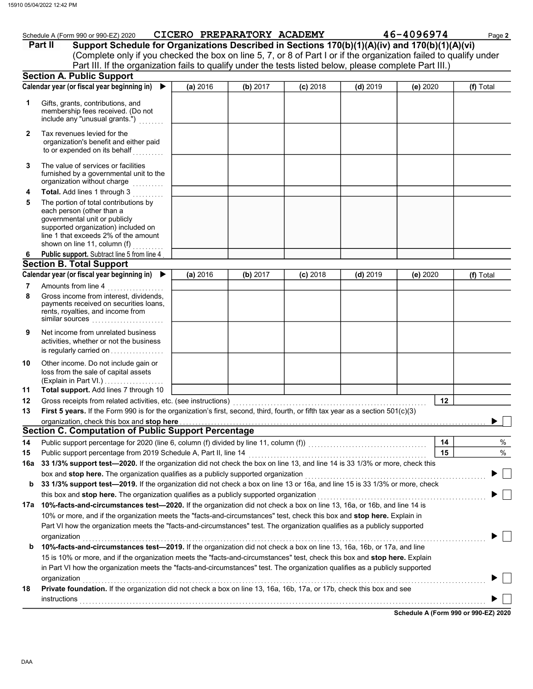|     | Schedule A (Form 990 or 990-EZ) 2020                                                                                                                                                                                                                       |          |            | CICERO PREPARATORY ACADEMY |            | 46-4096974 |    | Page 2    |
|-----|------------------------------------------------------------------------------------------------------------------------------------------------------------------------------------------------------------------------------------------------------------|----------|------------|----------------------------|------------|------------|----|-----------|
|     | Support Schedule for Organizations Described in Sections 170(b)(1)(A)(iv) and 170(b)(1)(A)(vi)<br>Part II                                                                                                                                                  |          |            |                            |            |            |    |           |
|     | (Complete only if you checked the box on line 5, 7, or 8 of Part I or if the organization failed to qualify under                                                                                                                                          |          |            |                            |            |            |    |           |
|     | Part III. If the organization fails to qualify under the tests listed below, please complete Part III.)                                                                                                                                                    |          |            |                            |            |            |    |           |
|     | <b>Section A. Public Support</b>                                                                                                                                                                                                                           |          |            |                            |            |            |    |           |
|     | Calendar year (or fiscal year beginning in)                                                                                                                                                                                                                | (a) 2016 | (b) $2017$ | $(c)$ 2018                 | $(d)$ 2019 | (e) 2020   |    | (f) Total |
| 1   | Gifts, grants, contributions, and<br>membership fees received. (Do not<br>include any "unusual grants.")                                                                                                                                                   |          |            |                            |            |            |    |           |
| 2   | Tax revenues levied for the<br>organization's benefit and either paid<br>to or expended on its behalf                                                                                                                                                      |          |            |                            |            |            |    |           |
| 3   | The value of services or facilities<br>furnished by a governmental unit to the<br>organization without charge                                                                                                                                              |          |            |                            |            |            |    |           |
| 4   | Total. Add lines 1 through 3<br>.                                                                                                                                                                                                                          |          |            |                            |            |            |    |           |
| 5   | The portion of total contributions by<br>each person (other than a<br>governmental unit or publicly<br>supported organization) included on<br>line 1 that exceeds 2% of the amount<br>shown on line 11, column (f)                                         |          |            |                            |            |            |    |           |
| 6   | Public support. Subtract line 5 from line 4                                                                                                                                                                                                                |          |            |                            |            |            |    |           |
|     | <b>Section B. Total Support</b>                                                                                                                                                                                                                            |          |            |                            |            |            |    |           |
|     | Calendar year (or fiscal year beginning in)                                                                                                                                                                                                                | (a) 2016 | (b) 2017   | $(c)$ 2018                 | $(d)$ 2019 | (e) 2020   |    | (f) Total |
| 7   | Amounts from line 4                                                                                                                                                                                                                                        |          |            |                            |            |            |    |           |
| 8   | Gross income from interest, dividends,<br>payments received on securities loans,<br>rents, royalties, and income from<br>similar sources                                                                                                                   |          |            |                            |            |            |    |           |
| 9   | Net income from unrelated business<br>activities, whether or not the business<br>is regularly carried on                                                                                                                                                   |          |            |                            |            |            |    |           |
|     |                                                                                                                                                                                                                                                            |          |            |                            |            |            |    |           |
| 10  | Other income. Do not include gain or<br>loss from the sale of capital assets<br>(Explain in Part VI.)                                                                                                                                                      |          |            |                            |            |            |    |           |
| 11  | Total support. Add lines 7 through 10                                                                                                                                                                                                                      |          |            |                            |            |            |    |           |
| 12  |                                                                                                                                                                                                                                                            |          |            |                            |            |            | 12 |           |
| 13  | First 5 years. If the Form 990 is for the organization's first, second, third, fourth, or fifth tax year as a section 501(c)(3)                                                                                                                            |          |            |                            |            |            |    |           |
|     | organization, check this box and stop here                                                                                                                                                                                                                 |          |            |                            |            |            |    |           |
|     | <b>Section C. Computation of Public Support Percentage</b>                                                                                                                                                                                                 |          |            |                            |            |            |    |           |
| 14  |                                                                                                                                                                                                                                                            |          |            |                            |            |            | 14 | %         |
| 15  | Public support percentage from 2019 Schedule A, Part II, line 14                                                                                                                                                                                           |          |            |                            |            |            | 15 | %         |
| 16a | 33 1/3% support test-2020. If the organization did not check the box on line 13, and line 14 is 33 1/3% or more, check this                                                                                                                                |          |            |                            |            |            |    |           |
|     | box and stop here. The organization qualifies as a publicly supported organization                                                                                                                                                                         |          |            |                            |            |            |    |           |
| b   | 33 1/3% support test—2019. If the organization did not check a box on line 13 or 16a, and line 15 is 33 1/3% or more, check<br>this box and stop here. The organization qualifies as a publicly supported organization                                     |          |            |                            |            |            |    |           |
|     | 17a 10%-facts-and-circumstances test-2020. If the organization did not check a box on line 13, 16a, or 16b, and line 14 is                                                                                                                                 |          |            |                            |            |            |    |           |
|     | 10% or more, and if the organization meets the "facts-and-circumstances" test, check this box and stop here. Explain in<br>Part VI how the organization meets the "facts-and-circumstances" test. The organization qualifies as a publicly supported       |          |            |                            |            |            |    |           |
| b   | organization<br>10%-facts-and-circumstances test-2019. If the organization did not check a box on line 13, 16a, 16b, or 17a, and line                                                                                                                      |          |            |                            |            |            |    |           |
|     | 15 is 10% or more, and if the organization meets the "facts-and-circumstances" test, check this box and stop here. Explain<br>in Part VI how the organization meets the "facts-and-circumstances" test. The organization qualifies as a publicly supported |          |            |                            |            |            |    |           |
|     | organization                                                                                                                                                                                                                                               |          |            |                            |            |            |    |           |
| 18  | Private foundation. If the organization did not check a box on line 13, 16a, 16b, 17a, or 17b, check this box and see                                                                                                                                      |          |            |                            |            |            |    |           |

Schedule A (Form 990 or 990-EZ) 2020 instructions with a constructions of the construction of the construction of the constructions of the construction of the construction of the construction of the construction of the construction of the construction of the

 $\blacktriangleright$   $\Box$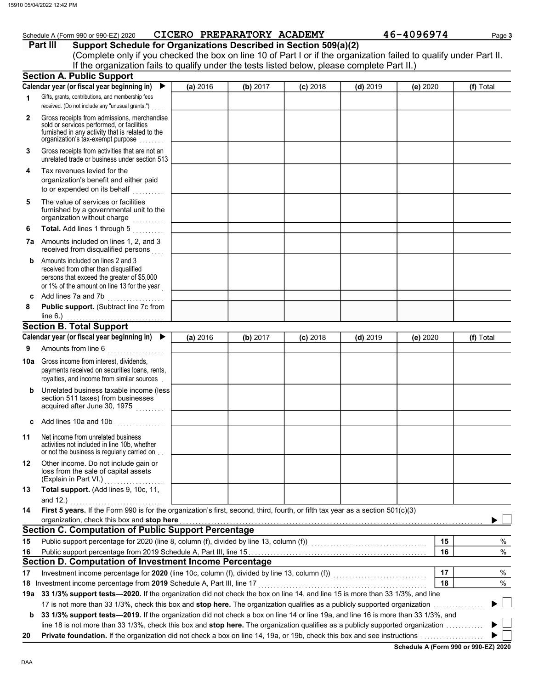|              | 0 05/04/2022 12:42 PM                                                                                                                                                                                                                                                                               |          |                            |            |            |            |           |
|--------------|-----------------------------------------------------------------------------------------------------------------------------------------------------------------------------------------------------------------------------------------------------------------------------------------------------|----------|----------------------------|------------|------------|------------|-----------|
|              | Schedule A (Form 990 or 990-EZ) 2020                                                                                                                                                                                                                                                                |          | CICERO PREPARATORY ACADEMY |            |            | 46-4096974 | Page 3    |
|              | Support Schedule for Organizations Described in Section 509(a)(2)<br>Part III<br>(Complete only if you checked the box on line 10 of Part I or if the organization failed to qualify under Part II.<br>If the organization fails to qualify under the tests listed below, please complete Part II.) |          |                            |            |            |            |           |
|              | <b>Section A. Public Support</b>                                                                                                                                                                                                                                                                    |          |                            |            |            |            |           |
| 1            | Calendar year (or fiscal year beginning in)<br>$\blacktriangleright$<br>Gifts, grants, contributions, and membership fees<br>received. (Do not include any "unusual grants.")                                                                                                                       | (a) 2016 | (b) 2017                   | $(c)$ 2018 | $(d)$ 2019 | (e) 2020   | (f) Total |
| $\mathbf{2}$ | Gross receipts from admissions, merchandise<br>sold or services performed, or facilities<br>furnished in any activity that is related to the<br>organization's tax-exempt purpose                                                                                                                   |          |                            |            |            |            |           |
| 3            | Gross receipts from activities that are not an<br>unrelated trade or business under section 513                                                                                                                                                                                                     |          |                            |            |            |            |           |
| 4            | Tax revenues levied for the<br>organization's benefit and either paid<br>to or expended on its behalf                                                                                                                                                                                               |          |                            |            |            |            |           |
| 5            | The value of services or facilities<br>furnished by a governmental unit to the<br>organization without charge                                                                                                                                                                                       |          |                            |            |            |            |           |
| 6            | Total. Add lines 1 through 5<br>$\sim$                                                                                                                                                                                                                                                              |          |                            |            |            |            |           |
|              | 7a Amounts included on lines 1, 2, and 3<br>received from disqualified persons                                                                                                                                                                                                                      |          |                            |            |            |            |           |
| b            | Amounts included on lines 2 and 3<br>received from other than disqualified<br>persons that exceed the greater of \$5,000<br>or 1% of the amount on line 13 for the year                                                                                                                             |          |                            |            |            |            |           |
| c            | Add lines 7a and 7b<br>. <b>.</b> .                                                                                                                                                                                                                                                                 |          |                            |            |            |            |           |
| 8            | Public support. (Subtract line 7c from<br>line $6.$ )                                                                                                                                                                                                                                               |          |                            |            |            |            |           |
|              | <b>Section B. Total Support</b>                                                                                                                                                                                                                                                                     |          |                            |            |            |            |           |
|              | Calendar year (or fiscal year beginning in)<br>▶                                                                                                                                                                                                                                                    | (a) 2016 | (b) 2017                   | $(c)$ 2018 | $(d)$ 2019 | (e) 2020   | (f) Total |
| 9            | Amounts from line 6<br>.                                                                                                                                                                                                                                                                            |          |                            |            |            |            |           |
| 10a          | Gross income from interest, dividends,<br>payments received on securities loans, rents,<br>royalties, and income from similar sources                                                                                                                                                               |          |                            |            |            |            |           |
| b            | Unrelated business taxable income (less<br>section 511 taxes) from businesses<br>acquired after June 30, 1975                                                                                                                                                                                       |          |                            |            |            |            |           |
| c            | Add lines 10a and 10b<br>                                                                                                                                                                                                                                                                           |          |                            |            |            |            |           |
| 11           | Net income from unrelated business<br>activities not included in line 10b, whether<br>or not the business is regularly carried on                                                                                                                                                                   |          |                            |            |            |            |           |
| 12           | Other income. Do not include gain or<br>loss from the sale of capital assets<br>(Explain in Part VI.)<br>.                                                                                                                                                                                          |          |                            |            |            |            |           |
| 13           | Total support. (Add lines 9, 10c, 11,<br>and 12.)                                                                                                                                                                                                                                                   |          |                            |            |            |            |           |
| 14           | First 5 years. If the Form 990 is for the organization's first, second, third, fourth, or fifth tax year as a section 501(c)(3)                                                                                                                                                                     |          |                            |            |            |            |           |
|              | organization, check this box and stop here                                                                                                                                                                                                                                                          |          |                            |            |            |            |           |
|              | <b>Section C. Computation of Public Support Percentage</b>                                                                                                                                                                                                                                          |          |                            |            |            |            |           |
| 15           | Public support percentage for 2020 (line 8, column (f), divided by line 13, column (f))<br>withour my column (f) with the column (f) and the column (f) with the column (f) with the column term of the c                                                                                           |          |                            |            |            | 15         | %         |
| 16           |                                                                                                                                                                                                                                                                                                     |          |                            |            |            | 16         | %         |
|              | Section D. Computation of Investment Income Percentage                                                                                                                                                                                                                                              |          |                            |            |            |            |           |
| 17           | 18 Investment income percentage from 2019 Schedule A, Part III, line 17                                                                                                                                                                                                                             |          |                            |            |            | 17<br>18   | %<br>%    |
|              | 19a 33 1/3% support tests-2020. If the organization did not check the box on line 14, and line 15 is more than 33 1/3%, and line                                                                                                                                                                    |          |                            |            |            |            |           |
|              |                                                                                                                                                                                                                                                                                                     |          |                            |            |            |            |           |

b 33 1/3% support tests-2019. If the organization did not check a box on line 14 or line 19a, and line 16 is more than 33 1/3%, and line 18 is not more than 33 1/3%, check this box and stop here. The organization qualifies as a publicly supported organization ............

20 Private foundation. If the organization did not check a box on line 14, 19a, or 19b, check this box and see instructions . . . . . . . . . . . . . . . . . . . .

Schedule A (Form 990 or 990-EZ) 2020

 $\Box$  $\blacktriangleright$  $\blacktriangleright$   $\|\cdot\|$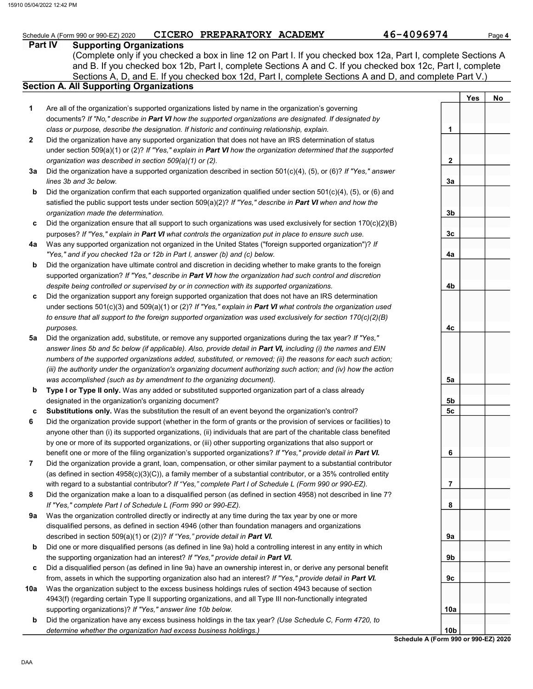| Schedule A (Form 990 or 990-EZ) 2020              | CICERO PREPARATORY ACADEMY | 46-4096974 | Page <b>4</b> |
|---------------------------------------------------|----------------------------|------------|---------------|
| <b>Part IV</b><br><b>Supporting Organizations</b> |                            |            |               |

Sections A, D, and E. If you checked box 12d, Part I, complete Sections A and D, and complete Part V.) (Complete only if you checked a box in line 12 on Part I. If you checked box 12a, Part I, complete Sections A and B. If you checked box 12b, Part I, complete Sections A and C. If you checked box 12c, Part I, complete

## Section A. All Supporting Organizations

| Are all of the organization's supported organizations listed by name in the organization's governing     |
|----------------------------------------------------------------------------------------------------------|
| documents? If "No." describe in Part VI how the supported organizations are designated. If designated by |
| class or purpose, describe the designation. If historic and continuing relationship, explain.            |

- Did the organization have any supported organization that does not have an IRS determination of status under section 509(a)(1) or (2)? If "Yes," explain in Part VI how the organization determined that the supported organization was described in section 509(a)(1) or (2). 2
- **3a** Did the organization have a supported organization described in section 501(c)(4), (5), or (6)? If "Yes," answer lines 3b and 3c below.
- b Did the organization confirm that each supported organization qualified under section 501(c)(4), (5), or (6) and satisfied the public support tests under section  $509(a)(2)$ ? If "Yes," describe in Part VI when and how the organization made the determination.
- c Did the organization ensure that all support to such organizations was used exclusively for section 170(c)(2)(B) purposes? If "Yes," explain in Part VI what controls the organization put in place to ensure such use.
- 4a Was any supported organization not organized in the United States ("foreign supported organization")? If "Yes," and if you checked 12a or 12b in Part I, answer (b) and (c) below.
- b Did the organization have ultimate control and discretion in deciding whether to make grants to the foreign supported organization? If "Yes," describe in Part VI how the organization had such control and discretion despite being controlled or supervised by or in connection with its supported organizations.
- c Did the organization support any foreign supported organization that does not have an IRS determination under sections  $501(c)(3)$  and  $509(a)(1)$  or (2)? If "Yes," explain in Part VI what controls the organization used to ensure that all support to the foreign supported organization was used exclusively for section 170(c)(2)(B) purposes.
- 5a Did the organization add, substitute, or remove any supported organizations during the tax year? If "Yes," answer lines 5b and 5c below (if applicable). Also, provide detail in Part VI, including (i) the names and EIN numbers of the supported organizations added, substituted, or removed; (ii) the reasons for each such action; (iii) the authority under the organization's organizing document authorizing such action; and (iv) how the action was accomplished (such as by amendment to the organizing document).
- **b** Type I or Type II only. Was any added or substituted supported organization part of a class already designated in the organization's organizing document?
- c Substitutions only. Was the substitution the result of an event beyond the organization's control?
- 6 Did the organization provide support (whether in the form of grants or the provision of services or facilities) to anyone other than (i) its supported organizations, (ii) individuals that are part of the charitable class benefited by one or more of its supported organizations, or (iii) other supporting organizations that also support or benefit one or more of the filing organization's supported organizations? If "Yes," provide detail in Part VI.
- 7 Did the organization provide a grant, loan, compensation, or other similar payment to a substantial contributor (as defined in section 4958(c)(3)(C)), a family member of a substantial contributor, or a 35% controlled entity with regard to a substantial contributor? If "Yes," complete Part I of Schedule L (Form 990 or 990-EZ).
- 8 Did the organization make a loan to a disqualified person (as defined in section 4958) not described in line 7? If "Yes," complete Part I of Schedule L (Form 990 or 990-EZ).
- 9a Was the organization controlled directly or indirectly at any time during the tax year by one or more disqualified persons, as defined in section 4946 (other than foundation managers and organizations described in section 509(a)(1) or (2))? If "Yes," provide detail in Part VI.
- b Did one or more disqualified persons (as defined in line 9a) hold a controlling interest in any entity in which the supporting organization had an interest? If "Yes," provide detail in Part VI.
- c Did a disqualified person (as defined in line 9a) have an ownership interest in, or derive any personal benefit from, assets in which the supporting organization also had an interest? If "Yes," provide detail in Part VI.
- 10a Was the organization subject to the excess business holdings rules of section 4943 because of section 4943(f) (regarding certain Type II supporting organizations, and all Type III non-functionally integrated supporting organizations)? If "Yes," answer line 10b below.
- b Did the organization have any excess business holdings in the tax year? (Use Schedule C, Form 4720, to determine whether the organization had excess business holdings.)

Yes | No 1 2 3a 3b 3c 4a 4b 4c 5a 5b 5c 6 7 8 9a 9b 9c 10a 10b

Schedule A (Form 990 or 990-EZ) 2020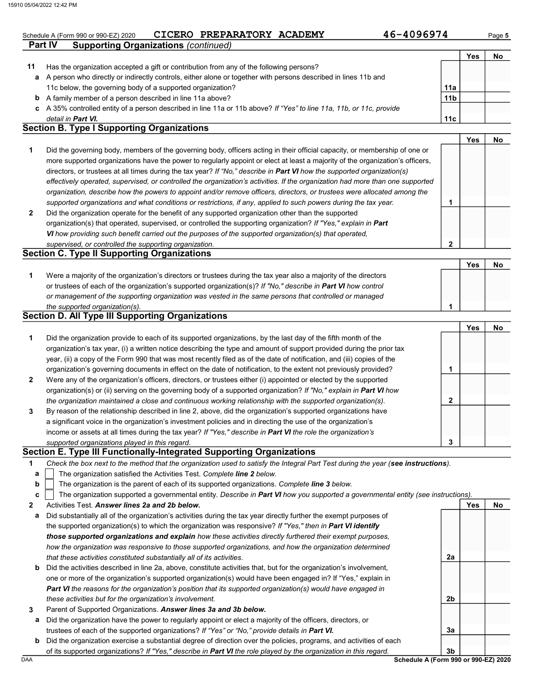# Schedule A (Form 990 or 990-EZ) 2020 CICERO PREPARATORY ACADEMY  $46-4096974$  Page 5

Yes No

|    |                                                                                                                      |                 | Yes | No |
|----|----------------------------------------------------------------------------------------------------------------------|-----------------|-----|----|
| 11 | Has the organization accepted a gift or contribution from any of the following persons?                              |                 |     |    |
| a  | A person who directly or indirectly controls, either alone or together with persons described in lines 11b and       |                 |     |    |
|    | 11c below, the governing body of a supported organization?                                                           | 11a             |     |    |
|    | <b>b</b> A family member of a person described in line 11a above?                                                    | 11 <sub>b</sub> |     |    |
|    | c A 35% controlled entity of a person described in line 11a or 11b above? If "Yes" to line 11a, 11b, or 11c, provide |                 |     |    |
|    | detail in <b>Part VI.</b>                                                                                            | 11 <sub>c</sub> |     |    |

### Section B. Type I Supporting Organizations

Part IV Supporting Organizations (continued)

|                | Did the governing body, members of the governing body, officers acting in their official capacity, or membership of one or     |  |  |
|----------------|--------------------------------------------------------------------------------------------------------------------------------|--|--|
|                | more supported organizations have the power to regularly appoint or elect at least a majority of the organization's officers,  |  |  |
|                | directors, or trustees at all times during the tax year? If "No," describe in Part VI how the supported organization(s)        |  |  |
|                | effectively operated, supervised, or controlled the organization's activities. If the organization had more than one supported |  |  |
|                | organization, describe how the powers to appoint and/or remove officers, directors, or trustees were allocated among the       |  |  |
|                | supported organizations and what conditions or restrictions, if any, applied to such powers during the tax year.               |  |  |
| $\overline{2}$ | Did the organization operate for the benefit of any supported organization other than the supported                            |  |  |
|                | organization(s) that operated, supervised, or controlled the supporting organization? If "Yes," explain in Part                |  |  |
|                | VI how providing such benefit carried out the purposes of the supported organization(s) that operated,                         |  |  |
|                | supervised, or controlled the supporting organization.                                                                         |  |  |

### supervised, or controlled the supporting organization. Section C. Type II Supporting Organizations

|                                                                                                                  |  | <b>N</b> |
|------------------------------------------------------------------------------------------------------------------|--|----------|
| Were a majority of the organization's directors or trustees during the tax year also a majority of the directors |  |          |
| or trustees of each of the organization's supported organization(s)? If "No," describe in Part VI how control    |  |          |
| or management of the supporting organization was vested in the same persons that controlled or managed           |  |          |
| the supported organization(s).                                                                                   |  |          |

### Section D. All Type III Supporting Organizations

|                |                                                                                                                        |   | res. | Nο |
|----------------|------------------------------------------------------------------------------------------------------------------------|---|------|----|
| 1              | Did the organization provide to each of its supported organizations, by the last day of the fifth month of the         |   |      |    |
|                | organization's tax year, (i) a written notice describing the type and amount of support provided during the prior tax  |   |      |    |
|                | year, (ii) a copy of the Form 990 that was most recently filed as of the date of notification, and (iii) copies of the |   |      |    |
|                | organization's governing documents in effect on the date of notification, to the extent not previously provided?       |   |      |    |
| $\overline{2}$ | Were any of the organization's officers, directors, or trustees either (i) appointed or elected by the supported       |   |      |    |
|                | organization(s) or (ii) serving on the governing body of a supported organization? If "No," explain in Part VI how     |   |      |    |
|                | the organization maintained a close and continuous working relationship with the supported organization(s).            | 2 |      |    |
| $\mathbf{3}$   | By reason of the relationship described in line 2, above, did the organization's supported organizations have          |   |      |    |
|                | a significant voice in the organization's investment policies and in directing the use of the organization's           |   |      |    |
|                | income or assets at all times during the tax year? If "Yes," describe in Part VI the role the organization's           |   |      |    |
|                | supported organizations played in this regard.                                                                         | 3 |      |    |

### Section E. Type III Functionally-Integrated Supporting Organizations

| Check the box next to the method that the organization used to satisfy the Integral Part Test during the year (see instructions). |  |
|-----------------------------------------------------------------------------------------------------------------------------------|--|
|-----------------------------------------------------------------------------------------------------------------------------------|--|

- The organization satisfied the Activities Test. Complete line 2 below. a
- The organization is the parent of each of its supported organizations. Complete line 3 below. b

|  |  | ∠   The organization supported a governmental entity. Describe in Part VI how you supported a governmental entity (see instructions) |  |  |  |  |  |
|--|--|--------------------------------------------------------------------------------------------------------------------------------------|--|--|--|--|--|
|--|--|--------------------------------------------------------------------------------------------------------------------------------------|--|--|--|--|--|

- 2 Activities Test. Answer lines 2a and 2b below.
- a Did substantially all of the organization's activities during the tax year directly further the exempt purposes of the supported organization(s) to which the organization was responsive? If "Yes," then in Part VI identify those supported organizations and explain how these activities directly furthered their exempt purposes, how the organization was responsive to those supported organizations, and how the organization determined that these activities constituted substantially all of its activities.
- b Did the activities described in line 2a, above, constitute activities that, but for the organization's involvement, one or more of the organization's supported organization(s) would have been engaged in? If "Yes," explain in Part VI the reasons for the organization's position that its supported organization(s) would have engaged in these activities but for the organization's involvement.
- 3 Parent of Supported Organizations. Answer lines 3a and 3b below.
	- a Did the organization have the power to regularly appoint or elect a majority of the officers, directors, or trustees of each of the supported organizations? If "Yes" or "No," provide details in Part VI.
	- b Did the organization exercise a substantial degree of direction over the policies, programs, and activities of each of its supported organizations? If "Yes," describe in Part VI the role played by the organization in this regard.

2a

2b

3a

Yes No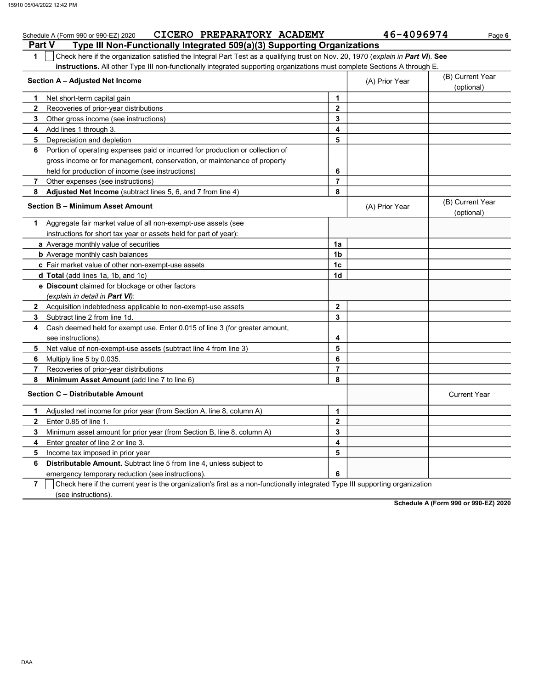| CICERO PREPARATORY ACADEMY<br>Schedule A (Form 990 or 990-EZ) 2020                                                                    |                         | 46-4096974     | Page 6                         |
|---------------------------------------------------------------------------------------------------------------------------------------|-------------------------|----------------|--------------------------------|
| Type III Non-Functionally Integrated 509(a)(3) Supporting Organizations<br><b>Part V</b>                                              |                         |                |                                |
| Check here if the organization satisfied the Integral Part Test as a qualifying trust on Nov. 20, 1970 (explain in Part VI). See<br>1 |                         |                |                                |
| instructions. All other Type III non-functionally integrated supporting organizations must complete Sections A through E.             |                         |                |                                |
| Section A - Adjusted Net Income                                                                                                       |                         | (A) Prior Year | (B) Current Year               |
|                                                                                                                                       |                         |                | (optional)                     |
| 1.<br>Net short-term capital gain                                                                                                     | $\mathbf{1}$            |                |                                |
| $\mathbf{2}$<br>Recoveries of prior-year distributions                                                                                | $\overline{2}$          |                |                                |
| 3<br>Other gross income (see instructions)                                                                                            | 3                       |                |                                |
| 4<br>Add lines 1 through 3.                                                                                                           | $\overline{\mathbf{4}}$ |                |                                |
| 5<br>Depreciation and depletion                                                                                                       | 5                       |                |                                |
| Portion of operating expenses paid or incurred for production or collection of<br>6                                                   |                         |                |                                |
| gross income or for management, conservation, or maintenance of property                                                              |                         |                |                                |
| held for production of income (see instructions)                                                                                      | 6                       |                |                                |
| $\overline{7}$<br>Other expenses (see instructions)                                                                                   | $\overline{7}$          |                |                                |
| 8<br>Adjusted Net Income (subtract lines 5, 6, and 7 from line 4)                                                                     | 8                       |                |                                |
| <b>Section B - Minimum Asset Amount</b>                                                                                               |                         | (A) Prior Year | (B) Current Year<br>(optional) |
| Aggregate fair market value of all non-exempt-use assets (see<br>$\mathbf 1$                                                          |                         |                |                                |
| instructions for short tax year or assets held for part of year):                                                                     |                         |                |                                |
| a Average monthly value of securities                                                                                                 | 1a                      |                |                                |
| <b>b</b> Average monthly cash balances                                                                                                | 1 <sub>b</sub>          |                |                                |
| c Fair market value of other non-exempt-use assets                                                                                    | 1 <sub>c</sub>          |                |                                |
| d Total (add lines 1a, 1b, and 1c)                                                                                                    | 1d                      |                |                                |
| <b>e</b> Discount claimed for blockage or other factors                                                                               |                         |                |                                |
| (explain in detail in Part VI):                                                                                                       |                         |                |                                |
| Acquisition indebtedness applicable to non-exempt-use assets<br>$\mathbf{2}$                                                          | $\mathbf{2}$            |                |                                |
| Subtract line 2 from line 1d.<br>3                                                                                                    | 3                       |                |                                |
| Cash deemed held for exempt use. Enter 0.015 of line 3 (for greater amount,<br>4                                                      |                         |                |                                |
| see instructions)                                                                                                                     | 4                       |                |                                |
| Net value of non-exempt-use assets (subtract line 4 from line 3)<br>5                                                                 | 5                       |                |                                |
| 6<br>Multiply line 5 by 0.035.                                                                                                        | 6                       |                |                                |
| $\overline{7}$<br>Recoveries of prior-year distributions                                                                              | $\overline{7}$          |                |                                |
| 8<br>Minimum Asset Amount (add line 7 to line 6)                                                                                      | 8                       |                |                                |
| Section C - Distributable Amount                                                                                                      |                         |                | <b>Current Year</b>            |
| Adjusted net income for prior year (from Section A, line 8, column A)<br>1                                                            | 1                       |                |                                |
| 2<br>Enter 0.85 of line 1.                                                                                                            | $\mathbf{2}$            |                |                                |
| 3<br>Minimum asset amount for prior year (from Section B, line 8, column A)                                                           | 3                       |                |                                |
| Enter greater of line 2 or line 3.<br>4                                                                                               | 4                       |                |                                |
| 5<br>Income tax imposed in prior year                                                                                                 | 5                       |                |                                |
| Distributable Amount. Subtract line 5 from line 4, unless subject to<br>6                                                             |                         |                |                                |
| emergency temporary reduction (see instructions).                                                                                     | 6                       |                |                                |
|                                                                                                                                       |                         |                |                                |

7 Check here if the current year is the organization's first as a non-functionally integrated Type III supporting organization (see instructions).

Schedule A (Form 990 or 990-EZ) 2020

DAA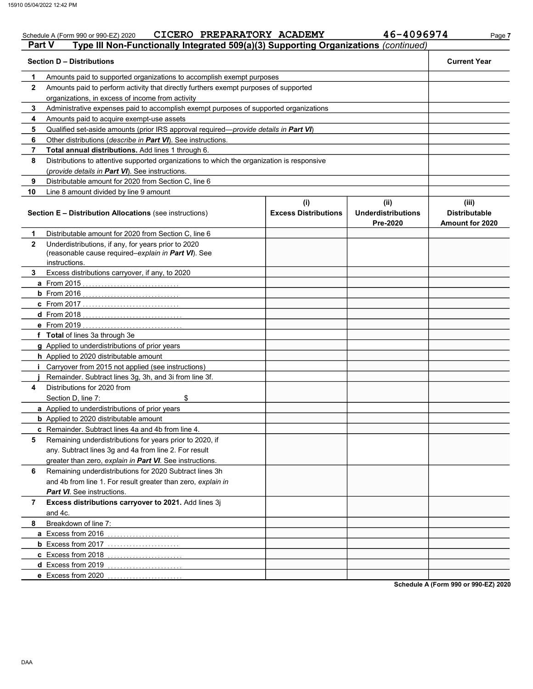#### Schedule A (Form 990 or 990-EZ) 2020 CICERO PREPARATORY ACADEMY  $46-4096974$  Page 7 Part V Type III Non-Functionally Integrated 509(a)(3) Supporting Organizations (continued) Section D – Distributions Current Year 1 2 3 4 5 6 7 8 9 10 Amounts paid to supported organizations to accomplish exempt purposes Amounts paid to perform activity that directly furthers exempt purposes of supported organizations, in excess of income from activity Administrative expenses paid to accomplish exempt purposes of supported organizations Amounts paid to acquire exempt-use assets Qualified set-aside amounts (prior IRS approval required—provide details in Part VI) Other distributions (describe in Part VI). See instructions. Total annual distributions. Add lines 1 through 6. Distributions to attentive supported organizations to which the organization is responsive (provide details in Part VI). See instructions. Distributable amount for 2020 from Section C, line 6 Line 8 amount divided by line 9 amount Section E – Distribution Allocations (see instructions) Excess Distributions (i) (ii) Underdistributions Pre-2020 (iii) Distributable Amount for 2020 3 2 1 a From 2015 . . . . . . . . . . . . . . . . . . . . . . . . . . . . . . . b From 2016 . . . . . . . . . . . . . . . . . . . . . . . . . . . . . . . c From 2017 . . . . . . . . . . . . . . . . . . . . . . . . . . . . . . . d From 2018 . . . . . . . . . . . . . . . . . . . . . . . . . . . . . . . . Distributable amount for 2020 from Section C, line 6 Underdistributions, if any, for years prior to 2020 (reasonable cause required–explain in Part VI). See Excess distributions carryover, if any, to 2020 instructions.

Schedule A (Form 990 or 990-EZ) 2020

8

and 4c.

7

5

4

6 Remaining underdistributions for 2020 Subtract lines 3h

and 4b from line 1. For result greater than zero, explain in

Excess distributions carryover to 2021. Add lines 3j

Remaining underdistributions for years prior to 2020, if any. Subtract lines 3g and 4a from line 2. For result greater than zero, explain in Part VI. See instructions.

e From 2019 . . . . . . . . . . . . . . . . . . . . . . . . . . . . . . . .

g Applied to underdistributions of prior years h Applied to 2020 distributable amount

a Applied to underdistributions of prior years **b** Applied to 2020 distributable amount

a Excess from 2016 ........................ **b** Excess from 2017 ........................ c Excess from 2018 . . . . . . . . . . . . . . . . . . . . . . . . d Excess from 2019 ......................... e Excess from 2020 . . . . . . . . . . . . . . . . . . . . . . . .

c Remainder. Subtract lines 4a and 4b from line 4.

Section D, line 7: \$

i Carryover from 2015 not applied (see instructions) j Remainder. Subtract lines 3g, 3h, and 3i from line 3f.

f Total of lines 3a through 3e

Distributions for 2020 from

Part VI. See instructions.

Breakdown of line 7: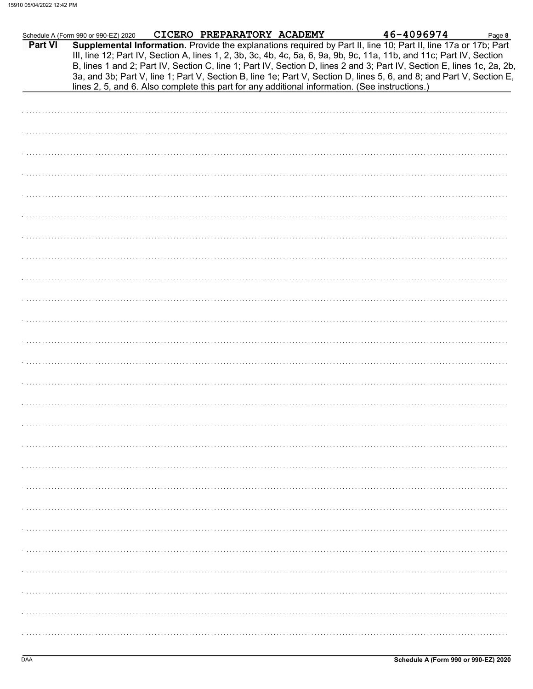| Part VI | Schedule A (Form 990 or 990-EZ) 2020 | CICERO PREPARATORY ACADEMY | Supplemental Information. Provide the explanations required by Part II, line 10; Part II, line 17a or 17b; Part                                                                                                                                                                                                                                                                                                                                                          | Page 8 |
|---------|--------------------------------------|----------------------------|--------------------------------------------------------------------------------------------------------------------------------------------------------------------------------------------------------------------------------------------------------------------------------------------------------------------------------------------------------------------------------------------------------------------------------------------------------------------------|--------|
|         |                                      |                            | III, line 12; Part IV, Section A, lines 1, 2, 3b, 3c, 4b, 4c, 5a, 6, 9a, 9b, 9c, 11a, 11b, and 11c; Part IV, Section<br>B, lines 1 and 2; Part IV, Section C, line 1; Part IV, Section D, lines 2 and 3; Part IV, Section E, lines 1c, 2a, 2b,<br>3a, and 3b; Part V, line 1; Part V, Section B, line 1e; Part V, Section D, lines 5, 6, and 8; and Part V, Section E,<br>lines 2, 5, and 6. Also complete this part for any additional information. (See instructions.) |        |
|         |                                      |                            |                                                                                                                                                                                                                                                                                                                                                                                                                                                                          |        |
|         |                                      |                            |                                                                                                                                                                                                                                                                                                                                                                                                                                                                          |        |
|         |                                      |                            |                                                                                                                                                                                                                                                                                                                                                                                                                                                                          |        |
|         |                                      |                            |                                                                                                                                                                                                                                                                                                                                                                                                                                                                          |        |
|         |                                      |                            |                                                                                                                                                                                                                                                                                                                                                                                                                                                                          |        |
|         |                                      |                            |                                                                                                                                                                                                                                                                                                                                                                                                                                                                          |        |
|         |                                      |                            |                                                                                                                                                                                                                                                                                                                                                                                                                                                                          |        |
|         |                                      |                            |                                                                                                                                                                                                                                                                                                                                                                                                                                                                          |        |
|         |                                      |                            |                                                                                                                                                                                                                                                                                                                                                                                                                                                                          |        |
|         |                                      |                            |                                                                                                                                                                                                                                                                                                                                                                                                                                                                          |        |
|         |                                      |                            |                                                                                                                                                                                                                                                                                                                                                                                                                                                                          |        |
|         |                                      |                            |                                                                                                                                                                                                                                                                                                                                                                                                                                                                          |        |
|         |                                      |                            |                                                                                                                                                                                                                                                                                                                                                                                                                                                                          |        |
|         |                                      |                            |                                                                                                                                                                                                                                                                                                                                                                                                                                                                          |        |
|         |                                      |                            |                                                                                                                                                                                                                                                                                                                                                                                                                                                                          |        |
|         |                                      |                            |                                                                                                                                                                                                                                                                                                                                                                                                                                                                          |        |
|         |                                      |                            |                                                                                                                                                                                                                                                                                                                                                                                                                                                                          |        |
|         |                                      |                            |                                                                                                                                                                                                                                                                                                                                                                                                                                                                          |        |
|         |                                      |                            |                                                                                                                                                                                                                                                                                                                                                                                                                                                                          |        |
|         |                                      |                            |                                                                                                                                                                                                                                                                                                                                                                                                                                                                          |        |
|         |                                      |                            |                                                                                                                                                                                                                                                                                                                                                                                                                                                                          |        |
|         |                                      |                            |                                                                                                                                                                                                                                                                                                                                                                                                                                                                          |        |
|         |                                      |                            |                                                                                                                                                                                                                                                                                                                                                                                                                                                                          |        |
|         |                                      |                            |                                                                                                                                                                                                                                                                                                                                                                                                                                                                          |        |
|         |                                      |                            |                                                                                                                                                                                                                                                                                                                                                                                                                                                                          |        |
|         |                                      |                            |                                                                                                                                                                                                                                                                                                                                                                                                                                                                          |        |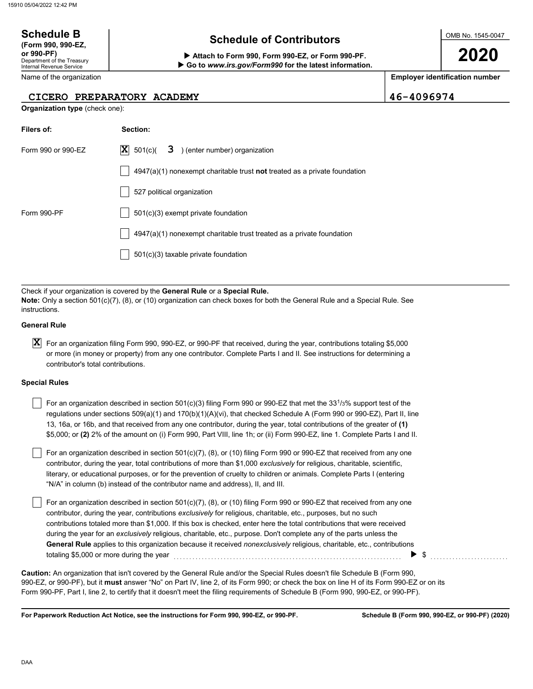Department of the Treasury Internal Revenue Service Name of the organization

(Form 990, 990-EZ,

# Schedule B  $\overline{S}$  Schedule of Contributors

Attach to Form 990, Form 990-EZ, or Form 990-PF. ▶ Go to www.irs.gov/Form990 for the latest information. OMB No. 1545-0047

2020

Employer identification number

|                                    | CICERO PREPARATORY ACADEMY                                                                                                                                                                                                                                                                                                                                                                                                                                                                                                                                                                                                                                      | 46-4096974 |  |  |  |  |
|------------------------------------|-----------------------------------------------------------------------------------------------------------------------------------------------------------------------------------------------------------------------------------------------------------------------------------------------------------------------------------------------------------------------------------------------------------------------------------------------------------------------------------------------------------------------------------------------------------------------------------------------------------------------------------------------------------------|------------|--|--|--|--|
| Organization type (check one):     |                                                                                                                                                                                                                                                                                                                                                                                                                                                                                                                                                                                                                                                                 |            |  |  |  |  |
| Filers of:                         | Section:                                                                                                                                                                                                                                                                                                                                                                                                                                                                                                                                                                                                                                                        |            |  |  |  |  |
| Form 990 or 990-EZ                 | 3 ) (enter number) organization<br>$\mathbf{x}$<br>501(c)                                                                                                                                                                                                                                                                                                                                                                                                                                                                                                                                                                                                       |            |  |  |  |  |
|                                    | $4947(a)(1)$ nonexempt charitable trust not treated as a private foundation                                                                                                                                                                                                                                                                                                                                                                                                                                                                                                                                                                                     |            |  |  |  |  |
|                                    | 527 political organization                                                                                                                                                                                                                                                                                                                                                                                                                                                                                                                                                                                                                                      |            |  |  |  |  |
| Form 990-PF                        | 501(c)(3) exempt private foundation                                                                                                                                                                                                                                                                                                                                                                                                                                                                                                                                                                                                                             |            |  |  |  |  |
|                                    | 4947(a)(1) nonexempt charitable trust treated as a private foundation                                                                                                                                                                                                                                                                                                                                                                                                                                                                                                                                                                                           |            |  |  |  |  |
|                                    | 501(c)(3) taxable private foundation                                                                                                                                                                                                                                                                                                                                                                                                                                                                                                                                                                                                                            |            |  |  |  |  |
|                                    |                                                                                                                                                                                                                                                                                                                                                                                                                                                                                                                                                                                                                                                                 |            |  |  |  |  |
| instructions.                      | Check if your organization is covered by the General Rule or a Special Rule.<br>Note: Only a section $501(c)(7)$ , (8), or (10) organization can check boxes for both the General Rule and a Special Rule. See                                                                                                                                                                                                                                                                                                                                                                                                                                                  |            |  |  |  |  |
| <b>General Rule</b>                |                                                                                                                                                                                                                                                                                                                                                                                                                                                                                                                                                                                                                                                                 |            |  |  |  |  |
| contributor's total contributions. | For an organization filing Form 990, 990-EZ, or 990-PF that received, during the year, contributions totaling \$5,000<br>or more (in money or property) from any one contributor. Complete Parts I and II. See instructions for determining a                                                                                                                                                                                                                                                                                                                                                                                                                   |            |  |  |  |  |
| <b>Special Rules</b>               |                                                                                                                                                                                                                                                                                                                                                                                                                                                                                                                                                                                                                                                                 |            |  |  |  |  |
|                                    | For an organization described in section 501(c)(3) filing Form 990 or 990-EZ that met the 33 <sup>1</sup> /3% support test of the<br>regulations under sections $509(a)(1)$ and $170(b)(1)(A)(vi)$ , that checked Schedule A (Form 990 or 990-EZ), Part II, line<br>13, 16a, or 16b, and that received from any one contributor, during the year, total contributions of the greater of (1)<br>\$5,000; or (2) 2% of the amount on (i) Form 990, Part VIII, line 1h; or (ii) Form 990-EZ, line 1. Complete Parts I and II.                                                                                                                                      |            |  |  |  |  |
|                                    | For an organization described in section 501(c)(7), (8), or (10) filing Form 990 or 990-EZ that received from any one<br>contributor, during the year, total contributions of more than \$1,000 exclusively for religious, charitable, scientific,<br>literary, or educational purposes, or for the prevention of cruelty to children or animals. Complete Parts I (entering<br>"N/A" in column (b) instead of the contributor name and address), II, and III.                                                                                                                                                                                                  |            |  |  |  |  |
|                                    | For an organization described in section 501(c)(7), (8), or (10) filing Form 990 or 990-EZ that received from any one<br>contributor, during the year, contributions exclusively for religious, charitable, etc., purposes, but no such<br>contributions totaled more than \$1,000. If this box is checked, enter here the total contributions that were received<br>during the year for an exclusively religious, charitable, etc., purpose. Don't complete any of the parts unless the<br>General Rule applies to this organization because it received nonexclusively religious, charitable, etc., contributions<br>totaling \$5,000 or more during the year | \$         |  |  |  |  |
|                                    | Caution: An organization that isn't covered by the General Rule and/or the Special Rules doesn't file Schedule B (Form 990,<br>990-EZ, or 990-PF), but it must answer "No" on Part IV, line 2, of its Form 990; or check the box on line H of its Form 990-EZ or on its<br>Form 990-PF, Part I, line 2, to certify that it doesn't meet the filing requirements of Schedule B (Form 990, 990-EZ, or 990-PF).                                                                                                                                                                                                                                                    |            |  |  |  |  |

For Paperwork Reduction Act Notice, see the instructions for Form 990, 990-EZ, or 990-PF.

**Organization type** (check one): Filers of: Section: Form 990 or 990-EZ  $|\overline{\textbf{X}}|$  501(c)(  $\overline{\textbf{3}}$  ) (enter number) organization Form 990-PF  $\Box$  501(c)(3) exempt private foundation

#### Special Rules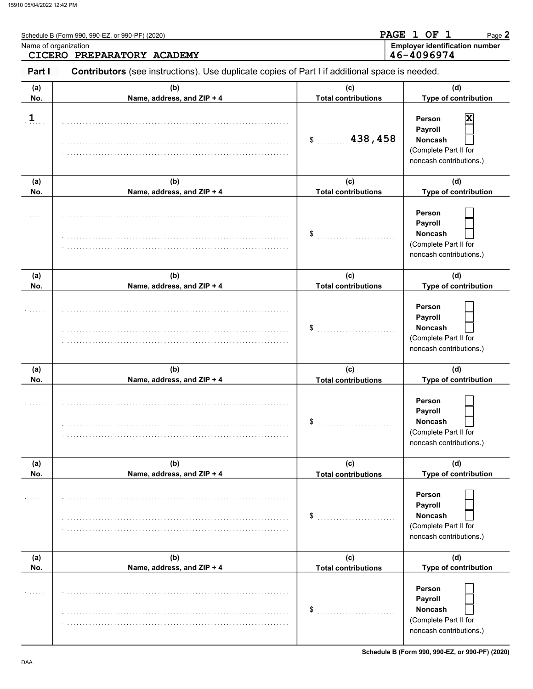|                      | Schedule B (Form 990, 990-EZ, or 990-PF) (2020)<br>Name of organization<br>CICERO PREPARATORY ACADEMY |                                   | PAGE 1 OF 1<br>Page 2<br><b>Employer identification number</b><br>46-4096974            |
|----------------------|-------------------------------------------------------------------------------------------------------|-----------------------------------|-----------------------------------------------------------------------------------------|
| Part I               | Contributors (see instructions). Use duplicate copies of Part I if additional space is needed.        |                                   |                                                                                         |
| (a)<br>No.           | (b)<br>Name, address, and ZIP + 4                                                                     | (c)<br><b>Total contributions</b> | (d)<br>Type of contribution                                                             |
| $\mathbf{1}_{\cdot}$ |                                                                                                       | 438,458<br>$\frac{1}{2}$          | X<br>Person<br>Payroll<br>Noncash<br>(Complete Part II for<br>noncash contributions.)   |
| (a)<br>No.           | (b)<br>Name, address, and ZIP + 4                                                                     | (c)<br><b>Total contributions</b> | (d)<br>Type of contribution                                                             |
|                      |                                                                                                       | \$                                | Person<br>Payroll<br>Noncash<br>(Complete Part II for<br>noncash contributions.)        |
| (a)<br>No.           | (b)<br>Name, address, and ZIP + 4                                                                     | (c)<br><b>Total contributions</b> | (d)<br>Type of contribution                                                             |
|                      |                                                                                                       | \$                                | Person<br>Payroll<br>Noncash<br>(Complete Part II for<br>noncash contributions.)        |
| (a)<br>No.           | (b)<br>Name, address, and ZIP + 4                                                                     | (c)<br><b>Total contributions</b> | (d)<br>Type of contribution                                                             |
|                      |                                                                                                       | \$                                | Person<br><b>Payroll</b><br>Noncash<br>(Complete Part II for<br>noncash contributions.) |
| (a)<br>No.           | (b)<br>Name, address, and ZIP + 4                                                                     | (c)<br><b>Total contributions</b> | (d)<br>Type of contribution                                                             |
|                      |                                                                                                       | \$                                | Person<br>Payroll<br>Noncash<br>(Complete Part II for<br>noncash contributions.)        |
| (a)<br>No.           | (b)<br>Name, address, and ZIP + 4                                                                     | (c)<br><b>Total contributions</b> | (d)<br>Type of contribution                                                             |
|                      |                                                                                                       | \$                                | Person<br>Payroll<br>Noncash<br>(Complete Part II for<br>noncash contributions.)        |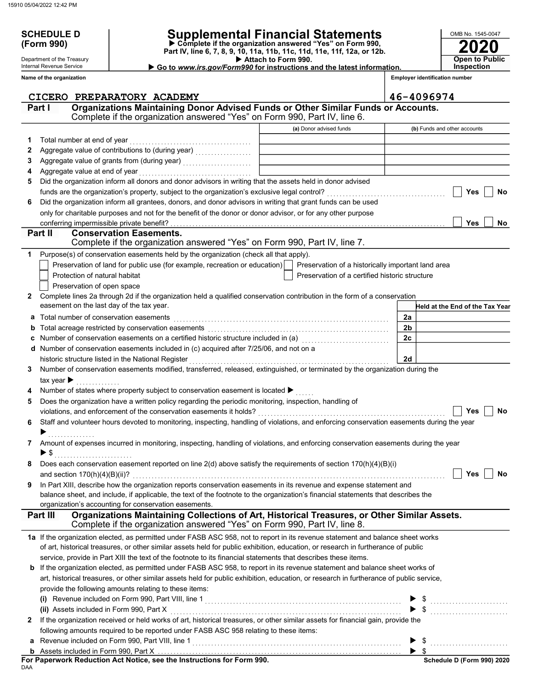(Form 990)

Department of the Treasury Internal Revenue Service

# SCHEDULE D | Supplemental Financial Statements

 Attach to Form 990. Part IV, line 6, 7, 8, 9, 10, 11a, 11b, 11c, 11d, 11e, 11f, 12a, or 12b. Complete if the organization answered "Yes" on Form 990,

Go to www.irs.gov/Form990 for instructions and the latest information.

2020 Open to Public **Inspection** 

OMB No. 1545-0047

Employer identification number

|              | Name of the organization       |                                                                                                                                                                        |                                                    | <b>Employer identification number</b>                                                                                                                                                                                                                                                                                                                                                              |
|--------------|--------------------------------|------------------------------------------------------------------------------------------------------------------------------------------------------------------------|----------------------------------------------------|----------------------------------------------------------------------------------------------------------------------------------------------------------------------------------------------------------------------------------------------------------------------------------------------------------------------------------------------------------------------------------------------------|
|              |                                | CICERO PREPARATORY ACADEMY                                                                                                                                             |                                                    | 46-4096974                                                                                                                                                                                                                                                                                                                                                                                         |
|              | Part I                         | Organizations Maintaining Donor Advised Funds or Other Similar Funds or Accounts.<br>Complete if the organization answered "Yes" on Form 990, Part IV, line 6.         |                                                    |                                                                                                                                                                                                                                                                                                                                                                                                    |
|              |                                |                                                                                                                                                                        | (a) Donor advised funds                            | (b) Funds and other accounts                                                                                                                                                                                                                                                                                                                                                                       |
| 1            |                                | Total number at end of year                                                                                                                                            |                                                    |                                                                                                                                                                                                                                                                                                                                                                                                    |
| 2            |                                |                                                                                                                                                                        |                                                    |                                                                                                                                                                                                                                                                                                                                                                                                    |
| 3            |                                |                                                                                                                                                                        |                                                    |                                                                                                                                                                                                                                                                                                                                                                                                    |
| 4            |                                | Aggregate value at end of year                                                                                                                                         |                                                    |                                                                                                                                                                                                                                                                                                                                                                                                    |
| 5            |                                | Did the organization inform all donors and donor advisors in writing that the assets held in donor advised                                                             |                                                    |                                                                                                                                                                                                                                                                                                                                                                                                    |
|              |                                | funds are the organization's property, subject to the organization's exclusive legal control?                                                                          |                                                    | Yes<br>No                                                                                                                                                                                                                                                                                                                                                                                          |
| 6            |                                | Did the organization inform all grantees, donors, and donor advisors in writing that grant funds can be used                                                           |                                                    |                                                                                                                                                                                                                                                                                                                                                                                                    |
|              |                                | only for charitable purposes and not for the benefit of the donor or donor advisor, or for any other purpose                                                           |                                                    |                                                                                                                                                                                                                                                                                                                                                                                                    |
|              |                                |                                                                                                                                                                        |                                                    | Yes<br>No                                                                                                                                                                                                                                                                                                                                                                                          |
|              | Part II                        | <b>Conservation Easements.</b>                                                                                                                                         |                                                    |                                                                                                                                                                                                                                                                                                                                                                                                    |
|              |                                | Complete if the organization answered "Yes" on Form 990, Part IV, line 7.                                                                                              |                                                    |                                                                                                                                                                                                                                                                                                                                                                                                    |
| 1            |                                | Purpose(s) of conservation easements held by the organization (check all that apply).                                                                                  |                                                    |                                                                                                                                                                                                                                                                                                                                                                                                    |
|              |                                | Preservation of land for public use (for example, recreation or education)                                                                                             | Preservation of a historically important land area |                                                                                                                                                                                                                                                                                                                                                                                                    |
|              |                                | Protection of natural habitat                                                                                                                                          | Preservation of a certified historic structure     |                                                                                                                                                                                                                                                                                                                                                                                                    |
|              |                                | Preservation of open space                                                                                                                                             |                                                    |                                                                                                                                                                                                                                                                                                                                                                                                    |
| $\mathbf{2}$ |                                | Complete lines 2a through 2d if the organization held a qualified conservation contribution in the form of a conservation<br>easement on the last day of the tax year. |                                                    |                                                                                                                                                                                                                                                                                                                                                                                                    |
|              |                                |                                                                                                                                                                        |                                                    | <b>Held at the End of the Tax Year</b><br>2a                                                                                                                                                                                                                                                                                                                                                       |
| a            |                                | Total number of conservation easements                                                                                                                                 |                                                    | 2 <sub>b</sub>                                                                                                                                                                                                                                                                                                                                                                                     |
| b<br>c       |                                | Number of conservation easements on a certified historic structure included in (a) [[[[[[[[[[[[[[[[[[]]]]]]]]                                                          |                                                    | 2c                                                                                                                                                                                                                                                                                                                                                                                                 |
| d            |                                | Number of conservation easements included in (c) acquired after 7/25/06, and not on a                                                                                  |                                                    |                                                                                                                                                                                                                                                                                                                                                                                                    |
|              |                                | historic structure listed in the National Register                                                                                                                     |                                                    | 2d                                                                                                                                                                                                                                                                                                                                                                                                 |
| 3            |                                | Number of conservation easements modified, transferred, released, extinguished, or terminated by the organization during the                                           |                                                    |                                                                                                                                                                                                                                                                                                                                                                                                    |
|              | tax year $\blacktriangleright$ |                                                                                                                                                                        |                                                    |                                                                                                                                                                                                                                                                                                                                                                                                    |
|              |                                | Number of states where property subject to conservation easement is located ▶                                                                                          |                                                    |                                                                                                                                                                                                                                                                                                                                                                                                    |
| 5            |                                | Does the organization have a written policy regarding the periodic monitoring, inspection, handling of                                                                 |                                                    |                                                                                                                                                                                                                                                                                                                                                                                                    |
|              |                                | violations, and enforcement of the conservation easements it holds?                                                                                                    |                                                    | Yes<br>No                                                                                                                                                                                                                                                                                                                                                                                          |
| 6            |                                | Staff and volunteer hours devoted to monitoring, inspecting, handling of violations, and enforcing conservation easements during the year                              |                                                    |                                                                                                                                                                                                                                                                                                                                                                                                    |
|              |                                |                                                                                                                                                                        |                                                    |                                                                                                                                                                                                                                                                                                                                                                                                    |
| 7            |                                | Amount of expenses incurred in monitoring, inspecting, handling of violations, and enforcing conservation easements during the year                                    |                                                    |                                                                                                                                                                                                                                                                                                                                                                                                    |
|              | $\blacktriangleright$ \$       |                                                                                                                                                                        |                                                    |                                                                                                                                                                                                                                                                                                                                                                                                    |
|              |                                | Does each conservation easement reported on line 2(d) above satisfy the requirements of section 170(h)(4)(B)(i)                                                        |                                                    |                                                                                                                                                                                                                                                                                                                                                                                                    |
|              |                                | and section $170(h)(4)(B)(ii)$ ?                                                                                                                                       |                                                    | Yes<br>No                                                                                                                                                                                                                                                                                                                                                                                          |
| 9            |                                | In Part XIII, describe how the organization reports conservation easements in its revenue and expense statement and                                                    |                                                    |                                                                                                                                                                                                                                                                                                                                                                                                    |
|              |                                | balance sheet, and include, if applicable, the text of the footnote to the organization's financial statements that describes the                                      |                                                    |                                                                                                                                                                                                                                                                                                                                                                                                    |
|              | Part III                       | organization's accounting for conservation easements.<br>Organizations Maintaining Collections of Art, Historical Treasures, or Other Similar Assets.                  |                                                    |                                                                                                                                                                                                                                                                                                                                                                                                    |
|              |                                | Complete if the organization answered "Yes" on Form 990, Part IV, line 8.                                                                                              |                                                    |                                                                                                                                                                                                                                                                                                                                                                                                    |
|              |                                | 1a If the organization elected, as permitted under FASB ASC 958, not to report in its revenue statement and balance sheet works                                        |                                                    |                                                                                                                                                                                                                                                                                                                                                                                                    |
|              |                                | of art, historical treasures, or other similar assets held for public exhibition, education, or research in furtherance of public                                      |                                                    |                                                                                                                                                                                                                                                                                                                                                                                                    |
|              |                                | service, provide in Part XIII the text of the footnote to its financial statements that describes these items.                                                         |                                                    |                                                                                                                                                                                                                                                                                                                                                                                                    |
| b            |                                | If the organization elected, as permitted under FASB ASC 958, to report in its revenue statement and balance sheet works of                                            |                                                    |                                                                                                                                                                                                                                                                                                                                                                                                    |
|              |                                | art, historical treasures, or other similar assets held for public exhibition, education, or research in furtherance of public service,                                |                                                    |                                                                                                                                                                                                                                                                                                                                                                                                    |
|              |                                | provide the following amounts relating to these items:                                                                                                                 |                                                    |                                                                                                                                                                                                                                                                                                                                                                                                    |
|              | (i)                            |                                                                                                                                                                        |                                                    |                                                                                                                                                                                                                                                                                                                                                                                                    |
|              |                                | (ii) Assets included in Form 990, Part X                                                                                                                               |                                                    | $\begin{array}{cc}\n\text{\$}\n&\text{\$}\n&\text{\$}\n&\text{\$}\n&\text{\$}\n&\text{\$}\n&\text{\$}\n&\text{\$}\n&\text{\$}\n&\text{\$}\n&\text{\$}\n&\text{\$}\n&\text{\$}\n&\text{\$}\n&\text{\$}\n&\text{\$}\n&\text{\$}\n&\text{\$}\n&\text{\$}\n&\text{\$}\n&\text{\$}\n&\text{\$}\n&\text{\$}\n&\text{\$}\n&\text{\$}\n&\text{\$}\n&\text{\$}\n&\text{\$}\n&\text{\$}\n&\text{\$}\n&\text$ |
| $\mathbf{2}$ |                                | If the organization received or held works of art, historical treasures, or other similar assets for financial gain, provide the                                       |                                                    |                                                                                                                                                                                                                                                                                                                                                                                                    |
|              |                                | following amounts required to be reported under FASB ASC 958 relating to these items:                                                                                  |                                                    |                                                                                                                                                                                                                                                                                                                                                                                                    |
| а            |                                |                                                                                                                                                                        |                                                    | \$                                                                                                                                                                                                                                                                                                                                                                                                 |
|              |                                |                                                                                                                                                                        |                                                    | $\blacktriangleright$ s                                                                                                                                                                                                                                                                                                                                                                            |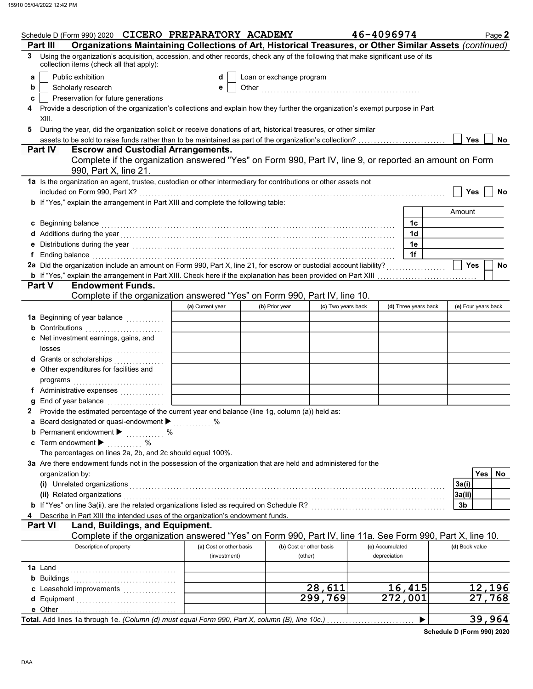|    | Schedule D (Form 990) 2020 CICERO PREPARATORY ACADEMY                                                                                                                                                                                |                                           |                          |                         | 46-4096974      |                      |                | Page 2              |
|----|--------------------------------------------------------------------------------------------------------------------------------------------------------------------------------------------------------------------------------------|-------------------------------------------|--------------------------|-------------------------|-----------------|----------------------|----------------|---------------------|
|    | Organizations Maintaining Collections of Art, Historical Treasures, or Other Similar Assets (continued)<br>Part III                                                                                                                  |                                           |                          |                         |                 |                      |                |                     |
| 3  | Using the organization's acquisition, accession, and other records, check any of the following that make significant use of its<br>collection items (check all that apply):                                                          |                                           |                          |                         |                 |                      |                |                     |
| a  | Public exhibition                                                                                                                                                                                                                    | d                                         | Loan or exchange program |                         |                 |                      |                |                     |
| b  | Scholarly research                                                                                                                                                                                                                   | е                                         |                          |                         |                 |                      |                |                     |
| c  | Preservation for future generations                                                                                                                                                                                                  |                                           |                          |                         |                 |                      |                |                     |
|    | Provide a description of the organization's collections and explain how they further the organization's exempt purpose in Part                                                                                                       |                                           |                          |                         |                 |                      |                |                     |
|    | XIII.                                                                                                                                                                                                                                |                                           |                          |                         |                 |                      |                |                     |
| 5  | During the year, did the organization solicit or receive donations of art, historical treasures, or other similar                                                                                                                    |                                           |                          |                         |                 |                      |                |                     |
|    | Part IV<br><b>Escrow and Custodial Arrangements.</b>                                                                                                                                                                                 |                                           |                          |                         |                 |                      | Yes            | No.                 |
|    | Complete if the organization answered "Yes" on Form 990, Part IV, line 9, or reported an amount on Form                                                                                                                              |                                           |                          |                         |                 |                      |                |                     |
|    | 990, Part X, line 21.                                                                                                                                                                                                                |                                           |                          |                         |                 |                      |                |                     |
|    | 1a Is the organization an agent, trustee, custodian or other intermediary for contributions or other assets not                                                                                                                      |                                           |                          |                         |                 |                      |                |                     |
|    | included on Form 990, Part X?<br>b If "Yes," explain the arrangement in Part XIII and complete the following table:                                                                                                                  |                                           |                          |                         |                 |                      | Yes            | No                  |
|    |                                                                                                                                                                                                                                      |                                           |                          |                         |                 |                      | Amount         |                     |
|    | c Beginning balance                                                                                                                                                                                                                  |                                           |                          |                         |                 | 1c                   |                |                     |
|    |                                                                                                                                                                                                                                      |                                           |                          |                         |                 | 1d                   |                |                     |
|    |                                                                                                                                                                                                                                      |                                           |                          |                         |                 | 1e                   |                |                     |
| f. | Ending balance with a construction of the construction of the construction of the construction of the construction of the construction of the construction of the construction of the construction of the construction of the        |                                           |                          |                         |                 | 1f                   |                |                     |
|    | 2a Did the organization include an amount on Form 990, Part X, line 21, for escrow or custodial account liability?                                                                                                                   |                                           |                          |                         |                 |                      | <b>Yes</b>     | No                  |
|    | <b>b</b> If "Yes," explain the arrangement in Part XIII. Check here if the explanation has been provided on Part XIII                                                                                                                |                                           |                          |                         |                 |                      |                |                     |
|    | <b>Endowment Funds.</b><br><b>Part V</b>                                                                                                                                                                                             |                                           |                          |                         |                 |                      |                |                     |
|    | Complete if the organization answered "Yes" on Form 990, Part IV, line 10.                                                                                                                                                           |                                           |                          |                         |                 |                      |                |                     |
|    |                                                                                                                                                                                                                                      | (a) Current year                          | (b) Prior year           | (c) Two years back      |                 | (d) Three years back |                | (e) Four years back |
|    | 1a Beginning of year balance                                                                                                                                                                                                         | the control of the control of the control |                          |                         |                 |                      |                |                     |
|    | <b>b</b> Contributions <b>contributions</b>                                                                                                                                                                                          |                                           |                          |                         |                 |                      |                |                     |
|    | c Net investment earnings, gains, and<br>losses                                                                                                                                                                                      |                                           |                          |                         |                 |                      |                |                     |
|    | d Grants or scholarships<br>.                                                                                                                                                                                                        |                                           |                          |                         |                 |                      |                |                     |
|    | e Other expenditures for facilities and                                                                                                                                                                                              |                                           |                          |                         |                 |                      |                |                     |
|    |                                                                                                                                                                                                                                      |                                           |                          |                         |                 |                      |                |                     |
|    | f Administrative expenses                                                                                                                                                                                                            |                                           |                          |                         |                 |                      |                |                     |
|    | End of year balance contained and set of the set of the set of the set of the set of the set of the set of the                                                                                                                       |                                           |                          |                         |                 |                      |                |                     |
|    | 2 Provide the estimated percentage of the current year end balance (line 1g, column (a)) held as:                                                                                                                                    |                                           |                          |                         |                 |                      |                |                     |
|    | a Board designated or quasi-endowment >                                                                                                                                                                                              | ℅                                         |                          |                         |                 |                      |                |                     |
|    | <b>b</b> Permanent endowment $\blacktriangleright$                                                                                                                                                                                   |                                           |                          |                         |                 |                      |                |                     |
|    | c Term endowment $\blacktriangleright$<br>%<br>The percentages on lines 2a, 2b, and 2c should equal 100%.                                                                                                                            |                                           |                          |                         |                 |                      |                |                     |
|    | 3a Are there endowment funds not in the possession of the organization that are held and administered for the                                                                                                                        |                                           |                          |                         |                 |                      |                |                     |
|    | organization by:                                                                                                                                                                                                                     |                                           |                          |                         |                 |                      |                | <b>Yes</b><br>No.   |
|    | (i) Unrelated organizations <b>contract to the contract of the contract of the contract of the contract of the contract of the contract of the contract of the contract of the contract of the contract of the contract of the c</b> |                                           |                          |                         |                 |                      | 3a(i)          |                     |
|    | (ii) Related organizations                                                                                                                                                                                                           |                                           |                          |                         |                 |                      | 3a(ii)         |                     |
|    | b If "Yes" on line 3a(ii), are the related organizations listed as required on Schedule R? [[[[[[[[[[[[[[[[[[[                                                                                                                       |                                           |                          |                         |                 |                      | 3b             |                     |
|    | Describe in Part XIII the intended uses of the organization's endowment funds.                                                                                                                                                       |                                           |                          |                         |                 |                      |                |                     |
|    | Land, Buildings, and Equipment.<br><b>Part VI</b>                                                                                                                                                                                    |                                           |                          |                         |                 |                      |                |                     |
|    | Complete if the organization answered "Yes" on Form 990, Part IV, line 11a. See Form 990, Part X, line 10.                                                                                                                           |                                           |                          |                         |                 |                      |                |                     |
|    | Description of property                                                                                                                                                                                                              | (a) Cost or other basis                   |                          | (b) Cost or other basis | (c) Accumulated |                      | (d) Book value |                     |
|    |                                                                                                                                                                                                                                      | (investment)                              |                          | (other)                 | depreciation    |                      |                |                     |
|    | 1a Land                                                                                                                                                                                                                              |                                           |                          |                         |                 |                      |                |                     |
|    |                                                                                                                                                                                                                                      |                                           |                          |                         |                 |                      |                |                     |
|    | c Leasehold improvements                                                                                                                                                                                                             |                                           |                          | 28,611<br>299,769       |                 | 16,415<br>272,001    |                | 12,196<br>27,768    |
|    |                                                                                                                                                                                                                                      |                                           |                          |                         |                 |                      |                |                     |
|    | Total. Add lines 1a through 1e. (Column (d) must equal Form 990, Part X, column (B), line 10c.) [[[[[[[[[[[[[[                                                                                                                       |                                           |                          |                         |                 |                      |                | 39,964              |
|    |                                                                                                                                                                                                                                      |                                           |                          |                         |                 |                      |                |                     |

Schedule D (Form 990) 2020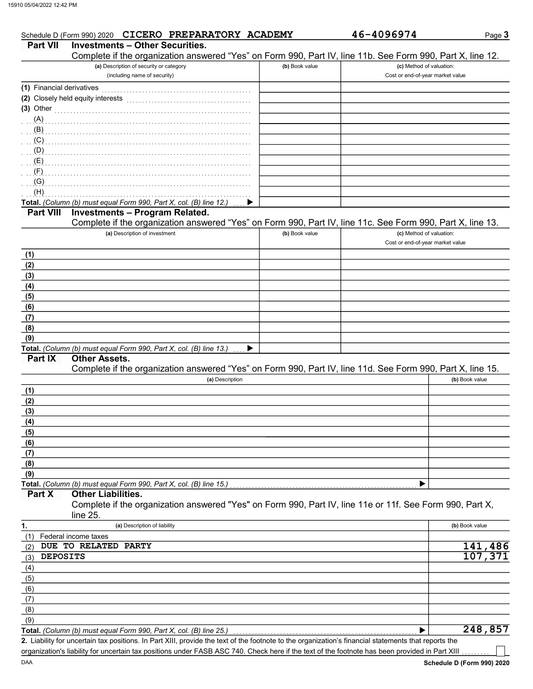| <b>Part VII</b>                                      | <b>Investments - Other Securities.</b>                                                                                                      |                | 46-4096974                       | Page 3         |
|------------------------------------------------------|---------------------------------------------------------------------------------------------------------------------------------------------|----------------|----------------------------------|----------------|
|                                                      | Complete if the organization answered "Yes" on Form 990, Part IV, line 11b. See Form 990, Part X, line 12.                                  |                |                                  |                |
|                                                      | (a) Description of security or category                                                                                                     | (b) Book value | (c) Method of valuation:         |                |
|                                                      | (including name of security)                                                                                                                |                | Cost or end-of-year market value |                |
| (1) Financial derivatives                            |                                                                                                                                             |                |                                  |                |
|                                                      | (2) Closely held equity interests                                                                                                           |                |                                  |                |
|                                                      | (3) Other $\ldots$ and $\ldots$                                                                                                             |                |                                  |                |
|                                                      | (A)                                                                                                                                         |                |                                  |                |
| (B)                                                  |                                                                                                                                             |                |                                  |                |
| (C)                                                  |                                                                                                                                             |                |                                  |                |
| (D)                                                  |                                                                                                                                             |                |                                  |                |
| (E)                                                  |                                                                                                                                             |                |                                  |                |
| (F)                                                  |                                                                                                                                             |                |                                  |                |
| (G)                                                  |                                                                                                                                             |                |                                  |                |
| (H)                                                  |                                                                                                                                             |                |                                  |                |
|                                                      | Total. (Column (b) must equal Form 990, Part X, col. (B) line 12.)                                                                          |                |                                  |                |
| <b>Part VIII</b>                                     | <b>Investments - Program Related.</b>                                                                                                       |                |                                  |                |
|                                                      | Complete if the organization answered "Yes" on Form 990, Part IV, line 11c. See Form 990, Part X, line 13.<br>(a) Description of investment |                | (c) Method of valuation:         |                |
|                                                      |                                                                                                                                             | (b) Book value | Cost or end-of-year market value |                |
|                                                      |                                                                                                                                             |                |                                  |                |
| (1)                                                  |                                                                                                                                             |                |                                  |                |
| (2)<br>(3)                                           |                                                                                                                                             |                |                                  |                |
| (4)                                                  |                                                                                                                                             |                |                                  |                |
| (5)                                                  |                                                                                                                                             |                |                                  |                |
| (6)                                                  |                                                                                                                                             |                |                                  |                |
| (7)                                                  |                                                                                                                                             |                |                                  |                |
|                                                      |                                                                                                                                             |                |                                  |                |
|                                                      |                                                                                                                                             |                |                                  |                |
|                                                      |                                                                                                                                             |                |                                  |                |
| (8)<br>(9)                                           | Total. (Column (b) must equal Form 990, Part X, col. (B) line 13.)                                                                          |                |                                  |                |
| Part IX                                              | <b>Other Assets.</b>                                                                                                                        |                |                                  |                |
|                                                      | Complete if the organization answered "Yes" on Form 990, Part IV, line 11d. See Form 990, Part X, line 15.                                  |                |                                  |                |
|                                                      | (a) Description                                                                                                                             |                |                                  | (b) Book value |
|                                                      |                                                                                                                                             |                |                                  |                |
| (2)                                                  |                                                                                                                                             |                |                                  |                |
|                                                      |                                                                                                                                             |                |                                  |                |
|                                                      |                                                                                                                                             |                |                                  |                |
|                                                      |                                                                                                                                             |                |                                  |                |
|                                                      |                                                                                                                                             |                |                                  |                |
|                                                      |                                                                                                                                             |                |                                  |                |
|                                                      |                                                                                                                                             |                |                                  |                |
|                                                      |                                                                                                                                             |                |                                  |                |
| (1)<br>(3)<br>(4)<br>(5)<br>(6)<br>(7)<br>(8)<br>(9) | Total. (Column (b) must equal Form 990, Part X, col. (B) line 15.)                                                                          |                |                                  |                |
| Part X                                               | <b>Other Liabilities.</b>                                                                                                                   |                |                                  |                |
|                                                      | Complete if the organization answered "Yes" on Form 990, Part IV, line 11e or 11f. See Form 990, Part X,                                    |                |                                  |                |
|                                                      | line 25.                                                                                                                                    |                |                                  |                |
| 1.                                                   | (a) Description of liability                                                                                                                |                |                                  | (b) Book value |
| (1)                                                  | Federal income taxes                                                                                                                        |                |                                  |                |
| (2)                                                  | DUE TO RELATED PARTY                                                                                                                        |                |                                  | 141,486        |
| <b>DEPOSITS</b><br>(3)                               |                                                                                                                                             |                |                                  | 107,371        |
| (4)                                                  |                                                                                                                                             |                |                                  |                |
| (5)                                                  |                                                                                                                                             |                |                                  |                |
|                                                      |                                                                                                                                             |                |                                  |                |
|                                                      |                                                                                                                                             |                |                                  |                |
| (6)<br>(7)<br>(8)<br>(9)                             |                                                                                                                                             |                |                                  |                |

Liability for uncertain tax positions. In Part XIII, provide the text of the footnote to the organization's financial statements that reports the 2. organization's liability for uncertain tax positions under FASB ASC 740. Check here if the text of the footnote has been provided in Part XIII

┓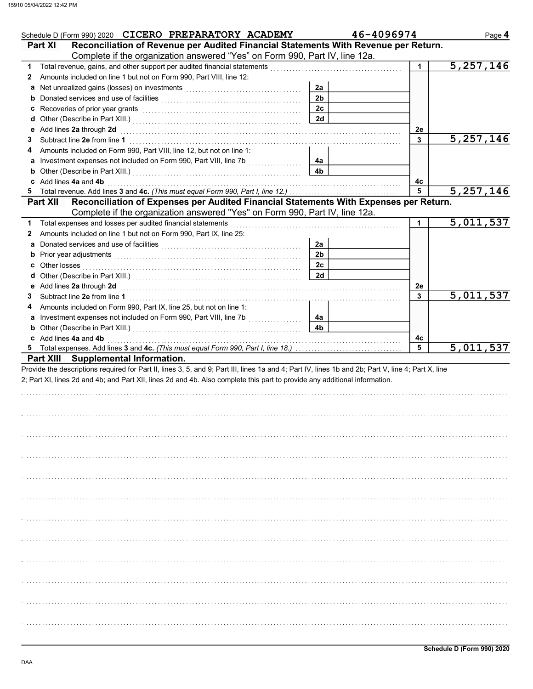|                                                                  | Schedule D (Form 990) 2020 CICERO PREPARATORY ACADEMY                                                                                                                                                                                                                            |                | 46-4096974 | Page 4    |
|------------------------------------------------------------------|----------------------------------------------------------------------------------------------------------------------------------------------------------------------------------------------------------------------------------------------------------------------------------|----------------|------------|-----------|
| <b>Part XI</b>                                                   | Reconciliation of Revenue per Audited Financial Statements With Revenue per Return.                                                                                                                                                                                              |                |            |           |
|                                                                  | Complete if the organization answered "Yes" on Form 990, Part IV, line 12a.                                                                                                                                                                                                      |                |            |           |
| 1                                                                | Total revenue, gains, and other support per audited financial statements [111] [11] [11] Total revenue, gains, and other support per audited financial statements [11] [11] Total revenue of the statements of the statements                                                    |                | 1.         | 5,257,146 |
| 2                                                                | Amounts included on line 1 but not on Form 990, Part VIII, line 12:                                                                                                                                                                                                              |                |            |           |
|                                                                  |                                                                                                                                                                                                                                                                                  | 2a             |            |           |
|                                                                  | b Donated services and use of facilities [11] production contracts and the production of the contracts of the contracts of the contracts of the contracts of the contracts of the contracts of the contracts of the contracts                                                    | 2 <sub>b</sub> |            |           |
|                                                                  |                                                                                                                                                                                                                                                                                  | 2c             |            |           |
|                                                                  |                                                                                                                                                                                                                                                                                  | 2d             |            |           |
| е                                                                | Add lines 2a through 2d <b>contained a contained a contained a contained a contained a contained a contained a contained a contained a contained a contained a contained a contained a contained a contained a contained a conta</b>                                             |                | 2e         |           |
| 3                                                                |                                                                                                                                                                                                                                                                                  |                | 3          | 5,257,146 |
| 4                                                                | Amounts included on Form 990, Part VIII, line 12, but not on line 1:                                                                                                                                                                                                             |                |            |           |
|                                                                  |                                                                                                                                                                                                                                                                                  | 4а             |            |           |
|                                                                  | <b>b</b> Other (Describe in Part XIII.) <b>CONSUMER</b> 2014 11: <b>Describe in Part XIII. CONSUMER</b> 2014 12: <b>Description</b> 2014 12: <b>Description</b> 2014 12: <b>Description</b> 2014 12: <b>Description</b> 2014 12: <b>Description</b> 2014 12: <b>Descri</b>       | 4 <sub>b</sub> |            |           |
| c Add lines 4a and 4b                                            |                                                                                                                                                                                                                                                                                  |                | 4c         |           |
| 5                                                                |                                                                                                                                                                                                                                                                                  |                | 5          | 5,257,146 |
| <b>Part XII</b>                                                  | Reconciliation of Expenses per Audited Financial Statements With Expenses per Return.                                                                                                                                                                                            |                |            |           |
|                                                                  | Complete if the organization answered "Yes" on Form 990, Part IV, line 12a.                                                                                                                                                                                                      |                |            |           |
| Total expenses and losses per audited financial statements<br>1. |                                                                                                                                                                                                                                                                                  |                | 1          | 5,011,537 |
| 2                                                                | Amounts included on line 1 but not on Form 990, Part IX, line 25:                                                                                                                                                                                                                |                |            |           |
|                                                                  |                                                                                                                                                                                                                                                                                  | 2a             |            |           |
|                                                                  |                                                                                                                                                                                                                                                                                  | 2 <sub>b</sub> |            |           |
| c                                                                |                                                                                                                                                                                                                                                                                  | 2c             |            |           |
|                                                                  | Other losses <b>contracts on the contract of the contract of the contract of the contract of the contract of the contract of the contract of the contract of the contract of the contract of the contract of the contract of t</b>                                               | 2d             |            |           |
|                                                                  |                                                                                                                                                                                                                                                                                  |                | 2e         |           |
| 3                                                                | e Add lines 2a through 2d (a) and the contract of the Add lines 2a through the contract of the Add lines 2a through 2d                                                                                                                                                           |                | 3          | 5,011,537 |
|                                                                  |                                                                                                                                                                                                                                                                                  |                |            |           |
| 4                                                                | Amounts included on Form 990, Part IX, line 25, but not on line 1:                                                                                                                                                                                                               |                |            |           |
|                                                                  |                                                                                                                                                                                                                                                                                  | 4a             |            |           |
|                                                                  | <b>b</b> Other (Describe in Part XIII.) <b>CONSERVING (2018)</b>                                                                                                                                                                                                                 | 4 <sub>b</sub> |            |           |
| c Add lines 4a and 4b                                            |                                                                                                                                                                                                                                                                                  |                | 4с<br>5    |           |
| 5.<br>Part XIII Supplemental Information.                        |                                                                                                                                                                                                                                                                                  |                |            | 5,011,537 |
|                                                                  | Provide the descriptions required for Part II, lines 3, 5, and 9; Part III, lines 1a and 4; Part IV, lines 1b and 2b; Part V, line 4; Part X, line<br>2; Part XI, lines 2d and 4b; and Part XII, lines 2d and 4b. Also complete this part to provide any additional information. |                |            |           |
|                                                                  |                                                                                                                                                                                                                                                                                  |                |            |           |
|                                                                  |                                                                                                                                                                                                                                                                                  |                |            |           |
|                                                                  |                                                                                                                                                                                                                                                                                  |                |            |           |
|                                                                  |                                                                                                                                                                                                                                                                                  |                |            |           |
|                                                                  |                                                                                                                                                                                                                                                                                  |                |            |           |
|                                                                  |                                                                                                                                                                                                                                                                                  |                |            |           |
|                                                                  |                                                                                                                                                                                                                                                                                  |                |            |           |
|                                                                  |                                                                                                                                                                                                                                                                                  |                |            |           |
|                                                                  |                                                                                                                                                                                                                                                                                  |                |            |           |
|                                                                  |                                                                                                                                                                                                                                                                                  |                |            |           |
|                                                                  |                                                                                                                                                                                                                                                                                  |                |            |           |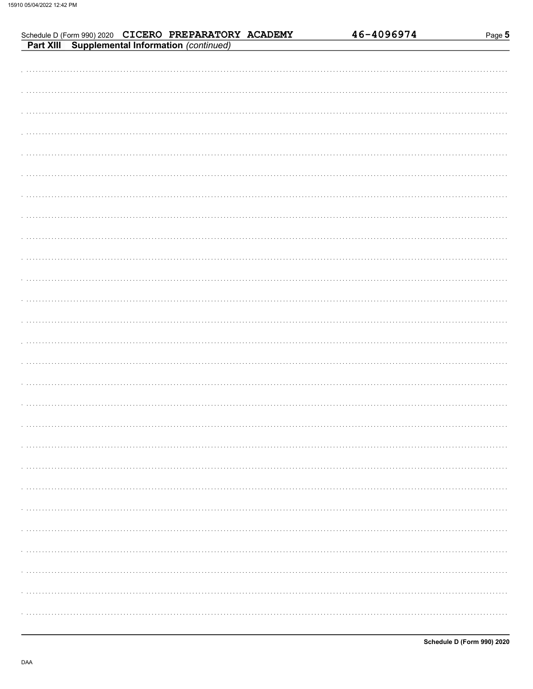| Schedule D (Form 990) 2020 CICERO PREPARATORY ACADEMY<br>Part XIII Supplemental Information (continued) | 46-4096974 | Page 5 |
|---------------------------------------------------------------------------------------------------------|------------|--------|
|                                                                                                         |            |        |
|                                                                                                         |            |        |
|                                                                                                         |            |        |
|                                                                                                         |            |        |
|                                                                                                         |            |        |
|                                                                                                         |            |        |
|                                                                                                         |            |        |
|                                                                                                         |            |        |
|                                                                                                         |            |        |
|                                                                                                         |            |        |
|                                                                                                         |            |        |
|                                                                                                         |            |        |
|                                                                                                         |            |        |
|                                                                                                         |            |        |
|                                                                                                         |            |        |
|                                                                                                         |            |        |
|                                                                                                         |            |        |
|                                                                                                         |            |        |
|                                                                                                         |            |        |
|                                                                                                         |            |        |
|                                                                                                         |            |        |
|                                                                                                         |            |        |
|                                                                                                         |            |        |
|                                                                                                         |            |        |
|                                                                                                         |            |        |
|                                                                                                         |            |        |
|                                                                                                         |            |        |
|                                                                                                         |            |        |
| .                                                                                                       |            |        |
|                                                                                                         |            |        |
|                                                                                                         |            | .      |
| .                                                                                                       |            |        |
|                                                                                                         |            |        |
|                                                                                                         |            |        |
|                                                                                                         |            | .      |
|                                                                                                         |            |        |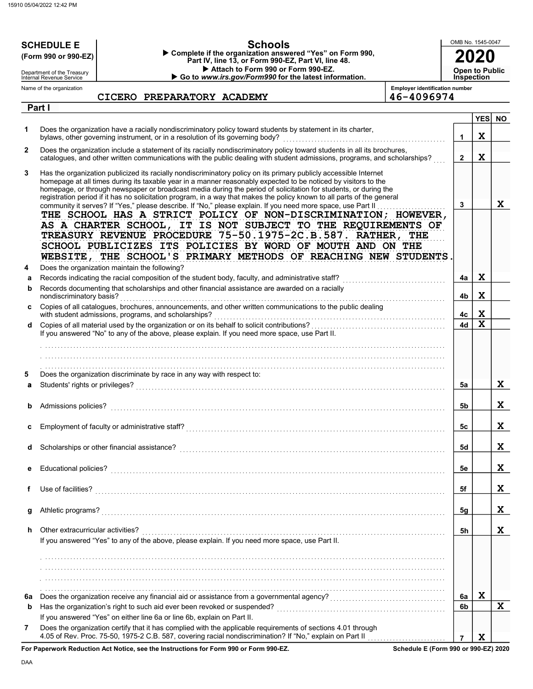|    | <b>SCHEDULE E</b><br>(Form 990 or 990-EZ)<br>Department of the Treasury | OMB No. 1545-0047<br><b>Schools</b><br>Complete if the organization answered "Yes" on Form 990,<br>Part IV, line 13, or Form 990-EZ, Part VI, line 48.<br>Attach to Form 990 or Form 990-EZ.<br><b>Open to Public</b><br>Go to www.irs.gov/Form990 for the latest information.<br><b>Inspection</b><br>Internal Revenue Service |                                                                                  |  |                                                                                                                                                                                                                                                                                                                                                                                                                                                                                                                                                                                                                                                                     |  |                                       |                |             |           |
|----|-------------------------------------------------------------------------|---------------------------------------------------------------------------------------------------------------------------------------------------------------------------------------------------------------------------------------------------------------------------------------------------------------------------------|----------------------------------------------------------------------------------|--|---------------------------------------------------------------------------------------------------------------------------------------------------------------------------------------------------------------------------------------------------------------------------------------------------------------------------------------------------------------------------------------------------------------------------------------------------------------------------------------------------------------------------------------------------------------------------------------------------------------------------------------------------------------------|--|---------------------------------------|----------------|-------------|-----------|
|    | Name of the organization                                                |                                                                                                                                                                                                                                                                                                                                 |                                                                                  |  |                                                                                                                                                                                                                                                                                                                                                                                                                                                                                                                                                                                                                                                                     |  | <b>Employer identification number</b> |                |             |           |
|    | Part I                                                                  |                                                                                                                                                                                                                                                                                                                                 | CICERO PREPARATORY ACADEMY                                                       |  |                                                                                                                                                                                                                                                                                                                                                                                                                                                                                                                                                                                                                                                                     |  | 46-4096974                            |                |             |           |
|    |                                                                         |                                                                                                                                                                                                                                                                                                                                 |                                                                                  |  |                                                                                                                                                                                                                                                                                                                                                                                                                                                                                                                                                                                                                                                                     |  |                                       |                | <b>YES</b>  | <b>NO</b> |
| 1  |                                                                         |                                                                                                                                                                                                                                                                                                                                 | bylaws, other governing instrument, or in a resolution of its governing body?    |  | Does the organization have a racially nondiscriminatory policy toward students by statement in its charter,                                                                                                                                                                                                                                                                                                                                                                                                                                                                                                                                                         |  |                                       | $\mathbf{1}$   | $\mathbf x$ |           |
| 2  |                                                                         |                                                                                                                                                                                                                                                                                                                                 |                                                                                  |  | Does the organization include a statement of its racially nondiscriminatory policy toward students in all its brochures,<br>catalogues, and other written communications with the public dealing with student admissions, programs, and scholarships?                                                                                                                                                                                                                                                                                                                                                                                                               |  |                                       | $\mathbf{2}$   | $\mathbf x$ |           |
| 3  |                                                                         |                                                                                                                                                                                                                                                                                                                                 |                                                                                  |  | Has the organization publicized its racially nondiscriminatory policy on its primary publicly accessible Internet<br>homepage at all times during its taxable year in a manner reasonably expected to be noticed by visitors to the<br>homepage, or through newspaper or broadcast media during the period of solicitation for students, or during the<br>registration period if it has no solicitation program, in a way that makes the policy known to all parts of the general<br>community it serves? If "Yes," please describe. If "No," please explain. If you need more space, use Part II<br>THE SCHOOL HAS A STRICT POLICY OF NON-DISCRIMINATION; HOWEVER, |  |                                       | 3              |             | X         |
|    |                                                                         |                                                                                                                                                                                                                                                                                                                                 |                                                                                  |  | AS A CHARTER SCHOOL, IT IS NOT SUBJECT TO THE REQUIREMENTS OF<br>TREASURY REVENUE PROCEDURE 75-50.1975-2C.B.587. RATHER, THE<br>SCHOOL PUBLICIZES ITS POLICIES BY WORD OF MOUTH AND ON THE<br>WEBSITE, THE SCHOOL'S PRIMARY METHODS OF REACHING NEW STUDENTS                                                                                                                                                                                                                                                                                                                                                                                                        |  |                                       |                |             |           |
| a  | Does the organization maintain the following?                           |                                                                                                                                                                                                                                                                                                                                 |                                                                                  |  | Records indicating the racial composition of the student body, faculty, and administrative staff?                                                                                                                                                                                                                                                                                                                                                                                                                                                                                                                                                                   |  |                                       | 4a             | X           |           |
| b  | nondiscriminatory basis?                                                |                                                                                                                                                                                                                                                                                                                                 |                                                                                  |  | Records documenting that scholarships and other financial assistance are awarded on a racially                                                                                                                                                                                                                                                                                                                                                                                                                                                                                                                                                                      |  |                                       | 4b             | X           |           |
| c  |                                                                         |                                                                                                                                                                                                                                                                                                                                 | with student admissions, programs, and scholarships?                             |  | Copies of all catalogues, brochures, announcements, and other written communications to the public dealing                                                                                                                                                                                                                                                                                                                                                                                                                                                                                                                                                          |  |                                       | 4c             | X           |           |
| d  |                                                                         |                                                                                                                                                                                                                                                                                                                                 |                                                                                  |  | If you answered "No" to any of the above, please explain. If you need more space, use Part II.                                                                                                                                                                                                                                                                                                                                                                                                                                                                                                                                                                      |  |                                       | 4d             | $\mathbf x$ |           |
|    |                                                                         |                                                                                                                                                                                                                                                                                                                                 |                                                                                  |  |                                                                                                                                                                                                                                                                                                                                                                                                                                                                                                                                                                                                                                                                     |  |                                       |                |             |           |
| 5  |                                                                         |                                                                                                                                                                                                                                                                                                                                 | Does the organization discriminate by race in any way with respect to:           |  |                                                                                                                                                                                                                                                                                                                                                                                                                                                                                                                                                                                                                                                                     |  |                                       |                |             |           |
| a  | Students' rights or privileges?                                         |                                                                                                                                                                                                                                                                                                                                 |                                                                                  |  |                                                                                                                                                                                                                                                                                                                                                                                                                                                                                                                                                                                                                                                                     |  |                                       | 5a             |             | X         |
|    | Admissions policies?                                                    |                                                                                                                                                                                                                                                                                                                                 |                                                                                  |  |                                                                                                                                                                                                                                                                                                                                                                                                                                                                                                                                                                                                                                                                     |  |                                       | 5b             |             | X.        |
|    |                                                                         |                                                                                                                                                                                                                                                                                                                                 |                                                                                  |  |                                                                                                                                                                                                                                                                                                                                                                                                                                                                                                                                                                                                                                                                     |  |                                       | 5c             |             | X         |
| d  |                                                                         |                                                                                                                                                                                                                                                                                                                                 |                                                                                  |  |                                                                                                                                                                                                                                                                                                                                                                                                                                                                                                                                                                                                                                                                     |  |                                       | 5d             |             | X         |
| е  |                                                                         |                                                                                                                                                                                                                                                                                                                                 |                                                                                  |  |                                                                                                                                                                                                                                                                                                                                                                                                                                                                                                                                                                                                                                                                     |  |                                       | 5е             |             | X.        |
| f  |                                                                         |                                                                                                                                                                                                                                                                                                                                 |                                                                                  |  |                                                                                                                                                                                                                                                                                                                                                                                                                                                                                                                                                                                                                                                                     |  |                                       | 5f             |             | X.        |
| g  |                                                                         |                                                                                                                                                                                                                                                                                                                                 |                                                                                  |  |                                                                                                                                                                                                                                                                                                                                                                                                                                                                                                                                                                                                                                                                     |  |                                       | 5 <sub>g</sub> |             | X         |
| h. | Other extracurricular activities?                                       |                                                                                                                                                                                                                                                                                                                                 |                                                                                  |  | If you answered "Yes" to any of the above, please explain. If you need more space, use Part II.                                                                                                                                                                                                                                                                                                                                                                                                                                                                                                                                                                     |  |                                       | 5h             |             | X         |
|    |                                                                         |                                                                                                                                                                                                                                                                                                                                 |                                                                                  |  |                                                                                                                                                                                                                                                                                                                                                                                                                                                                                                                                                                                                                                                                     |  |                                       |                |             |           |
|    |                                                                         |                                                                                                                                                                                                                                                                                                                                 |                                                                                  |  |                                                                                                                                                                                                                                                                                                                                                                                                                                                                                                                                                                                                                                                                     |  |                                       |                |             |           |
|    |                                                                         |                                                                                                                                                                                                                                                                                                                                 |                                                                                  |  |                                                                                                                                                                                                                                                                                                                                                                                                                                                                                                                                                                                                                                                                     |  |                                       |                |             |           |
| 6a |                                                                         |                                                                                                                                                                                                                                                                                                                                 |                                                                                  |  |                                                                                                                                                                                                                                                                                                                                                                                                                                                                                                                                                                                                                                                                     |  |                                       | 6a             | X           |           |
| b  |                                                                         |                                                                                                                                                                                                                                                                                                                                 | If you answered "Yes" on either line 6a or line 6b, explain on Part II.          |  |                                                                                                                                                                                                                                                                                                                                                                                                                                                                                                                                                                                                                                                                     |  |                                       | 6b             |             | X         |
| 7  |                                                                         |                                                                                                                                                                                                                                                                                                                                 | popularly Reduction Act Notice, see the Instructions for Form 880 or Form 880 FZ |  | Does the organization certify that it has complied with the applicable requirements of sections 4.01 through                                                                                                                                                                                                                                                                                                                                                                                                                                                                                                                                                        |  |                                       | $\overline{7}$ | $\mathbf x$ |           |

For Paperwork Reduction Act Notice, see the Instructions for Form 990 or Form 990-EZ.

Schedule E (Form 990 or 990-EZ) 2020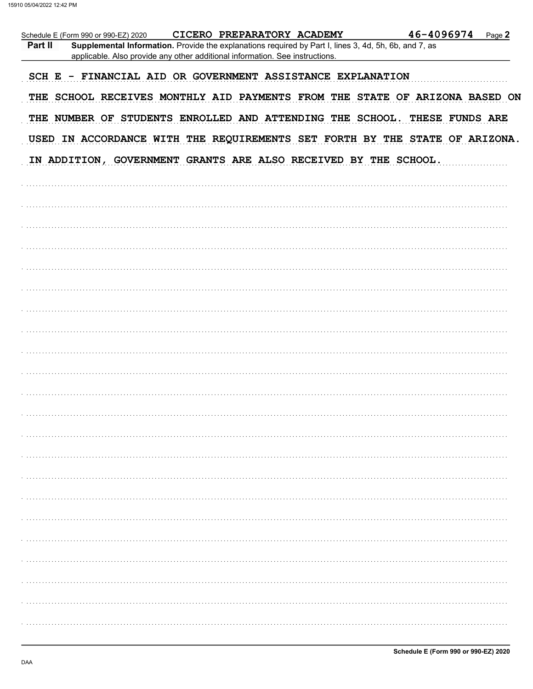|         | Schedule E (Form 990 or 990-EZ) 2020                                        |                                                                                                                                                                                       | CICERO PREPARATORY ACADEMY | 46-4096974 | Page 2 |
|---------|-----------------------------------------------------------------------------|---------------------------------------------------------------------------------------------------------------------------------------------------------------------------------------|----------------------------|------------|--------|
| Part II |                                                                             | Supplemental Information. Provide the explanations required by Part I, lines 3, 4d, 5h, 6b, and 7, as<br>applicable. Also provide any other additional information. See instructions. |                            |            |        |
|         | SCH E - FINANCIAL AID OR GOVERNMENT ASSISTANCE EXPLANATION                  |                                                                                                                                                                                       |                            |            |        |
|         |                                                                             |                                                                                                                                                                                       |                            |            |        |
|         | THE SCHOOL RECEIVES MONTHLY AID PAYMENTS FROM THE STATE OF ARIZONA BASED ON |                                                                                                                                                                                       |                            |            |        |
|         | THE NUMBER OF STUDENTS ENROLLED AND ATTENDING THE SCHOOL. THESE FUNDS ARE   |                                                                                                                                                                                       |                            |            |        |
|         | USED IN ACCORDANCE WITH THE REQUIREMENTS SET FORTH BY THE STATE OF ARIZONA. |                                                                                                                                                                                       |                            |            |        |
|         | IN ADDITION, GOVERNMENT GRANTS ARE ALSO RECEIVED BY THE SCHOOL.             |                                                                                                                                                                                       |                            |            |        |
|         |                                                                             |                                                                                                                                                                                       |                            |            |        |
|         |                                                                             |                                                                                                                                                                                       |                            |            |        |
|         |                                                                             |                                                                                                                                                                                       |                            |            |        |
|         |                                                                             |                                                                                                                                                                                       |                            |            |        |
|         |                                                                             |                                                                                                                                                                                       |                            |            |        |
|         |                                                                             |                                                                                                                                                                                       |                            |            |        |
|         |                                                                             |                                                                                                                                                                                       |                            |            |        |
|         |                                                                             |                                                                                                                                                                                       |                            |            |        |
|         |                                                                             |                                                                                                                                                                                       |                            |            |        |
|         |                                                                             |                                                                                                                                                                                       |                            |            |        |
|         |                                                                             |                                                                                                                                                                                       |                            |            |        |
|         |                                                                             |                                                                                                                                                                                       |                            |            |        |
|         |                                                                             |                                                                                                                                                                                       |                            |            |        |
|         |                                                                             |                                                                                                                                                                                       |                            |            |        |
|         |                                                                             |                                                                                                                                                                                       |                            |            |        |
|         |                                                                             |                                                                                                                                                                                       |                            |            |        |
|         |                                                                             |                                                                                                                                                                                       |                            |            |        |
|         |                                                                             |                                                                                                                                                                                       |                            |            |        |
|         |                                                                             |                                                                                                                                                                                       |                            |            |        |
|         |                                                                             |                                                                                                                                                                                       |                            |            |        |
|         |                                                                             |                                                                                                                                                                                       |                            |            |        |
|         |                                                                             |                                                                                                                                                                                       |                            |            |        |
|         |                                                                             |                                                                                                                                                                                       |                            |            |        |
|         |                                                                             |                                                                                                                                                                                       |                            |            |        |
|         |                                                                             |                                                                                                                                                                                       |                            |            |        |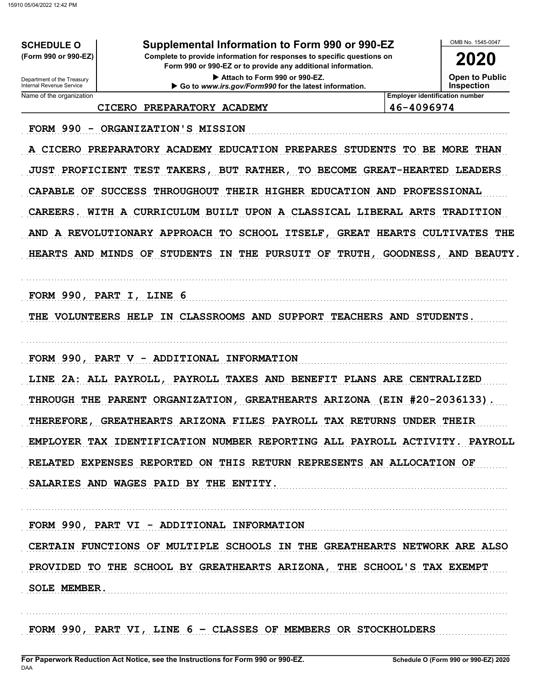**SCHEDULE O** (Form 990 or 990-EZ)

Supplemental Information to Form 990 or 990-EZ

Complete to provide information for responses to specific questions on Form 990 or 990-EZ or to provide any additional information.

> Attach to Form 990 or 990-EZ. Go to www.irs.gov/Form990 for the latest information.

OMB No 1545-0047 2020

**Open to Public** 

**Inspection** 

Department of the Treasury<br>Internal Revenue Service Name of the organization

### CICERO PREPARATORY ACADEMY

46-4096974

**Employer identification number** 

FORM 990 - ORGANIZATION'S MISSION

A CICERO PREPARATORY ACADEMY EDUCATION PREPARES STUDENTS TO BE MORE THAN JUST PROFICIENT TEST TAKERS, BUT RATHER, TO BECOME GREAT-HEARTED LEADERS CAPABLE OF SUCCESS THROUGHOUT THEIR HIGHER EDUCATION AND PROFESSIONAL CAREERS. WITH A CURRICULUM BUILT UPON A CLASSICAL LIBERAL ARTS TRADITION AND A REVOLUTIONARY APPROACH TO SCHOOL ITSELF, GREAT HEARTS CULTIVATES THE HEARTS AND MINDS OF STUDENTS IN THE PURSUIT OF TRUTH, GOODNESS, AND BEAUTY.

FORM 990, PART I, LINE 6

THE VOLUNTEERS HELP IN CLASSROOMS AND SUPPORT TEACHERS AND STUDENTS.

FORM 990, PART V - ADDITIONAL INFORMATION

LINE 2A: ALL PAYROLL, PAYROLL TAXES AND BENEFIT PLANS ARE CENTRALIZED THROUGH THE PARENT ORGANIZATION, GREATHEARTS ARIZONA (EIN #20-2036133). THEREFORE, GREATHEARTS ARIZONA FILES PAYROLL TAX RETURNS UNDER THEIR EMPLOYER TAX IDENTIFICATION NUMBER REPORTING ALL PAYROLL ACTIVITY. PAYROLL RELATED EXPENSES REPORTED ON THIS RETURN REPRESENTS AN ALLOCATION OF SALARIES AND WAGES PAID BY THE ENTITY.

FORM 990, PART VI - ADDITIONAL INFORMATION CERTAIN FUNCTIONS OF MULTIPLE SCHOOLS IN THE GREATHEARTS NETWORK ARE ALSO PROVIDED TO THE SCHOOL BY GREATHEARTS ARIZONA, THE SCHOOL'S TAX EXEMPT SOLE MEMBER.

FORM 990, PART VI, LINE 6 - CLASSES OF MEMBERS OR STOCKHOLDERS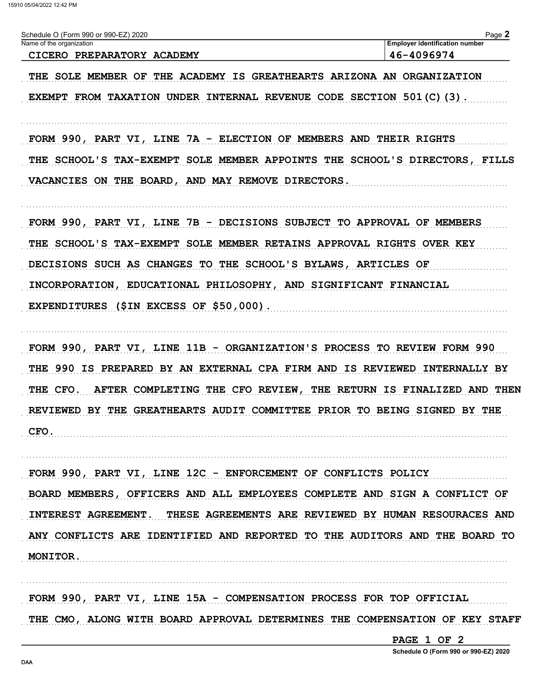| Schedule O (Form 990 or 990-EZ) 2020 | $P$ aqe $\blacktriangle$              |
|--------------------------------------|---------------------------------------|
| Name of the organization             | <b>Employer identification number</b> |
| CICERO PREPARATORY ACADEMY           | 46-4096974                            |
|                                      |                                       |

THE SOLE MEMBER OF THE ACADEMY IS GREATHEARTS ARIZONA AN ORGANIZATION EXEMPT FROM TAXATION UNDER INTERNAL REVENUE CODE SECTION 501(C)(3).

FORM 990, PART VI, LINE 7A - ELECTION OF MEMBERS AND THEIR RIGHTS THE SCHOOL'S TAX-EXEMPT SOLE MEMBER APPOINTS THE SCHOOL'S DIRECTORS, FILLS VACANCIES ON THE BOARD, AND MAY REMOVE DIRECTORS.

FORM 990, PART VI, LINE 7B - DECISIONS SUBJECT TO APPROVAL OF MEMBERS THE SCHOOL'S TAX-EXEMPT SOLE MEMBER RETAINS APPROVAL RIGHTS OVER KEY DECISIONS SUCH AS CHANGES TO THE SCHOOL'S BYLAWS, ARTICLES OF INCORPORATION, EDUCATIONAL PHILOSOPHY, AND SIGNIFICANT FINANCIAL EXPENDITURES (\$IN EXCESS OF \$50,000).

FORM 990, PART VI, LINE 11B - ORGANIZATION'S PROCESS TO REVIEW FORM 990 THE 990 IS PREPARED BY AN EXTERNAL CPA FIRM AND IS REVIEWED INTERNALLY BY THE CFO. AFTER COMPLETING THE CFO REVIEW, THE RETURN IS FINALIZED AND THEN REVIEWED BY THE GREATHEARTS AUDIT COMMITTEE PRIOR TO BEING SIGNED BY THE CFO.

FORM 990, PART VI, LINE 12C - ENFORCEMENT OF CONFLICTS POLICY BOARD MEMBERS, OFFICERS AND ALL EMPLOYEES COMPLETE AND SIGN A CONFLICT OF INTEREST AGREEMENT. THESE AGREEMENTS ARE REVIEWED BY HUMAN RESOURACES AND ANY CONFLICTS ARE IDENTIFIED AND REPORTED TO THE AUDITORS AND THE BOARD TO MONITOR.

FORM 990, PART VI, LINE 15A - COMPENSATION PROCESS FOR TOP OFFICIAL THE CMO, ALONG WITH BOARD APPROVAL DETERMINES THE COMPENSATION OF KEY STAFF

PAGE 1 OF 2

Schedule O (Form 990 or 990-EZ) 2020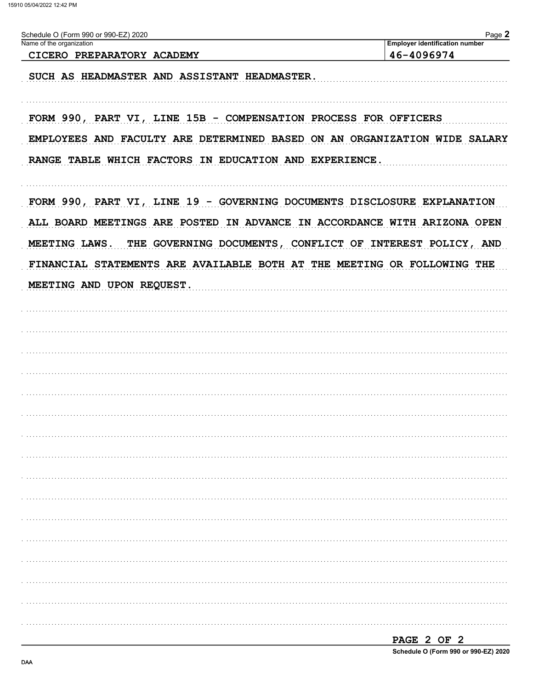| Schedule O (Form 990 or 990-EZ) 2020                                      | Page $2$                                            |
|---------------------------------------------------------------------------|-----------------------------------------------------|
| Name of the organization<br>CICERO PREPARATORY ACADEMY                    | <b>Employer identification number</b><br>46-4096974 |
| SUCH AS HEADMASTER AND ASSISTANT HEADMASTER.                              |                                                     |
| FORM 990, PART VI, LINE 15B - COMPENSATION PROCESS FOR OFFICERS           |                                                     |
| EMPLOYEES AND FACULTY ARE DETERMINED BASED ON AN ORGANIZATION WIDE SALARY |                                                     |
| RANGE TABLE WHICH FACTORS IN EDUCATION AND EXPERIENCE.                    |                                                     |
| FORM 990, PART VI, LINE 19 - GOVERNING DOCUMENTS DISCLOSURE EXPLANATION   |                                                     |
| ALL BOARD MEETINGS ARE POSTED IN ADVANCE IN ACCORDANCE WITH ARIZONA OPEN  |                                                     |
| MEETING LAWS. THE GOVERNING DOCUMENTS, CONFLICT OF INTEREST POLICY, AND   |                                                     |
| FINANCIAL STATEMENTS ARE AVAILABLE BOTH AT THE MEETING OR FOLLOWING THE   |                                                     |
| MEETING AND UPON REQUEST.                                                 |                                                     |
|                                                                           |                                                     |
|                                                                           |                                                     |
|                                                                           |                                                     |
|                                                                           |                                                     |
|                                                                           |                                                     |
|                                                                           |                                                     |
|                                                                           |                                                     |
|                                                                           |                                                     |
|                                                                           |                                                     |
|                                                                           |                                                     |
|                                                                           |                                                     |
|                                                                           |                                                     |
|                                                                           |                                                     |
|                                                                           |                                                     |
|                                                                           |                                                     |
|                                                                           |                                                     |
|                                                                           |                                                     |
|                                                                           |                                                     |
|                                                                           |                                                     |
|                                                                           | הת מהתת                                             |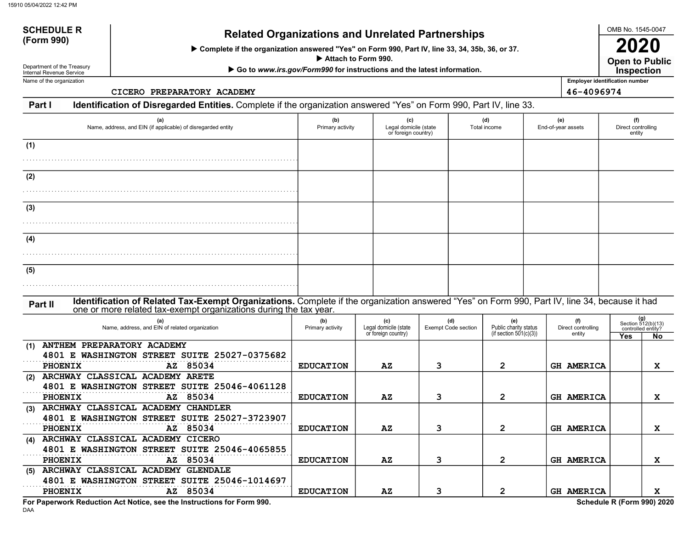# SCHEDULE Related Organizations and Unrelated Partnerships (Form 990)

Complete if the organization answered "Yes" on Form 990, Part IV, line 33, 34, 35b, 36, or 37.

Attach to Form 990.

▶ Go to www.irs.gov/Form990 for instructions and the latest information.

Department of the Treasury Internal Revenue Service Name of the organization

SCHEDULE R

CICERO PREPARATORY ACADEMY 46-4096974

Open to Public 2020 **inspection** 

OMB No. 1545-0047

Employer identification number

Part I Identification of Disregarded Entities. Complete if the organization answered "Yes" on Form 990, Part IV, line 33.

| (a)<br>Name, address, and EIN (if applicable) of disregarded entity                                                                                                                                                           | (b)<br>Primary activity | (c)<br>Legal domicile (state<br>or foreign country) |                            | (d)<br>Total income                             | (e)<br>End-of-year assets    | (f)<br>Direct controlling<br>entity |                                                 |
|-------------------------------------------------------------------------------------------------------------------------------------------------------------------------------------------------------------------------------|-------------------------|-----------------------------------------------------|----------------------------|-------------------------------------------------|------------------------------|-------------------------------------|-------------------------------------------------|
| (1)                                                                                                                                                                                                                           |                         |                                                     |                            |                                                 |                              |                                     |                                                 |
|                                                                                                                                                                                                                               |                         |                                                     |                            |                                                 |                              |                                     |                                                 |
| (2)                                                                                                                                                                                                                           |                         |                                                     |                            |                                                 |                              |                                     |                                                 |
|                                                                                                                                                                                                                               |                         |                                                     |                            |                                                 |                              |                                     |                                                 |
| (3)                                                                                                                                                                                                                           |                         |                                                     |                            |                                                 |                              |                                     |                                                 |
|                                                                                                                                                                                                                               |                         |                                                     |                            |                                                 |                              |                                     |                                                 |
|                                                                                                                                                                                                                               |                         |                                                     |                            |                                                 |                              |                                     |                                                 |
| (4)                                                                                                                                                                                                                           |                         |                                                     |                            |                                                 |                              |                                     |                                                 |
|                                                                                                                                                                                                                               |                         |                                                     |                            |                                                 |                              |                                     |                                                 |
| (5)                                                                                                                                                                                                                           |                         |                                                     |                            |                                                 |                              |                                     |                                                 |
|                                                                                                                                                                                                                               |                         |                                                     |                            |                                                 |                              |                                     |                                                 |
|                                                                                                                                                                                                                               |                         |                                                     |                            |                                                 |                              |                                     |                                                 |
| Identification of Related Tax-Exempt Organizations. Complete if the organization answered "Yes" on Form 990, Part IV, line 34, because it had<br>Part II<br>one or more related tax-exempt organizations during the tax year. |                         |                                                     |                            |                                                 |                              |                                     |                                                 |
|                                                                                                                                                                                                                               | (b)                     |                                                     | (d)                        | (e)                                             | (f)                          |                                     | (g)<br>Section 512(b)(13)<br>controlled entity? |
| Name, address, and EIN of related organization                                                                                                                                                                                | Primary activity        | Legal domicile (state<br>or foreign country)        | <b>Exempt Code section</b> | Public charity status<br>(if section 501(c)(3)) | Direct controlling<br>entity | Yes                                 | No                                              |
| ANTHEM PREPARATORY ACADEMY<br>(1)                                                                                                                                                                                             |                         |                                                     |                            |                                                 |                              |                                     |                                                 |
| 4801 E WASHINGTON STREET SUITE 25027-0375682                                                                                                                                                                                  |                         |                                                     |                            |                                                 |                              |                                     |                                                 |
| AZ 85034<br><b>PHOENIX</b>                                                                                                                                                                                                    | <b>EDUCATION</b>        | $\mathbf{A} \mathbf{Z}$                             | 3                          | $\mathbf{2}$                                    | <b>GH AMERICA</b>            |                                     | x                                               |
| (2) ARCHWAY CLASSICAL ACADEMY ARETE<br>4801 E WASHINGTON STREET SUITE 25046-4061128                                                                                                                                           |                         |                                                     |                            |                                                 |                              |                                     |                                                 |
| AZ 85034<br>PHOENIX                                                                                                                                                                                                           | <b>EDUCATION</b>        | $\mathbf{A} \mathbf{Z}$                             | 3                          | $\mathbf{2}$                                    | <b>GH AMERICA</b>            |                                     | x                                               |
| (3) ARCHWAY CLASSICAL ACADEMY CHANDLER                                                                                                                                                                                        |                         |                                                     |                            |                                                 |                              |                                     |                                                 |
| 4801 E WASHINGTON STREET SUITE 25027-3723907                                                                                                                                                                                  |                         |                                                     |                            |                                                 |                              |                                     |                                                 |
| AZ 85034<br><b>PHOENIX</b>                                                                                                                                                                                                    | <b>EDUCATION</b>        | $\mathbf{A} \mathbf{Z}$                             | 3                          | $\mathbf{2}$                                    | <b>GH AMERICA</b>            |                                     | x                                               |
| (4) ARCHWAY CLASSICAL ACADEMY CICERO                                                                                                                                                                                          |                         |                                                     |                            |                                                 |                              |                                     |                                                 |
| 4801 E WASHINGTON STREET SUITE 25046-4065855                                                                                                                                                                                  |                         |                                                     |                            |                                                 |                              |                                     |                                                 |
| AZ 85034<br>PHOENIX                                                                                                                                                                                                           | <b>EDUCATION</b>        | AZ                                                  | 3                          | $\mathbf{2}$                                    | <b>GH AMERICA</b>            |                                     | x                                               |
| (5) ARCHWAY CLASSICAL ACADEMY GLENDALE                                                                                                                                                                                        |                         |                                                     |                            |                                                 |                              |                                     |                                                 |
| 4801 E WASHINGTON STREET SUITE 25046-1014697<br>AZ 85034<br><b>PHOENIX</b>                                                                                                                                                    | <b>EDUCATION</b>        | AZ                                                  | 3                          | $\mathbf{2}$                                    | <b>GH AMERICA</b>            |                                     | x                                               |
| For Paperwork Reduction Act Notice, see the Instructions for Form 990.                                                                                                                                                        |                         |                                                     |                            |                                                 |                              | Schedule R (Form 990) 2020          |                                                 |

DAA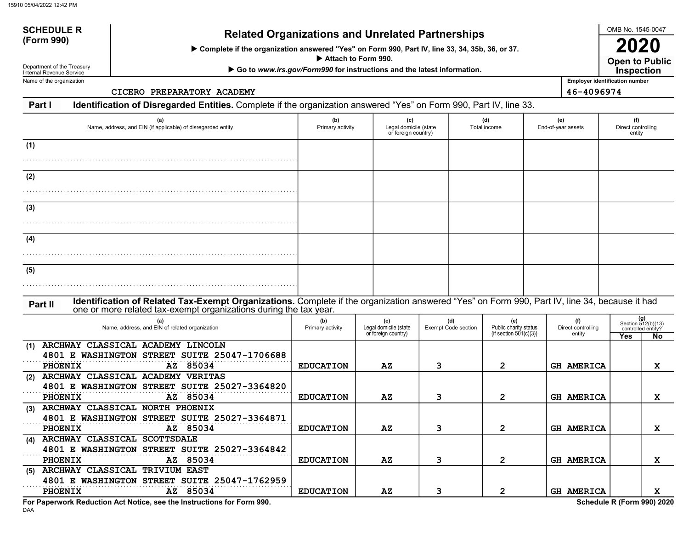# SCHEDULE Related Organizations and Unrelated Partnerships<br>(Form 990)

Complete if the organization answered "Yes" on Form 990, Part IV, line 33, 34, 35b, 36, or 37.

Attach to Form 990.

▶ Go to www.irs.gov/Form990 for instructions and the latest information.

Department of the Treasury Internal Revenue Service Name of the organization

SCHEDULE R

CICERO PREPARATORY ACADEMY 46-4096974

Open to Public 2020 **inspection** 

OMB No. 1545-0047

Employer identification number

Part I Identification of Disregarded Entities. Complete if the organization answered "Yes" on Form 990, Part IV, line 33.

| (a)<br>Name, address, and EIN (if applicable) of disregarded entity                                                                                                                                                           | (b)<br>Primary activity | (c)<br>Legal domicile (state<br>or foreign country) |                                   | (d)<br>Total income                                    | (e)<br>End-of-year assets           | (f)<br>Direct controlling<br>entity |                                                         |
|-------------------------------------------------------------------------------------------------------------------------------------------------------------------------------------------------------------------------------|-------------------------|-----------------------------------------------------|-----------------------------------|--------------------------------------------------------|-------------------------------------|-------------------------------------|---------------------------------------------------------|
| (1)                                                                                                                                                                                                                           |                         |                                                     |                                   |                                                        |                                     |                                     |                                                         |
| (2)                                                                                                                                                                                                                           |                         |                                                     |                                   |                                                        |                                     |                                     |                                                         |
| (3)                                                                                                                                                                                                                           |                         |                                                     |                                   |                                                        |                                     |                                     |                                                         |
| (4)                                                                                                                                                                                                                           |                         |                                                     |                                   |                                                        |                                     |                                     |                                                         |
| (5)                                                                                                                                                                                                                           |                         |                                                     |                                   |                                                        |                                     |                                     |                                                         |
| Identification of Related Tax-Exempt Organizations. Complete if the organization answered "Yes" on Form 990, Part IV, line 34, because it had<br>Part II<br>one or more related tax-exempt organizations during the tax year. |                         |                                                     |                                   |                                                        |                                     |                                     |                                                         |
| (a)<br>Name, address, and EIN of related organization                                                                                                                                                                         | (b)<br>Primary activity | Legal domicile (state<br>or foreign country)        | (d)<br><b>Exempt Code section</b> | (e)<br>Public charity status<br>(if section 501(c)(3)) | (f)<br>Direct controlling<br>entity | Yes                                 | $(g)$<br>Section 512(b)(13)<br>controlled entity?<br>No |
| (1) ARCHWAY CLASSICAL ACADEMY LINCOLN<br>4801 E WASHINGTON STREET SUITE 25047-1706688<br>AZ 85034<br><b>PHOENIX</b>                                                                                                           | <b>EDUCATION</b>        | AZ                                                  | 3                                 | $\mathbf{2}$                                           | <b>GH AMERICA</b>                   |                                     | X                                                       |
| (2) ARCHWAY CLASSICAL ACADEMY VERITAS<br>4801 E WASHINGTON STREET SUITE 25027-3364820<br>PHOENIX<br>AZ 85034                                                                                                                  | <b>EDUCATION</b>        | $\mathbf{A} \mathbf{Z}$                             | 3                                 | $\mathbf{2}$                                           | <b>GH AMERICA</b>                   |                                     | X                                                       |
| (3) ARCHWAY CLASSICAL NORTH PHOENIX<br>4801 E WASHINGTON STREET SUITE 25027-3364871                                                                                                                                           |                         |                                                     |                                   |                                                        |                                     |                                     |                                                         |
| AZ 85034<br><b>PHOENIX</b><br>(4) ARCHWAY CLASSICAL SCOTTSDALE<br>4801 E WASHINGTON STREET SUITE 25027-3364842                                                                                                                | <b>EDUCATION</b>        | $\mathbf{A} \mathbf{Z}$                             | 3                                 | $\mathbf{2}$                                           | <b>GH AMERICA</b>                   |                                     | x                                                       |
| AZ 85034<br><b>PHOENIX</b><br>(5) ARCHWAY CLASSICAL TRIVIUM EAST<br>4801 E WASHINGTON STREET SUITE 25047-1762959                                                                                                              | <b>EDUCATION</b>        | $\mathbf{A} \mathbf{Z}$                             | 3                                 | $\overline{2}$                                         | <b>GH AMERICA</b>                   |                                     | X                                                       |
| AZ 85034<br><b>PHOENIX</b><br>For Paperwork Reduction Act Notice, see the Instructions for Form 990.                                                                                                                          | <b>EDUCATION</b>        | AZ                                                  | 3                                 | $\mathbf{2}$                                           | <b>GH AMERICA</b>                   | Schedule R (Form 990) 2020          | x                                                       |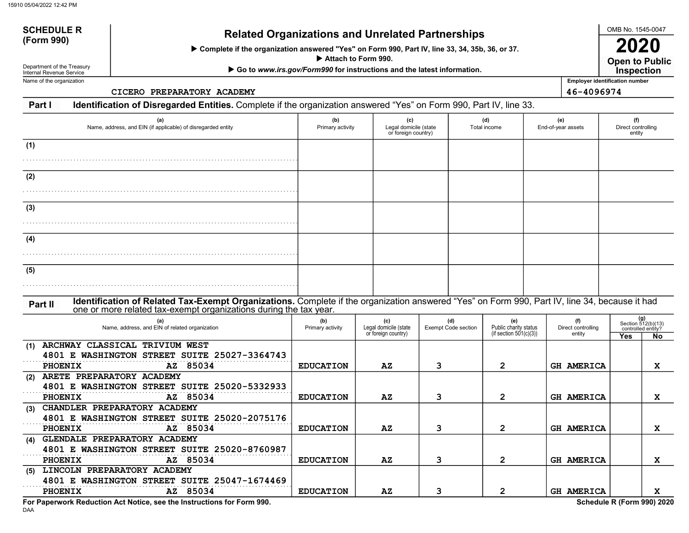# SCHEDULE R<br>(Form 990) Related Organizations and Unrelated Partnerships

Complete if the organization answered "Yes" on Form 990, Part IV, line 33, 34, 35b, 36, or 37.

Attach to Form 990.

▶ Go to www.irs.gov/Form990 for instructions and the latest information.

Department of the Treasury Internal Revenue Service Name of the organization

SCHEDULE R

CICERO PREPARATORY ACADEMY 46-4096974

Open to Public 2020 **inspection** 

Employer identification number

Part I Identification of Disregarded Entities. Complete if the organization answered "Yes" on Form 990, Part IV, line 33.

| (a)<br>Name, address, and EIN (if applicable) of disregarded entity                                                                                                                                                           | (b)<br>Primary activity | (c)<br>Legal domicile (state<br>or foreign country) |                                   | (d)<br>Total income                                       | (e)<br>End-of-year assets           | (f)<br>Direct controlling<br>entity                            |
|-------------------------------------------------------------------------------------------------------------------------------------------------------------------------------------------------------------------------------|-------------------------|-----------------------------------------------------|-----------------------------------|-----------------------------------------------------------|-------------------------------------|----------------------------------------------------------------|
| (1)                                                                                                                                                                                                                           |                         |                                                     |                                   |                                                           |                                     |                                                                |
| (2)                                                                                                                                                                                                                           |                         |                                                     |                                   |                                                           |                                     |                                                                |
| (3)                                                                                                                                                                                                                           |                         |                                                     |                                   |                                                           |                                     |                                                                |
| (4)                                                                                                                                                                                                                           |                         |                                                     |                                   |                                                           |                                     |                                                                |
| (5)                                                                                                                                                                                                                           |                         |                                                     |                                   |                                                           |                                     |                                                                |
| Identification of Related Tax-Exempt Organizations. Complete if the organization answered "Yes" on Form 990, Part IV, line 34, because it had<br>Part II<br>one or more related tax-exempt organizations during the tax year. |                         |                                                     |                                   |                                                           |                                     |                                                                |
| (a)<br>Name, address, and EIN of related organization                                                                                                                                                                         | (b)<br>Primary activity | (c)<br>Legal domicile (state<br>or foreign country) | (d)<br><b>Exempt Code section</b> | (e)<br>Public charity status<br>(if section $501(c)(3)$ ) | (f)<br>Direct controlling<br>entity | $(g)$<br>Section 512(b)(13)<br>controlled entity?<br>Yes<br>No |
| (1) ARCHWAY CLASSICAL TRIVIUM WEST<br>4801 E WASHINGTON STREET SUITE 25027-3364743<br>PHOENIX<br>AZ 85034                                                                                                                     | <b>EDUCATION</b>        | AZ                                                  | 3                                 | $\overline{2}$                                            | <b>GH AMERICA</b>                   | X                                                              |
| (2) ARETE PREPARATORY ACADEMY<br>4801 E WASHINGTON STREET SUITE 25020-5332933<br>AZ 85034<br>PHOENIX                                                                                                                          | <b>EDUCATION</b>        | $\mathbf{A} \mathbf{Z}$                             | 3                                 | $\overline{2}$                                            | <b>GH AMERICA</b>                   | X                                                              |
| (3) CHANDLER PREPARATORY ACADEMY<br>4801 E WASHINGTON STREET SUITE 25020-2075176<br>AZ 85034<br>PHOENIX                                                                                                                       | <b>EDUCATION</b>        | $\mathbf{A} \mathbf{Z}$                             | 3                                 | $\overline{2}$                                            | <b>GH AMERICA</b>                   | X                                                              |
| (4) GLENDALE PREPARATORY ACADEMY<br>4801 E WASHINGTON STREET SUITE 25020-8760987<br><b>PHOENIX</b><br>AZ 85034                                                                                                                | <b>EDUCATION</b>        | $\mathbf{A} \mathbf{Z}$                             | 3                                 | $\overline{2}$                                            | <b>GH AMERICA</b>                   | X                                                              |
| (5) LINCOLN PREPARATORY ACADEMY<br>4801 E WASHINGTON STREET SUITE 25047-1674469<br>AZ 85034<br><b>PHOENIX</b><br>and the anti-service with the control<br>.<br><b>Allen Barbara</b>                                           | <b>EDUCATION</b>        | AZ                                                  | 3                                 | $\overline{2}$                                            | GH AMERICA                          | x<br>0.001000                                                  |

DAA For Paperwork Reduction Act Notice, see the Instructions for Form 990. Schedule R (Form 990) 2020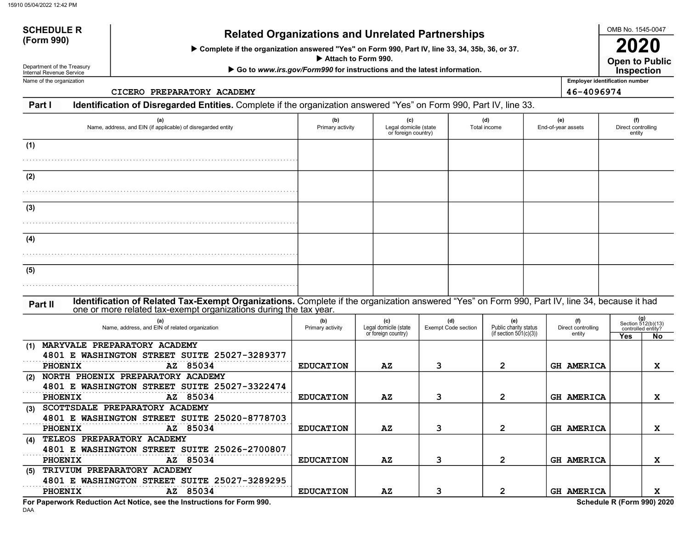# SCHEDULE Related Organizations and Unrelated Partnerships<br>(Form 990)

Complete if the organization answered "Yes" on Form 990, Part IV, line 33, 34, 35b, 36, or 37.

Attach to Form 990.

▶ Go to www.irs.gov/Form990 for instructions and the latest information.

Department of the Treasury Internal Revenue Service Name of the organization

SCHEDULE R

CICERO PREPARATORY ACADEMY 46-4096974

Open to Public 2020 **inspection** 

Employer identification number

Part I Identification of Disregarded Entities. Complete if the organization answered "Yes" on Form 990, Part IV, line 33.

| (a)<br>Name, address, and EIN (if applicable) of disregarded entity                                                                                      | (b)<br>(c)<br>Primary activity<br>Legal domicile (state<br>or foreign country) |                         |                                   | (d)<br>Total income          | (e)<br>End-of-year assets | (f)<br>Direct controlling<br>entity |                                                   |
|----------------------------------------------------------------------------------------------------------------------------------------------------------|--------------------------------------------------------------------------------|-------------------------|-----------------------------------|------------------------------|---------------------------|-------------------------------------|---------------------------------------------------|
| (1)                                                                                                                                                      |                                                                                |                         |                                   |                              |                           |                                     |                                                   |
|                                                                                                                                                          |                                                                                |                         |                                   |                              |                           |                                     |                                                   |
| (2)                                                                                                                                                      |                                                                                |                         |                                   |                              |                           |                                     |                                                   |
|                                                                                                                                                          |                                                                                |                         |                                   |                              |                           |                                     |                                                   |
| (3)                                                                                                                                                      |                                                                                |                         |                                   |                              |                           |                                     |                                                   |
|                                                                                                                                                          |                                                                                |                         |                                   |                              |                           |                                     |                                                   |
|                                                                                                                                                          |                                                                                |                         |                                   |                              |                           |                                     |                                                   |
| (4)                                                                                                                                                      |                                                                                |                         |                                   |                              |                           |                                     |                                                   |
|                                                                                                                                                          |                                                                                |                         |                                   |                              |                           |                                     |                                                   |
| (5)                                                                                                                                                      |                                                                                |                         |                                   |                              |                           |                                     |                                                   |
|                                                                                                                                                          |                                                                                |                         |                                   |                              |                           |                                     |                                                   |
| Identification of Related Tax-Exempt Organizations. Complete if the organization answered "Yes" on Form 990, Part IV, line 34, because it had<br>Part II |                                                                                |                         |                                   |                              |                           |                                     |                                                   |
| one or more related tax-exempt organizations during the tax year.                                                                                        |                                                                                |                         |                                   |                              |                           |                                     |                                                   |
| (a)<br>Name, address, and EIN of related organization                                                                                                    | (b)<br>Primary activity                                                        | Legal domicile (state   | (d)<br><b>Exempt Code section</b> | (e)<br>Public charity status | (f)<br>Direct controlling |                                     | $(g)$<br>Section 512(b)(13)<br>controlled entity? |
|                                                                                                                                                          |                                                                                | or foreign country)     |                                   | (if section $501(c)(3)$ )    | entity                    | Yes                                 | No                                                |
| MARYVALE PREPARATORY ACADEMY<br>(1)<br>4801 E WASHINGTON STREET SUITE 25027-3289377                                                                      |                                                                                |                         |                                   |                              |                           |                                     |                                                   |
| AZ 85034<br><b>PHOENIX</b>                                                                                                                               | <b>EDUCATION</b>                                                               | AZ                      | 3                                 | $\mathbf{2}$                 | <b>GH AMERICA</b>         |                                     | x                                                 |
| NORTH PHOENIX PREPARATORY ACADEMY<br>(2)                                                                                                                 |                                                                                |                         |                                   |                              |                           |                                     |                                                   |
| 4801 E WASHINGTON STREET SUITE 25027-3322474                                                                                                             |                                                                                |                         |                                   |                              |                           |                                     |                                                   |
| AZ 85034<br><b>PHOENIX</b>                                                                                                                               | <b>EDUCATION</b>                                                               | $\mathbf{A} \mathbf{Z}$ | 3                                 | $\mathbf{2}$                 | <b>GH AMERICA</b>         |                                     | X                                                 |
| SCOTTSDALE PREPARATORY ACADEMY<br>(3)<br>4801 E WASHINGTON STREET SUITE 25020-8778703                                                                    |                                                                                |                         |                                   |                              |                           |                                     |                                                   |
| AZ 85034<br><b>PHOENIX</b>                                                                                                                               | <b>EDUCATION</b>                                                               | $\mathbf{A} \mathbf{Z}$ | 3                                 | $\mathbf{2}$                 | <b>GH AMERICA</b>         |                                     | x                                                 |
| TELEOS PREPARATORY ACADEMY<br>(4)                                                                                                                        |                                                                                |                         |                                   |                              |                           |                                     |                                                   |
| 4801 E WASHINGTON STREET SUITE 25026-2700807                                                                                                             |                                                                                |                         |                                   |                              |                           |                                     |                                                   |
| AZ 85034<br><b>PHOENIX</b>                                                                                                                               | <b>EDUCATION</b>                                                               | $\mathbf{A} \mathbf{Z}$ | 3                                 | $\mathbf{2}$                 | <b>GH AMERICA</b>         |                                     | X                                                 |
| (5) TRIVIUM PREPARATORY ACADEMY                                                                                                                          |                                                                                |                         |                                   |                              |                           |                                     |                                                   |
| 4801 E WASHINGTON STREET SUITE 25027-3289295<br>AZ 85034<br><b>PHOENIX</b>                                                                               | <b>EDUCATION</b>                                                               | AZ                      | 3                                 | $\mathbf{2}$                 | <b>GH AMERICA</b>         |                                     | x                                                 |
| For Paperwork Reduction Act Notice, see the Instructions for Form 990.                                                                                   |                                                                                |                         |                                   |                              |                           | Schedule R (Form 990) 2020          |                                                   |

DAA

OMB No. 1545-0047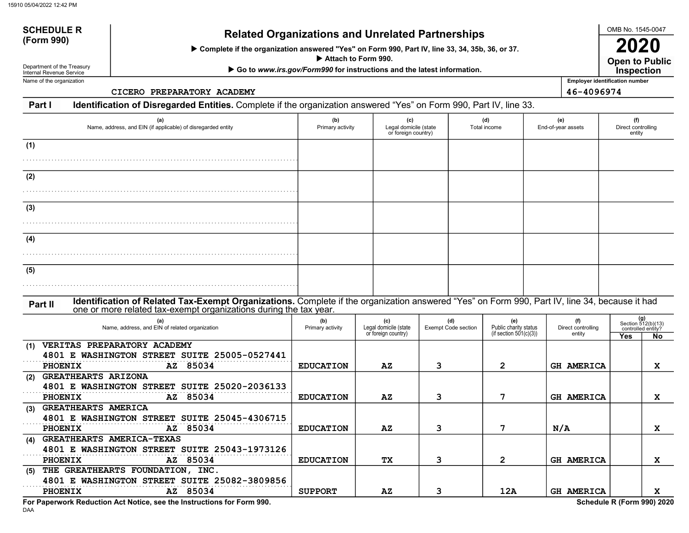# SCHEDULE Related Organizations and Unrelated Partnerships (Form 990)

Complete if the organization answered "Yes" on Form 990, Part IV, line 33, 34, 35b, 36, or 37.

Attach to Form 990.

▶ Go to www.irs.gov/Form990 for instructions and the latest information.

Department of the Treasury Internal Revenue Service Name of the organization

SCHEDULE R

CICERO PREPARATORY ACADEMY 46-4096974

Open to Public 2020 **Inspection** 

OMB No. 1545-0047

Employer identification number

Part I Identification of Disregarded Entities. Complete if the organization answered "Yes" on Form 990, Part IV, line 33.

| (a)<br>Name, address, and EIN (if applicable) of disregarded entity                                                                                                                                                           | (b)<br>Primary activity | (c)                                                 | Legal domicile (state<br>or foreign country) |  | Total income                                              | (e)<br>End-of-year assets           | (f)<br>Direct controlling<br>entity |                                                                |
|-------------------------------------------------------------------------------------------------------------------------------------------------------------------------------------------------------------------------------|-------------------------|-----------------------------------------------------|----------------------------------------------|--|-----------------------------------------------------------|-------------------------------------|-------------------------------------|----------------------------------------------------------------|
| (1)                                                                                                                                                                                                                           |                         |                                                     |                                              |  |                                                           |                                     |                                     |                                                                |
| (2)                                                                                                                                                                                                                           |                         |                                                     |                                              |  |                                                           |                                     |                                     |                                                                |
| (3)                                                                                                                                                                                                                           |                         |                                                     |                                              |  |                                                           |                                     |                                     |                                                                |
| (4)                                                                                                                                                                                                                           |                         |                                                     |                                              |  |                                                           |                                     |                                     |                                                                |
| (5)                                                                                                                                                                                                                           |                         |                                                     |                                              |  |                                                           |                                     |                                     |                                                                |
| Identification of Related Tax-Exempt Organizations. Complete if the organization answered "Yes" on Form 990, Part IV, line 34, because it had<br>Part II<br>one or more related tax-exempt organizations during the tax year. |                         |                                                     |                                              |  |                                                           |                                     |                                     |                                                                |
| (a)<br>Name, address, and EIN of related organization                                                                                                                                                                         | (b)<br>Primary activity | (c)<br>Legal domicile (state<br>or foreign country) | (d)<br><b>Exempt Code section</b>            |  | (e)<br>Public charity status<br>(if section $501(c)(3)$ ) | (f)<br>Direct controlling<br>entity | Yes                                 | $(g)$<br>Section 512(b)(13)<br>controlled entity?<br><b>No</b> |
| VERITAS PREPARATORY ACADEMY<br>(1)<br>4801 E WASHINGTON STREET SUITE 25005-0527441<br>AZ 85034<br>PHOENIX                                                                                                                     | <b>EDUCATION</b>        | AZ                                                  | 3                                            |  | $\mathbf{2}$                                              | <b>GH AMERICA</b>                   |                                     | x                                                              |
| (2) GREATHEARTS ARIZONA<br>4801 E WASHINGTON STREET SUITE 25020-2036133<br>PHOENIX<br>AZ 85034                                                                                                                                | <b>EDUCATION</b>        | $\mathbf{A} \mathbf{Z}$                             | 3                                            |  | 7                                                         | <b>GH AMERICA</b>                   |                                     | X                                                              |
| (3) GREATHEARTS AMERICA<br>4801 E WASHINGTON STREET SUITE 25045-4306715<br>PHOENIX<br>AZ 85034                                                                                                                                | <b>EDUCATION</b>        | $\mathbf{A} \mathbf{Z}$                             | 3                                            |  | 7                                                         | N/A                                 |                                     | X                                                              |
| (4) GREATHEARTS AMERICA-TEXAS<br>4801 E WASHINGTON STREET SUITE 25043-1973126<br>AZ 85034<br>PHOENIX                                                                                                                          | <b>EDUCATION</b>        | TХ                                                  | 3                                            |  | $\mathbf{2}$                                              | <b>GH AMERICA</b>                   |                                     | x                                                              |
| THE GREATHEARTS FOUNDATION, INC.<br>(5)<br>4801 E WASHINGTON STREET SUITE 25082-3809856<br>AZ 85034<br><b>PHOENIX</b><br>$\mathbf{r}$ , and $\mathbf{r}$ and $\mathbf{r}$ and $\mathbf{r}$ and $\mathbf{r}$                   | <b>SUPPORT</b>          | AZ                                                  | 3                                            |  | 12A                                                       | <b>GH AMERICA</b>                   |                                     | x                                                              |

For Paperwork Reduction Act Notice, see the Instructions for Form 990. Schedule R (Form 990) 2020

DAA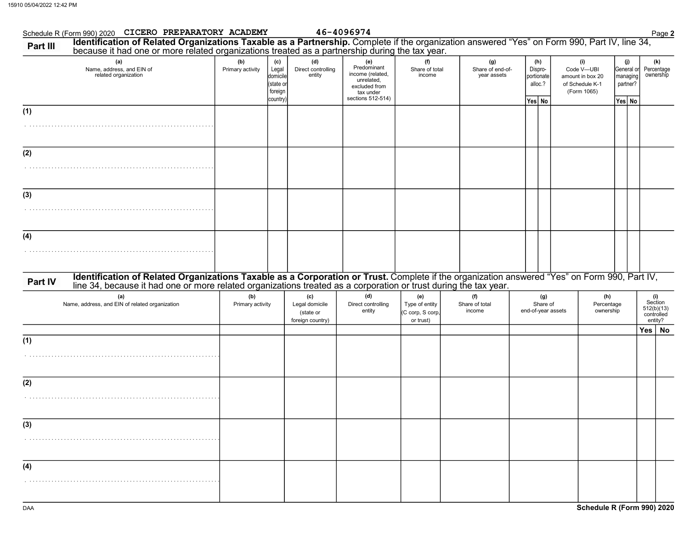| Identification of Related Organizations Taxable as a Partnership. Complete if the organization answered "Yes" on Form 990, Part IV, line 34, because it had one or more related organizations treated as a partnership during<br>Part III |                         |                                                             |                                                        |                                                                                                         |                                                        |                                        |                                                   |                                                                         |                                                     |                                                       |
|-------------------------------------------------------------------------------------------------------------------------------------------------------------------------------------------------------------------------------------------|-------------------------|-------------------------------------------------------------|--------------------------------------------------------|---------------------------------------------------------------------------------------------------------|--------------------------------------------------------|----------------------------------------|---------------------------------------------------|-------------------------------------------------------------------------|-----------------------------------------------------|-------------------------------------------------------|
| (a)<br>Name, address, and EIN of<br>related organization                                                                                                                                                                                  | (b)<br>Primary activity | (c)<br>Legal<br>domicile<br>(state or<br>foreign<br>country | (d)<br>Direct controlling<br>entity                    | (e)<br>Predominant<br>income (related,<br>unrelated,<br>excluded from<br>tax under<br>sections 512-514) | (f)<br>Share of total<br>income                        | (g)<br>Share of end-of-<br>year assets | (h)<br>Dispro-<br>portionate<br>alloc.?<br>Yes No | (i)<br>Code V-UBI<br>amount in box 20<br>of Schedule K-1<br>(Form 1065) | (j)<br>General or<br>managing<br>partner?<br>Yes No | (k)<br>Percentage<br>ownership                        |
| (1)                                                                                                                                                                                                                                       |                         |                                                             |                                                        |                                                                                                         |                                                        |                                        |                                                   |                                                                         |                                                     |                                                       |
| (2)                                                                                                                                                                                                                                       |                         |                                                             |                                                        |                                                                                                         |                                                        |                                        |                                                   |                                                                         |                                                     |                                                       |
|                                                                                                                                                                                                                                           |                         |                                                             |                                                        |                                                                                                         |                                                        |                                        |                                                   |                                                                         |                                                     |                                                       |
| (3)                                                                                                                                                                                                                                       |                         |                                                             |                                                        |                                                                                                         |                                                        |                                        |                                                   |                                                                         |                                                     |                                                       |
| (4)                                                                                                                                                                                                                                       |                         |                                                             |                                                        |                                                                                                         |                                                        |                                        |                                                   |                                                                         |                                                     |                                                       |
| Identification of Related Organizations Taxable as a Corporation or Trust. Complete if the organization answered "Yes" on Form 990, Part IV, line 34, because it had one or more related organizations treated as a corporatio<br>Part IV |                         |                                                             |                                                        |                                                                                                         |                                                        |                                        |                                                   |                                                                         |                                                     |                                                       |
| (a)<br>Name, address, and EIN of related organization                                                                                                                                                                                     | (b)<br>Primary activity |                                                             | (c)<br>Legal domicile<br>(state or<br>foreign country) | (d)<br>Direct controlling<br>entity                                                                     | (e)<br>Type of entity<br>(C corp, S corp,<br>or trust) | (f)<br>Share of total<br>income        | (g)<br>Share of<br>end-of-year assets             | (h)<br>Percentage<br>ownership                                          |                                                     | (i)<br>Section<br>512(b)(13)<br>controlled<br>entity? |
| (1)                                                                                                                                                                                                                                       |                         |                                                             |                                                        |                                                                                                         |                                                        |                                        |                                                   |                                                                         |                                                     | Yes l<br>No                                           |
|                                                                                                                                                                                                                                           |                         |                                                             |                                                        |                                                                                                         |                                                        |                                        |                                                   |                                                                         |                                                     |                                                       |
| (2)                                                                                                                                                                                                                                       |                         |                                                             |                                                        |                                                                                                         |                                                        |                                        |                                                   |                                                                         |                                                     |                                                       |
| (3)                                                                                                                                                                                                                                       |                         |                                                             |                                                        |                                                                                                         |                                                        |                                        |                                                   |                                                                         |                                                     |                                                       |
|                                                                                                                                                                                                                                           |                         |                                                             |                                                        |                                                                                                         |                                                        |                                        |                                                   |                                                                         |                                                     |                                                       |
| (4)                                                                                                                                                                                                                                       |                         |                                                             |                                                        |                                                                                                         |                                                        |                                        |                                                   |                                                                         |                                                     |                                                       |
|                                                                                                                                                                                                                                           |                         |                                                             |                                                        |                                                                                                         |                                                        |                                        |                                                   |                                                                         |                                                     |                                                       |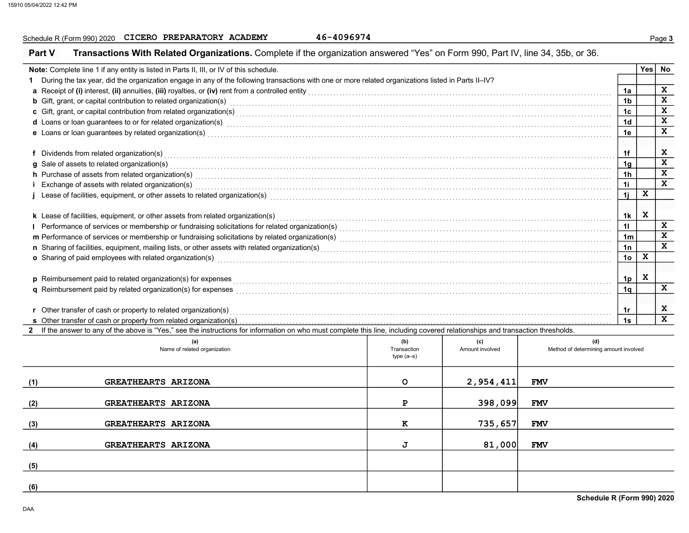## Schedule R (Form 990) 2020 CICERO PREPARATORY ACADEMY 46-4096974 Page 3

| <b>Part V</b> | Transactions With Related Organizations. Complete if the organization answered "Yes" on Form 990, Part IV, line 34, 35b, or 36.                                                                                                     |                             |                 |                                       |                 |                         |                         |
|---------------|-------------------------------------------------------------------------------------------------------------------------------------------------------------------------------------------------------------------------------------|-----------------------------|-----------------|---------------------------------------|-----------------|-------------------------|-------------------------|
|               | Note: Complete line 1 if any entity is listed in Parts II, III, or IV of this schedule.                                                                                                                                             |                             |                 |                                       |                 | Yes <sup> </sup>        | No                      |
|               | 1 During the tax year, did the organization engage in any of the following transactions with one or more related organizations listed in Parts II-IV?                                                                               |                             |                 |                                       |                 |                         |                         |
|               |                                                                                                                                                                                                                                     |                             |                 |                                       | 1a              |                         | $\mathbf{x}$            |
|               | <b>b</b> Gift, grant, or capital contribution to related organization(s) encourse contained and contained and contribution to related organization(s) encourse contained and contribution to related organization(s)                |                             |                 |                                       | 1 <sub>b</sub>  |                         | $\mathbf{x}$            |
|               | c Gift, grant, or capital contribution from related organization(s) Material Content Content Content Content Content Content Content Content Content Content Content Content Content Content Content Content Content Content C      |                             |                 |                                       | 1 <sup>c</sup>  |                         | $\mathbf x$             |
|               | d Loans or loan guarantees to or for related organization(s) encourance contained and contained a contained and contained a contained a contained and contained a contact or details and contact a contact a contact a contact      |                             |                 |                                       | 1 <sub>d</sub>  |                         | X                       |
|               | e Loans or loan guarantees by related organization(s)<br>interaction contractions contractions contractions contractions control or contraction contract or contract or                                                             |                             |                 |                                       | 1e              |                         | $\mathbf{x}$            |
|               |                                                                                                                                                                                                                                     |                             |                 |                                       |                 |                         |                         |
|               | f Dividends from related organization(s) encourance contains a substantial container and providends from related organization(s) encourance contains a substantial contains a substantial contains a substantial contains a su      |                             |                 |                                       | 1f              |                         | X                       |
|               |                                                                                                                                                                                                                                     |                             |                 |                                       | 1 <sub>g</sub>  |                         | $\mathbf{x}$            |
|               | h Purchase of assets from related organization(s) encourance contains a container and container and container and container and container and container and container and container and container and container and container       |                             |                 |                                       | 1 <sub>h</sub>  |                         | $\mathbf{x}$            |
|               |                                                                                                                                                                                                                                     |                             |                 |                                       | 1i              |                         | $\mathbf{x}$            |
|               | j Lease of facilities, equipment, or other assets to related organization(s) enconverse contained and contained and contained and contained and contained and contained and contained and contained and contained and containe      |                             |                 |                                       | 1i              | $\overline{\mathbf{x}}$ |                         |
|               |                                                                                                                                                                                                                                     |                             |                 |                                       |                 |                         |                         |
|               |                                                                                                                                                                                                                                     |                             |                 |                                       | 1 <sub>k</sub>  | $\mathbf{x}$            |                         |
|               | I Performance of services or membership or fundraising solicitations for related organization(s) [1] performance of services or membership or fundraising solicitations for related organization(s) [1] percental conditions c      |                             |                 |                                       | 11              |                         | X                       |
|               |                                                                                                                                                                                                                                     |                             |                 |                                       | 1 <sub>m</sub>  |                         | $\mathbf{x}$            |
|               |                                                                                                                                                                                                                                     |                             |                 |                                       | 1n              |                         | $\overline{\mathbf{x}}$ |
|               | o Sharing of paid employees with related organization(s)                                                                                                                                                                            |                             |                 |                                       | 10 <sub>o</sub> | $\mathbf{x}$            |                         |
|               |                                                                                                                                                                                                                                     |                             |                 |                                       |                 |                         |                         |
|               |                                                                                                                                                                                                                                     |                             |                 |                                       | 1 <sub>p</sub>  | X                       |                         |
|               | q Reimbursement paid by related organization(s) for expenses <b>constructs</b> and construct the construction of the construction of the construction of the construction of the construction of the construction of the constructi |                             |                 |                                       | 1q              |                         | X                       |
|               |                                                                                                                                                                                                                                     |                             |                 |                                       |                 |                         |                         |
|               | r Other transfer of cash or property to related organization(s)                                                                                                                                                                     |                             |                 |                                       | 1r              |                         | X                       |
|               |                                                                                                                                                                                                                                     |                             |                 |                                       | 1s              |                         | $\mathbf{x}$            |
|               | 2 If the answer to any of the above is "Yes," see the instructions for information on who must complete this line, including covered relationships and transaction thresholds.                                                      |                             |                 |                                       |                 |                         |                         |
|               | (a)                                                                                                                                                                                                                                 | (b)                         | (c)             | (d)                                   |                 |                         |                         |
|               | Name of related organization                                                                                                                                                                                                        | Transaction<br>type $(a-s)$ | Amount involved | Method of determining amount involved |                 |                         |                         |
|               |                                                                                                                                                                                                                                     |                             |                 |                                       |                 |                         |                         |
|               |                                                                                                                                                                                                                                     |                             |                 |                                       |                 |                         |                         |
| (1)           | <b>GREATHEARTS ARIZONA</b>                                                                                                                                                                                                          | $\circ$                     | 2,954,411       | <b>FMV</b>                            |                 |                         |                         |
|               |                                                                                                                                                                                                                                     |                             |                 |                                       |                 |                         |                         |
| (2)           | <b>GREATHEARTS ARIZONA</b>                                                                                                                                                                                                          | $\mathbf{P}$                | 398,099         | <b>FMV</b>                            |                 |                         |                         |

GREATHEARTS ARIZONA **Extra 1999 Text K** 735,657 FMV

GREATHEARTS ARIZONA J 81,000 FMV

(3)

(4)

 $(5)$ 

(6)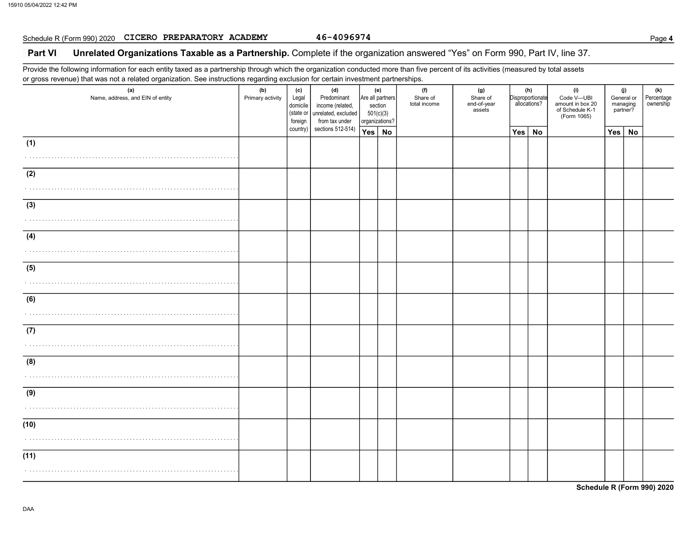## Schedule R (Form 990) 2020 CICERO PREPARATORY ACADEMY 46-4096974 Page 4

### Part VI Unrelated Organizations Taxable as a Partnership. Complete if the organization answered "Yes" on Form 990, Part IV, line 37.

Provide the following information for each entity taxed as a partnership through which the organization conducted more than five percent of its activities (measured by total assets or gross revenue) that was not a related organization. See instructions regarding exclusion for certain investment partnerships.

| (a)<br>Name, address, and EIN of entity   | (b)<br>Primary activity | (c)<br>Legal<br>domicile<br>(state or<br>foreign | (d)<br>Predominant<br>income (related,<br>unrelated, excluded<br>from tax under | (e)<br>Are all partners<br>section<br>501(c)(3)<br>organizations? | (f)<br>Share of<br>total income | (g)<br>Share of<br>end-of-year<br>assets |     | (h)<br>Disproportionate<br>allocations? | (i)<br>Code V-UBI<br>amount in box 20<br>of Schedule K-1<br>(Form 1065) | managing<br>partner? | (j)<br>General or | (k)<br>Percentage<br>ownership |
|-------------------------------------------|-------------------------|--------------------------------------------------|---------------------------------------------------------------------------------|-------------------------------------------------------------------|---------------------------------|------------------------------------------|-----|-----------------------------------------|-------------------------------------------------------------------------|----------------------|-------------------|--------------------------------|
|                                           |                         | country)                                         | sections 512-514)                                                               | Yes   No                                                          |                                 |                                          | Yes | <b>No</b>                               |                                                                         | Yes                  | <b>No</b>         |                                |
| (1)                                       |                         |                                                  |                                                                                 |                                                                   |                                 |                                          |     |                                         |                                                                         |                      |                   |                                |
|                                           |                         |                                                  |                                                                                 |                                                                   |                                 |                                          |     |                                         |                                                                         |                      |                   |                                |
| (2)                                       |                         |                                                  |                                                                                 |                                                                   |                                 |                                          |     |                                         |                                                                         |                      |                   |                                |
|                                           |                         |                                                  |                                                                                 |                                                                   |                                 |                                          |     |                                         |                                                                         |                      |                   |                                |
| (3)                                       |                         |                                                  |                                                                                 |                                                                   |                                 |                                          |     |                                         |                                                                         |                      |                   |                                |
|                                           |                         |                                                  |                                                                                 |                                                                   |                                 |                                          |     |                                         |                                                                         |                      |                   |                                |
|                                           |                         |                                                  |                                                                                 |                                                                   |                                 |                                          |     |                                         |                                                                         |                      |                   |                                |
| (4)                                       |                         |                                                  |                                                                                 |                                                                   |                                 |                                          |     |                                         |                                                                         |                      |                   |                                |
| $\alpha$ , and a second contract $\alpha$ |                         |                                                  |                                                                                 |                                                                   |                                 |                                          |     |                                         |                                                                         |                      |                   |                                |
| (5)                                       |                         |                                                  |                                                                                 |                                                                   |                                 |                                          |     |                                         |                                                                         |                      |                   |                                |
|                                           |                         |                                                  |                                                                                 |                                                                   |                                 |                                          |     |                                         |                                                                         |                      |                   |                                |
| (6)                                       |                         |                                                  |                                                                                 |                                                                   |                                 |                                          |     |                                         |                                                                         |                      |                   |                                |
|                                           |                         |                                                  |                                                                                 |                                                                   |                                 |                                          |     |                                         |                                                                         |                      |                   |                                |
|                                           |                         |                                                  |                                                                                 |                                                                   |                                 |                                          |     |                                         |                                                                         |                      |                   |                                |
| (7)                                       |                         |                                                  |                                                                                 |                                                                   |                                 |                                          |     |                                         |                                                                         |                      |                   |                                |
|                                           |                         |                                                  |                                                                                 |                                                                   |                                 |                                          |     |                                         |                                                                         |                      |                   |                                |
| (8)                                       |                         |                                                  |                                                                                 |                                                                   |                                 |                                          |     |                                         |                                                                         |                      |                   |                                |
|                                           |                         |                                                  |                                                                                 |                                                                   |                                 |                                          |     |                                         |                                                                         |                      |                   |                                |
| (9)                                       |                         |                                                  |                                                                                 |                                                                   |                                 |                                          |     |                                         |                                                                         |                      |                   |                                |
|                                           |                         |                                                  |                                                                                 |                                                                   |                                 |                                          |     |                                         |                                                                         |                      |                   |                                |
|                                           |                         |                                                  |                                                                                 |                                                                   |                                 |                                          |     |                                         |                                                                         |                      |                   |                                |
| (10)                                      |                         |                                                  |                                                                                 |                                                                   |                                 |                                          |     |                                         |                                                                         |                      |                   |                                |
|                                           |                         |                                                  |                                                                                 |                                                                   |                                 |                                          |     |                                         |                                                                         |                      |                   |                                |
| (11)                                      |                         |                                                  |                                                                                 |                                                                   |                                 |                                          |     |                                         |                                                                         |                      |                   |                                |
|                                           |                         |                                                  |                                                                                 |                                                                   |                                 |                                          |     |                                         |                                                                         |                      |                   |                                |
|                                           |                         |                                                  |                                                                                 |                                                                   |                                 |                                          |     |                                         |                                                                         |                      |                   |                                |

Schedule R (Form 990) 2020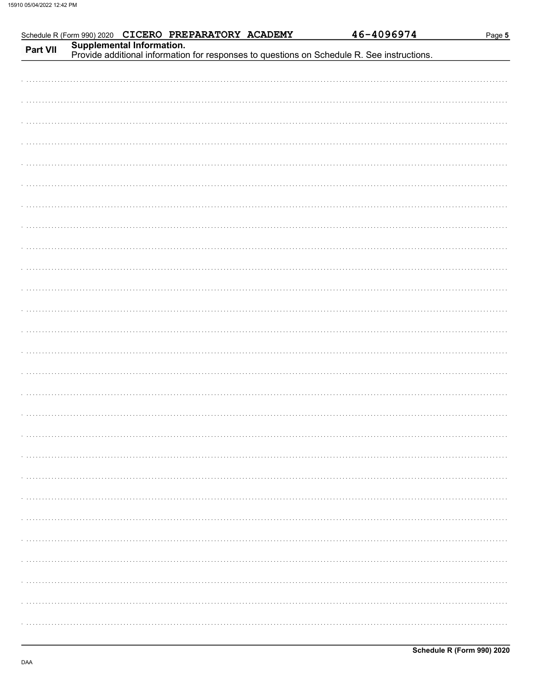|          |  | Schedule R (Form 990) 2020 CICERO PREPARATORY ACADEMY |  | 46-4096974                                                                                                              | Page 5 |
|----------|--|-------------------------------------------------------|--|-------------------------------------------------------------------------------------------------------------------------|--------|
| Part VII |  |                                                       |  | Supplemental Information.<br>Provide additional information for responses to questions on Schedule R. See instructions. |        |
|          |  |                                                       |  |                                                                                                                         |        |
|          |  |                                                       |  |                                                                                                                         |        |
|          |  |                                                       |  |                                                                                                                         |        |
|          |  |                                                       |  |                                                                                                                         |        |
|          |  |                                                       |  |                                                                                                                         |        |
|          |  |                                                       |  |                                                                                                                         |        |
|          |  |                                                       |  |                                                                                                                         |        |
|          |  |                                                       |  |                                                                                                                         |        |
|          |  |                                                       |  |                                                                                                                         |        |
|          |  |                                                       |  |                                                                                                                         |        |
|          |  |                                                       |  |                                                                                                                         |        |
|          |  |                                                       |  |                                                                                                                         |        |
|          |  |                                                       |  |                                                                                                                         |        |
|          |  |                                                       |  |                                                                                                                         |        |
|          |  |                                                       |  |                                                                                                                         |        |
|          |  |                                                       |  |                                                                                                                         |        |
|          |  |                                                       |  |                                                                                                                         |        |
|          |  |                                                       |  |                                                                                                                         |        |
|          |  |                                                       |  |                                                                                                                         |        |
|          |  |                                                       |  |                                                                                                                         |        |
|          |  |                                                       |  |                                                                                                                         |        |
|          |  |                                                       |  |                                                                                                                         |        |
|          |  |                                                       |  |                                                                                                                         |        |
|          |  |                                                       |  |                                                                                                                         |        |
|          |  |                                                       |  |                                                                                                                         |        |
|          |  |                                                       |  |                                                                                                                         |        |
|          |  |                                                       |  |                                                                                                                         |        |
|          |  |                                                       |  |                                                                                                                         |        |
|          |  |                                                       |  |                                                                                                                         |        |
|          |  |                                                       |  |                                                                                                                         |        |
|          |  |                                                       |  |                                                                                                                         |        |
|          |  |                                                       |  |                                                                                                                         |        |
|          |  |                                                       |  |                                                                                                                         |        |
|          |  |                                                       |  |                                                                                                                         |        |
|          |  |                                                       |  |                                                                                                                         |        |
|          |  |                                                       |  |                                                                                                                         |        |

 $16 - 1096971$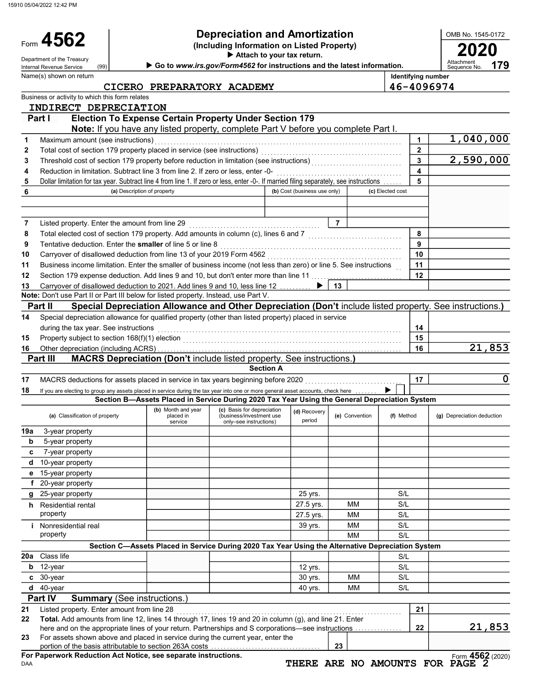15910 05/04/2022 12:42 PM

Name(s) shown on return

(99)

Form 4562

# Depreciation and Amortization

(Including Information on Listed Property) **4562** Depreciation and Amortization<br>(Including Information on Listed Property)<br>Attach to your tax return.

Attach to your tax return.

Department of the Treasury (99) **Department of the Treasury Control of the Service Control of the Treasury Department**<br>Internal Revenue Service (99) **Department Department of the Internal Revenue Roughly Control of the Int** 

Identifying number

|        |                                                                                                                                         | CICERO PREPARATORY ACADEMY                 |                                                                                                   |                              |                |                  |                                        | 46-4096974                                                                                               |
|--------|-----------------------------------------------------------------------------------------------------------------------------------------|--------------------------------------------|---------------------------------------------------------------------------------------------------|------------------------------|----------------|------------------|----------------------------------------|----------------------------------------------------------------------------------------------------------|
|        | Business or activity to which this form relates                                                                                         |                                            |                                                                                                   |                              |                |                  |                                        |                                                                                                          |
|        | INDIRECT DEPRECIATION                                                                                                                   |                                            |                                                                                                   |                              |                |                  |                                        |                                                                                                          |
|        | <b>Election To Expense Certain Property Under Section 179</b><br>Part I                                                                 |                                            |                                                                                                   |                              |                |                  |                                        |                                                                                                          |
|        | Note: If you have any listed property, complete Part V before you complete Part I.                                                      |                                            |                                                                                                   |                              |                |                  |                                        |                                                                                                          |
| 1      | Maximum amount (see instructions)                                                                                                       |                                            |                                                                                                   |                              |                |                  | 1                                      | 1,040,000                                                                                                |
| 2<br>3 |                                                                                                                                         |                                            |                                                                                                   |                              |                |                  | $\mathbf 2$<br>$\overline{\mathbf{3}}$ | 2,590,000                                                                                                |
| 4      |                                                                                                                                         |                                            |                                                                                                   |                              |                |                  | $\overline{\mathbf{4}}$                |                                                                                                          |
| 5      | Dollar limitation for tax year. Subtract line 4 from line 1. If zero or less, enter -0-. If married filing separately, see instructions |                                            |                                                                                                   |                              |                |                  | 5                                      |                                                                                                          |
| 6      |                                                                                                                                         | (a) Description of property                |                                                                                                   | (b) Cost (business use only) |                | (c) Elected cost |                                        |                                                                                                          |
|        |                                                                                                                                         |                                            |                                                                                                   |                              |                |                  |                                        |                                                                                                          |
|        |                                                                                                                                         |                                            |                                                                                                   |                              |                |                  |                                        |                                                                                                          |
| 7      |                                                                                                                                         |                                            |                                                                                                   |                              | $\overline{7}$ |                  |                                        |                                                                                                          |
| 8      | Total elected cost of section 179 property. Add amounts in column (c), lines 6 and 7 [[[[[[[[[[[[[[[[[[[[[[[[                           |                                            |                                                                                                   |                              |                |                  | 8                                      |                                                                                                          |
| 9      | Tentative deduction. Enter the smaller of line 5 or line 8 [11] Content Content of the Smaller of line 3                                |                                            |                                                                                                   |                              |                |                  | 9                                      |                                                                                                          |
| 10     |                                                                                                                                         |                                            |                                                                                                   |                              |                |                  | 10                                     |                                                                                                          |
| 11     | Business income limitation. Enter the smaller of business income (not less than zero) or line 5. See instructions                       |                                            |                                                                                                   |                              |                |                  | 11                                     |                                                                                                          |
| 12     | Section 179 expense deduction. Add lines 9 and 10, but don't enter more than line 11                                                    |                                            |                                                                                                   |                              |                |                  | 12                                     |                                                                                                          |
| 13     | Carryover of disallowed deduction to 2021. Add lines 9 and 10, less line 12                                                             |                                            |                                                                                                   |                              | 13             |                  |                                        |                                                                                                          |
|        | Note: Don't use Part II or Part III below for listed property. Instead, use Part V.<br>Part II                                          |                                            |                                                                                                   |                              |                |                  |                                        | Special Depreciation Allowance and Other Depreciation (Don't include listed property. See instructions.) |
| 14     | Special depreciation allowance for qualified property (other than listed property) placed in service                                    |                                            |                                                                                                   |                              |                |                  |                                        |                                                                                                          |
|        | during the tax year. See instructions                                                                                                   |                                            |                                                                                                   |                              |                |                  | 14                                     |                                                                                                          |
| 15     |                                                                                                                                         |                                            |                                                                                                   |                              |                |                  | 15                                     |                                                                                                          |
| 16     |                                                                                                                                         |                                            |                                                                                                   |                              |                |                  | 16                                     | 21,853                                                                                                   |
|        | <b>MACRS Depreciation (Don't include listed property. See instructions.)</b><br>Part III                                                |                                            |                                                                                                   |                              |                |                  |                                        |                                                                                                          |
|        |                                                                                                                                         |                                            | <b>Section A</b>                                                                                  |                              |                |                  |                                        |                                                                                                          |
| 17     | MACRS deductions for assets placed in service in tax years beginning before 2020                                                        |                                            |                                                                                                   |                              |                |                  | 17                                     | 0                                                                                                        |
| 18     | If you are electing to group any assets placed in service during the tax year into one or more general asset accounts, check here       |                                            |                                                                                                   |                              |                |                  |                                        |                                                                                                          |
|        |                                                                                                                                         |                                            | Section B-Assets Placed in Service During 2020 Tax Year Using the General Depreciation System     |                              |                |                  |                                        |                                                                                                          |
|        | (a) Classification of property                                                                                                          | (b) Month and year<br>placed in<br>service | (c) Basis for depreciation<br>(business/investment use<br>only-see instructions)                  | (d) Recovery<br>period       | (e) Convention | (f) Method       |                                        | (g) Depreciation deduction                                                                               |
| 19a    | 3-year property                                                                                                                         |                                            |                                                                                                   |                              |                |                  |                                        |                                                                                                          |
| b      | 5-year property                                                                                                                         |                                            |                                                                                                   |                              |                |                  |                                        |                                                                                                          |
| c      | 7-year property                                                                                                                         |                                            |                                                                                                   |                              |                |                  |                                        |                                                                                                          |
| d      | 10-year property                                                                                                                        |                                            |                                                                                                   |                              |                |                  |                                        |                                                                                                          |
|        | e 15-year property                                                                                                                      |                                            |                                                                                                   |                              |                |                  |                                        |                                                                                                          |
|        | f 20-year property                                                                                                                      |                                            |                                                                                                   |                              |                |                  |                                        |                                                                                                          |
|        | g 25-year property                                                                                                                      |                                            |                                                                                                   | 25 yrs.                      |                | S/L<br>S/L       |                                        |                                                                                                          |
|        | <b>h</b> Residential rental<br>property                                                                                                 |                                            |                                                                                                   | 27.5 yrs.                    | MМ<br>MМ       | S/L              |                                        |                                                                                                          |
|        | <i>i</i> Nonresidential real                                                                                                            |                                            |                                                                                                   | 27.5 yrs.<br>39 yrs.         | ΜМ             | S/L              |                                        |                                                                                                          |
|        | property                                                                                                                                |                                            |                                                                                                   |                              | MM             | S/L              |                                        |                                                                                                          |
|        |                                                                                                                                         |                                            | Section C-Assets Placed in Service During 2020 Tax Year Using the Alternative Depreciation System |                              |                |                  |                                        |                                                                                                          |
| 20a    | Class life                                                                                                                              |                                            |                                                                                                   |                              |                | S/L              |                                        |                                                                                                          |
| b      | 12-year                                                                                                                                 |                                            |                                                                                                   | 12 yrs.                      |                | S/L              |                                        |                                                                                                          |
| c      | 30-year                                                                                                                                 |                                            |                                                                                                   | 30 yrs.                      | <b>MM</b>      | S/L              |                                        |                                                                                                          |
| d      | 40-year                                                                                                                                 |                                            |                                                                                                   | 40 yrs.                      | MМ             | S/L              |                                        |                                                                                                          |
|        | Part IV<br><b>Summary</b> (See instructions.)                                                                                           |                                            |                                                                                                   |                              |                |                  |                                        |                                                                                                          |
| 21     | Listed property. Enter amount from line 28                                                                                              |                                            |                                                                                                   |                              |                |                  | 21                                     |                                                                                                          |
| 22     | Total. Add amounts from line 12, lines 14 through 17, lines 19 and 20 in column (g), and line 21. Enter                                 |                                            |                                                                                                   |                              |                |                  |                                        |                                                                                                          |
|        | here and on the appropriate lines of your return. Partnerships and S corporations—see instructions                                      |                                            |                                                                                                   |                              |                |                  | 22                                     | 21,853                                                                                                   |
| 23     | For assets shown above and placed in service during the current year, enter the                                                         |                                            |                                                                                                   |                              | 23             |                  |                                        |                                                                                                          |

portion of the basis attributable to section 263A costs For Paperwork Reduction Act Notice, see separate instructions.

DAA

| OMB No. 1545-0172 |
|-------------------|
|                   |

179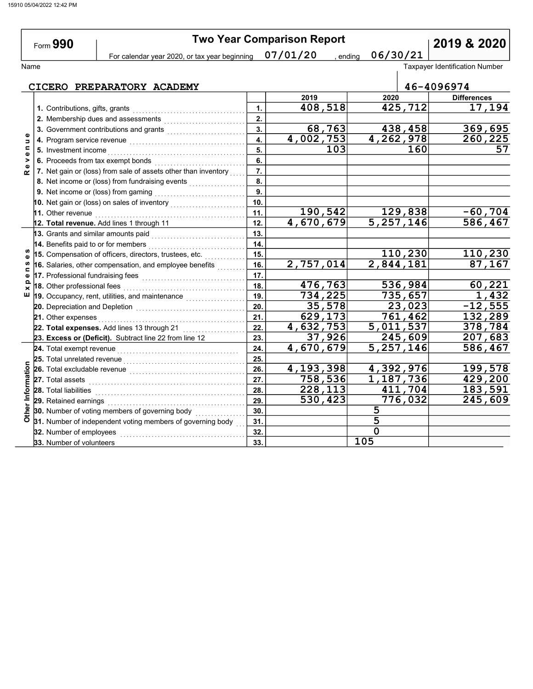|                     |                                                                                                                                                              |                  | <b>Two Year Comparison Report</b> |                        | 2019 & 2020                           |
|---------------------|--------------------------------------------------------------------------------------------------------------------------------------------------------------|------------------|-----------------------------------|------------------------|---------------------------------------|
|                     | Form $990$<br>For calendar year 2020, or tax year beginning                                                                                                  |                  | 07/01/20<br>, ending              | 06/30/21               |                                       |
| Name                |                                                                                                                                                              |                  |                                   |                        | <b>Taxpayer Identification Number</b> |
|                     |                                                                                                                                                              |                  |                                   |                        |                                       |
|                     | CICERO PREPARATORY ACADEMY                                                                                                                                   |                  |                                   |                        | 46-4096974                            |
|                     |                                                                                                                                                              |                  | 2019                              | 2020                   | <b>Differences</b>                    |
|                     | 1. Contributions, gifts, grants                                                                                                                              | 1.               | 408,518                           | 425,712                | 17,194                                |
|                     | 2. Membership dues and assessments<br><u> 1999 - Johann Stoff, amerikansk fotografisk fotografisk fotografisk fotografisk fotografisk fotografisk fotogr</u> | 2.               |                                   |                        |                                       |
| Ф                   |                                                                                                                                                              | $\overline{3}$ . | 68,763                            | 438,458                | 369,695                               |
| $\Rightarrow$       |                                                                                                                                                              | 4.               | 4,002,753                         | 4,262,978              | 260,225                               |
| $\blacksquare$<br>¢ | 5. Investment income                                                                                                                                         | 5.               | 103                               | 160                    | 57                                    |
| >                   | 6. Proceeds from tax exempt bonds                                                                                                                            | 6.               |                                   |                        |                                       |
| $\alpha$            | 7. Net gain or (loss) from sale of assets other than inventory                                                                                               | 7.               |                                   |                        |                                       |
|                     | 8. Net income or (loss) from fundraising events                                                                                                              | 8.               |                                   |                        |                                       |
|                     |                                                                                                                                                              | $\overline{9}$ . |                                   |                        |                                       |
|                     |                                                                                                                                                              | 10.              |                                   |                        |                                       |
|                     | 11. Other revenue <b>construction of the construction of the construction</b>                                                                                | 11.              | 190,542                           | 129,838                | $-60,704$                             |
|                     | 12. Total revenue. Add lines 1 through 11                                                                                                                    | 12.              | $\overline{4,670,679}$            | 5,257,146              | 586,467                               |
|                     | 13. Grants and similar amounts paid                                                                                                                          | 13.              |                                   |                        |                                       |
|                     | 14. Benefits paid to or for members                                                                                                                          | 14.              |                                   |                        |                                       |
|                     | 15. Compensation of officers, directors, trustees, etc.                                                                                                      | 15.              |                                   | 110,230                | 110,230                               |
| ⊆                   | 16. Salaries, other compensation, and employee benefits                                                                                                      | 16.              | 2,757,014                         | $\overline{2,844,181}$ | 87,167                                |
| Ф                   |                                                                                                                                                              | 17.              |                                   |                        |                                       |
| Q<br>$\times$       | 18. Other professional fees                                                                                                                                  | 18.              | 476,763                           | 536,984                | 60,221                                |
| ш                   | 19. Occupancy, rent, utilities, and maintenance                                                                                                              | 19.              | 734,225                           | $\overline{735}$ , 657 | 1,432                                 |
|                     |                                                                                                                                                              | 20.              | 35,578                            | 23,023                 | $-12,555$                             |
|                     | 21. Other expenses                                                                                                                                           | 21.              | 629,173                           | 761,462                | 132,289                               |
|                     | 22. Total expenses. Add lines 13 through 21                                                                                                                  | 22.              | 4,632,753                         | 5,011,537              | 378,784                               |
|                     | 23. Excess or (Deficit). Subtract line 22 from line 12                                                                                                       | 23.              | 37,926                            | 245,609                | 207,683                               |
|                     |                                                                                                                                                              | 24.              | 4,670,679                         | 5,257,146              | 586,467                               |
|                     |                                                                                                                                                              | 25.              |                                   |                        |                                       |
| Other Information   | 26. Total excludable revenue                                                                                                                                 | 26.              | 4, 193, 398                       | 4,392,976              | 199,578                               |
|                     | 27. Total assets                                                                                                                                             | 27.              | 758,536                           | 1,187,736              | 429,200                               |
|                     | 28. Total liabilities                                                                                                                                        | 28.              | 228,113                           | 411,704                | 183,591                               |
|                     | 29. Retained earnings                                                                                                                                        | 29.              | $\overline{530, 423}$             | 776,032                | 245,609                               |
|                     | 30. Number of voting members of governing body                                                                                                               | 30.              |                                   | 5                      |                                       |
|                     | 31. Number of independent voting members of governing body                                                                                                   | 31.              |                                   | 5                      |                                       |

32.

 $\overline{0}$ 105

32. Number of employees . . . . . . . . . . . . . . . . . . . . . . . . . . . . . . . . . . . . . . . . 33. Number of volunteers 33.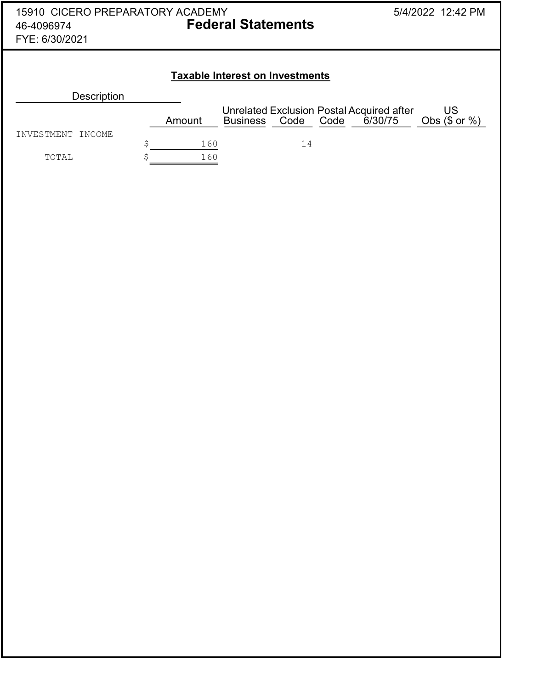| 15910 CICERO PREPARATORY ACADEMY<br>46-4096974<br>FYE: 6/30/2021 |           | <b>Federal Statements</b>              |                                                              | 5/4/2022 12:42 PM        |
|------------------------------------------------------------------|-----------|----------------------------------------|--------------------------------------------------------------|--------------------------|
|                                                                  |           | <b>Taxable Interest on Investments</b> |                                                              |                          |
| <b>Description</b>                                               |           |                                        |                                                              |                          |
|                                                                  | Amount    | Code<br><b>Business</b>                | Unrelated Exclusion Postal Acquired after<br>6/30/75<br>Code | US<br>Obs $(\$$ or $%$ ) |
| INVESTMENT<br>INCOME                                             | \$<br>160 | 14                                     |                                                              |                          |
| TOTAL                                                            | 160       |                                        |                                                              |                          |